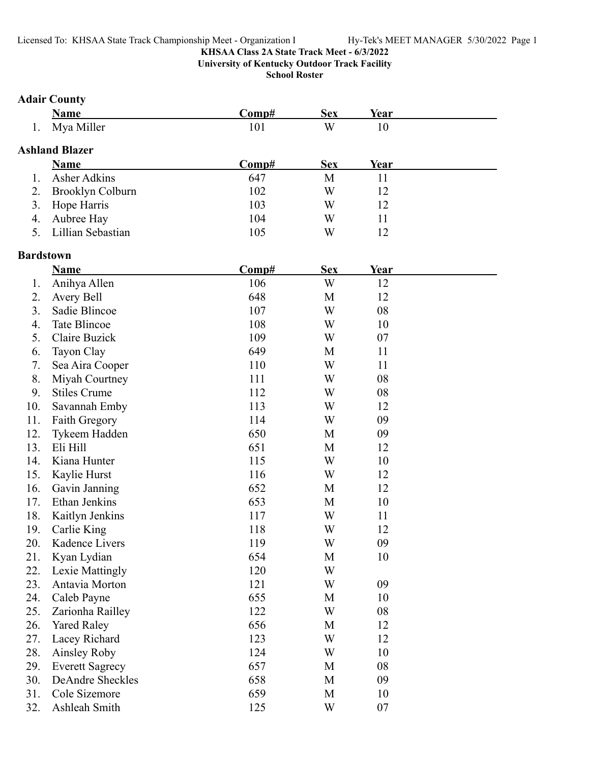### **KHSAA Class 2A State Track Meet - 6/3/2022 University of Kentucky Outdoor Track Facility**

**School Roster**

# **Adair County**

|                      | Name                                    | . <del>.</del> | Sex | /ear |  |
|----------------------|-----------------------------------------|----------------|-----|------|--|
| $\ddot{\phantom{0}}$ | $ -$<br>Mya Miller<br>----------<br>$-$ | 1 V 1          | W   | 1 V  |  |

# **Ashland Blazer**

|    | Name                | Comp# | <b>Sex</b> | Year |
|----|---------------------|-------|------------|------|
|    | Asher Adkins        | 647   | M          |      |
|    | 2. Brooklyn Colburn | 102   | W          |      |
|    | 3. Hope Harris      | 103   | W          |      |
|    | 4. Aubree Hay       | 104   | W          |      |
| 5. | Lillian Sebastian   | 105   | W          |      |

# **Bardstown**

|     | Name                    | Comp# | <b>Sex</b> | <b>Year</b> |  |
|-----|-------------------------|-------|------------|-------------|--|
| 1.  | Anihya Allen            | 106   | W          | 12          |  |
| 2.  | Avery Bell              | 648   | M          | 12          |  |
| 3.  | Sadie Blincoe           | 107   | W          | 08          |  |
| 4.  | <b>Tate Blincoe</b>     | 108   | W          | 10          |  |
| 5.  | Claire Buzick           | 109   | W          | 07          |  |
| 6.  | Tayon Clay              | 649   | M          | 11          |  |
| 7.  | Sea Aira Cooper         | 110   | W          | 11          |  |
| 8.  | Miyah Courtney          | 111   | W          | 08          |  |
| 9.  | <b>Stiles Crume</b>     | 112   | W          | 08          |  |
| 10. | Savannah Emby           | 113   | W          | 12          |  |
| 11. | Faith Gregory           | 114   | W          | 09          |  |
| 12. | Tykeem Hadden           | 650   | M          | 09          |  |
| 13. | Eli Hill                | 651   | M          | 12          |  |
| 14. | Kiana Hunter            | 115   | W          | 10          |  |
| 15. | Kaylie Hurst            | 116   | W          | 12          |  |
| 16. | Gavin Janning           | 652   | M          | 12          |  |
| 17. | Ethan Jenkins           | 653   | M          | 10          |  |
| 18. | Kaitlyn Jenkins         | 117   | W          | 11          |  |
| 19. | Carlie King             | 118   | W          | 12          |  |
| 20. | Kadence Livers          | 119   | W          | 09          |  |
| 21. | Kyan Lydian             | 654   | M          | 10          |  |
| 22. | Lexie Mattingly         | 120   | W          |             |  |
| 23. | Antavia Morton          | 121   | W          | 09          |  |
| 24. | Caleb Payne             | 655   | M          | 10          |  |
| 25. | Zarionha Railley        | 122   | W          | 08          |  |
| 26. | <b>Yared Raley</b>      | 656   | M          | 12          |  |
| 27. | Lacey Richard           | 123   | W          | 12          |  |
| 28. | Ainsley Roby            | 124   | W          | 10          |  |
| 29. | <b>Everett Sagrecy</b>  | 657   | M          | 08          |  |
| 30. | <b>DeAndre Sheckles</b> | 658   | M          | 09          |  |
| 31. | Cole Sizemore           | 659   | M          | 10          |  |
| 32. | Ashleah Smith           | 125   | W          | 07          |  |
|     |                         |       |            |             |  |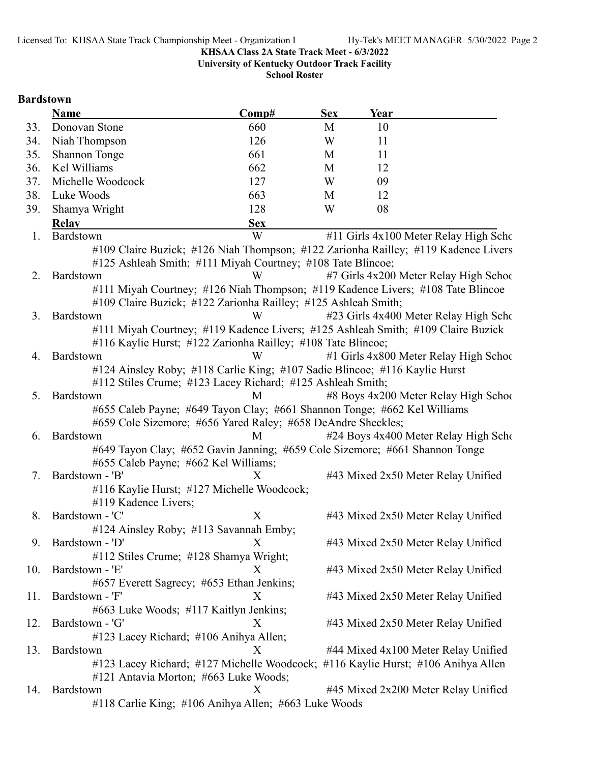**University of Kentucky Outdoor Track Facility**

**School Roster**

# **Bardstown**

|     | Name                                   | Comp#                                                                              | <b>Sex</b> | Year |                                        |
|-----|----------------------------------------|------------------------------------------------------------------------------------|------------|------|----------------------------------------|
| 33. | Donovan Stone                          | 660                                                                                | M          | 10   |                                        |
| 34. | Niah Thompson                          | 126                                                                                | W          | 11   |                                        |
| 35. | <b>Shannon Tonge</b>                   | 661                                                                                | M          | 11   |                                        |
| 36. | Kel Williams                           | 662                                                                                | M          | 12   |                                        |
| 37. | Michelle Woodcock                      | 127                                                                                | W          | 09   |                                        |
| 38. | Luke Woods                             | 663                                                                                | M          | 12   |                                        |
| 39. | Shamya Wright                          | 128                                                                                | W          | 08   |                                        |
|     | <b>Relav</b>                           | <b>Sex</b>                                                                         |            |      |                                        |
| 1.  | Bardstown                              | W                                                                                  |            |      | #11 Girls 4x100 Meter Relay High Scho  |
|     |                                        | #109 Claire Buzick; #126 Niah Thompson; #122 Zarionha Railley; #119 Kadence Livers |            |      |                                        |
|     |                                        | #125 Ashleah Smith; #111 Miyah Courtney; #108 Tate Blincoe;                        |            |      |                                        |
| 2.  | Bardstown                              | W                                                                                  |            |      | #7 Girls 4x200 Meter Relay High School |
|     |                                        | #111 Miyah Courtney; #126 Niah Thompson; #119 Kadence Livers; #108 Tate Blincoe    |            |      |                                        |
|     |                                        | #109 Claire Buzick; #122 Zarionha Railley; #125 Ashleah Smith;                     |            |      |                                        |
| 3.  | Bardstown                              | W                                                                                  |            |      | #23 Girls 4x400 Meter Relay High Scho  |
|     |                                        | #111 Miyah Courtney; #119 Kadence Livers; #125 Ashleah Smith; #109 Claire Buzick   |            |      |                                        |
|     |                                        | #116 Kaylie Hurst; #122 Zarionha Railley; #108 Tate Blincoe;                       |            |      |                                        |
| 4.  | Bardstown                              | W                                                                                  |            |      | #1 Girls 4x800 Meter Relay High School |
|     |                                        | #124 Ainsley Roby; #118 Carlie King; #107 Sadie Blincoe; #116 Kaylie Hurst         |            |      |                                        |
|     |                                        | #112 Stiles Crume; #123 Lacey Richard; #125 Ashleah Smith;                         |            |      |                                        |
| 5.  | Bardstown                              | M                                                                                  |            |      | #8 Boys 4x200 Meter Relay High School  |
|     |                                        | #655 Caleb Payne; #649 Tayon Clay; #661 Shannon Tonge; #662 Kel Williams           |            |      |                                        |
|     |                                        | #659 Cole Sizemore; #656 Yared Raley; #658 DeAndre Sheckles;                       |            |      |                                        |
| 6.  | Bardstown                              | M                                                                                  |            |      | #24 Boys 4x400 Meter Relay High Scho   |
|     |                                        | #649 Tayon Clay; #652 Gavin Janning; #659 Cole Sizemore; #661 Shannon Tonge        |            |      |                                        |
|     | #655 Caleb Payne; #662 Kel Williams;   |                                                                                    |            |      |                                        |
| 7.  | Bardstown - 'B'                        | X                                                                                  |            |      | #43 Mixed 2x50 Meter Relay Unified     |
|     |                                        | #116 Kaylie Hurst; #127 Michelle Woodcock;                                         |            |      |                                        |
|     | #119 Kadence Livers;                   |                                                                                    |            |      |                                        |
|     | 8. Bardstown - 'C'                     | X                                                                                  |            |      | #43 Mixed 2x50 Meter Relay Unified     |
|     |                                        | #124 Ainsley Roby; #113 Savannah Emby;                                             |            |      |                                        |
| 9.  | Bardstown - 'D'                        |                                                                                    |            |      | #43 Mixed 2x50 Meter Relay Unified     |
|     | #112 Stiles Crume; #128 Shamya Wright; |                                                                                    |            |      |                                        |
| 10. | Bardstown - 'E'                        | X                                                                                  |            |      | #43 Mixed 2x50 Meter Relay Unified     |
|     |                                        | #657 Everett Sagrecy; #653 Ethan Jenkins;                                          |            |      |                                        |
| 11. | Bardstown - 'F'                        | X                                                                                  |            |      | #43 Mixed 2x50 Meter Relay Unified     |
|     | #663 Luke Woods; #117 Kaitlyn Jenkins; |                                                                                    |            |      |                                        |
| 12. | Bardstown - 'G'                        | X                                                                                  |            |      | #43 Mixed 2x50 Meter Relay Unified     |
|     | #123 Lacey Richard; #106 Anihya Allen; |                                                                                    |            |      |                                        |
| 13. | Bardstown                              | X                                                                                  |            |      | #44 Mixed 4x100 Meter Relay Unified    |
|     |                                        | #123 Lacey Richard; #127 Michelle Woodcock; #116 Kaylie Hurst; #106 Anihya Allen   |            |      |                                        |
|     | #121 Antavia Morton; #663 Luke Woods;  |                                                                                    |            |      |                                        |
| 14. | Bardstown                              | X                                                                                  |            |      | #45 Mixed 2x200 Meter Relay Unified    |
|     |                                        | #118 Carlie King; #106 Anihya Allen; #663 Luke Woods                               |            |      |                                        |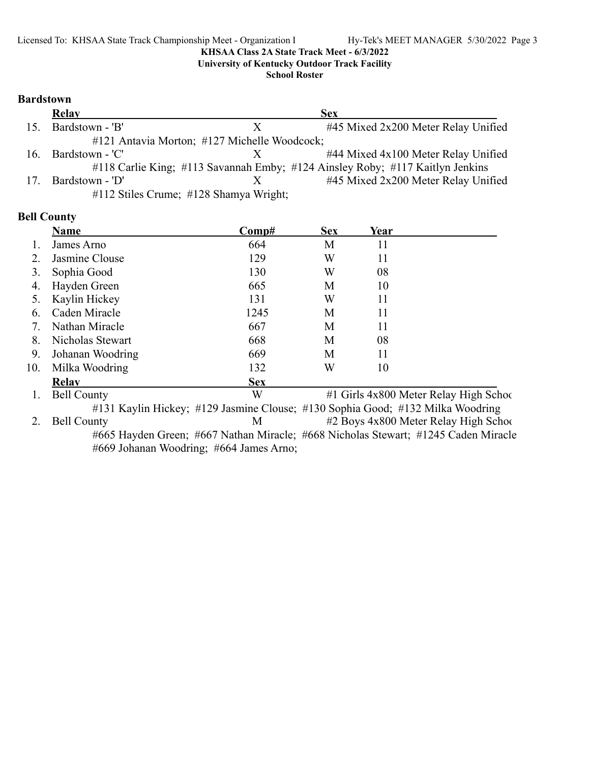**University of Kentucky Outdoor Track Facility**

**School Roster**

### **Bardstown**

|                 | <b>Relay</b>    |                                              | <b>Sex</b>                                                                    |
|-----------------|-----------------|----------------------------------------------|-------------------------------------------------------------------------------|
| 15 <sub>1</sub> | Bardstown - 'B' |                                              | #45 Mixed 2x200 Meter Relay Unified                                           |
|                 |                 | #121 Antavia Morton; #127 Michelle Woodcock; |                                                                               |
| 16.             | Bardstown - 'C' |                                              | #44 Mixed 4x100 Meter Relay Unified                                           |
|                 |                 |                                              | #118 Carlie King; #113 Savannah Emby; #124 Ainsley Roby; #117 Kaitlyn Jenkins |
| 17.             | Bardstown - 'D' |                                              | #45 Mixed 2x200 Meter Relay Unified                                           |
|                 |                 | #112 Stiles Crume; #128 Shamya Wright;       |                                                                               |

# **Bell County**

|     | <b>Name</b>        | $\bf Comp\#$                                                                   | <b>Sex</b> | Year |                                                                                    |
|-----|--------------------|--------------------------------------------------------------------------------|------------|------|------------------------------------------------------------------------------------|
|     | James Arno         | 664                                                                            | M          | 11   |                                                                                    |
| 2.  | Jasmine Clouse     | 129                                                                            | W          | 11   |                                                                                    |
| 3.  | Sophia Good        | 130                                                                            | W          | 08   |                                                                                    |
| 4.  | Hayden Green       | 665                                                                            | M          | 10   |                                                                                    |
|     | Kaylin Hickey      | 131                                                                            | W          | 11   |                                                                                    |
| 6.  | Caden Miracle      | 1245                                                                           | M          | 11   |                                                                                    |
| 7.  | Nathan Miracle     | 667                                                                            | M          | 11   |                                                                                    |
| 8.  | Nicholas Stewart   | 668                                                                            | M          | 08   |                                                                                    |
| 9.  | Johanan Woodring   | 669                                                                            | M          | 11   |                                                                                    |
| 10. | Milka Woodring     | 132                                                                            | W          | 10   |                                                                                    |
|     | <b>Relav</b>       | <b>Sex</b>                                                                     |            |      |                                                                                    |
|     | <b>Bell County</b> | W                                                                              |            |      | #1 Girls 4x800 Meter Relay High School                                             |
|     |                    | #131 Kaylin Hickey; #129 Jasmine Clouse; #130 Sophia Good; #132 Milka Woodring |            |      |                                                                                    |
| 2.  | <b>Bell County</b> | M                                                                              |            |      | #2 Boys 4x800 Meter Relay High School                                              |
|     |                    |                                                                                |            |      | #665 Hayden Green; #667 Nathan Miracle; #668 Nicholas Stewart; #1245 Caden Miracle |

#669 Johanan Woodring; #664 James Arno;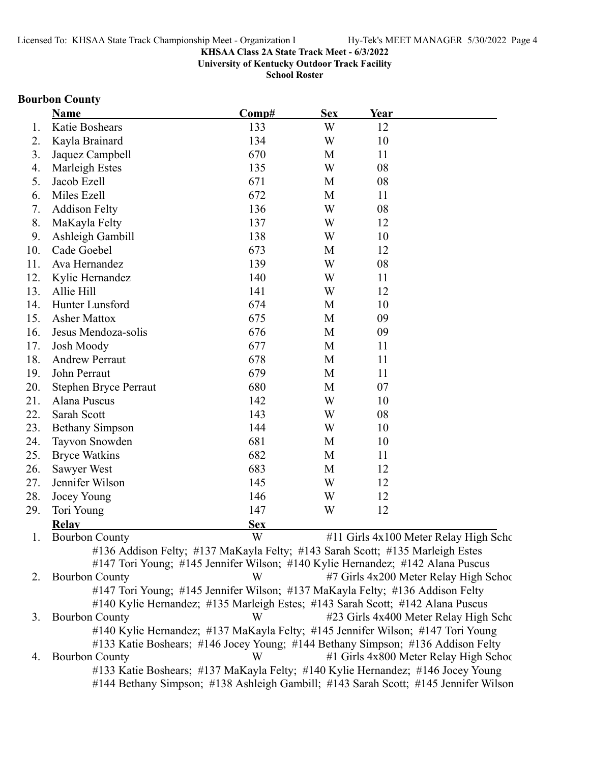**University of Kentucky Outdoor Track Facility**

**School Roster**

# **Bourbon County**

|     | <b>Name</b>                                                                         | Comp#      | <b>Sex</b> | Year |                                        |
|-----|-------------------------------------------------------------------------------------|------------|------------|------|----------------------------------------|
| 1.  | Katie Boshears                                                                      | 133        | W          | 12   |                                        |
| 2.  | Kayla Brainard                                                                      | 134        | W          | 10   |                                        |
| 3.  | Jaquez Campbell                                                                     | 670        | M          | 11   |                                        |
| 4.  | Marleigh Estes                                                                      | 135        | W          | 08   |                                        |
| 5.  | Jacob Ezell                                                                         | 671        | M          | 08   |                                        |
| 6.  | Miles Ezell                                                                         | 672        | M          | 11   |                                        |
| 7.  | <b>Addison Felty</b>                                                                | 136        | W          | 08   |                                        |
| 8.  | MaKayla Felty                                                                       | 137        | W          | 12   |                                        |
| 9.  | Ashleigh Gambill                                                                    | 138        | W          | 10   |                                        |
| 10. | Cade Goebel                                                                         | 673        | M          | 12   |                                        |
| 11. | Ava Hernandez                                                                       | 139        | W          | 08   |                                        |
| 12. | Kylie Hernandez                                                                     | 140        | W          | 11   |                                        |
| 13. | Allie Hill                                                                          | 141        | W          | 12   |                                        |
| 14. | Hunter Lunsford                                                                     | 674        | M          | 10   |                                        |
| 15. | <b>Asher Mattox</b>                                                                 | 675        | M          | 09   |                                        |
| 16. | Jesus Mendoza-solis                                                                 | 676        | M          | 09   |                                        |
| 17. | <b>Josh Moody</b>                                                                   | 677        | M          | 11   |                                        |
| 18. | <b>Andrew Perraut</b>                                                               | 678        | M          | 11   |                                        |
| 19. | John Perraut                                                                        | 679        | M          | 11   |                                        |
| 20. | <b>Stephen Bryce Perraut</b>                                                        | 680        | M          | 07   |                                        |
| 21. | Alana Puscus                                                                        | 142        | W          | 10   |                                        |
| 22. | Sarah Scott                                                                         | 143        | W          | 08   |                                        |
| 23. | <b>Bethany Simpson</b>                                                              | 144        | W          | 10   |                                        |
| 24. | Tayvon Snowden                                                                      | 681        | M          | 10   |                                        |
| 25. | <b>Bryce Watkins</b>                                                                | 682        | M          | 11   |                                        |
| 26. | Sawyer West                                                                         | 683        | M          | 12   |                                        |
| 27. | Jennifer Wilson                                                                     | 145        | W          | 12   |                                        |
| 28. | Jocey Young                                                                         | 146        | W          | 12   |                                        |
| 29. | Tori Young                                                                          | 147        | W          | 12   |                                        |
|     | <b>Relay</b>                                                                        | <b>Sex</b> |            |      |                                        |
| 1.  | <b>Bourbon County</b>                                                               | W          |            |      | #11 Girls 4x100 Meter Relay High Scho  |
|     | #136 Addison Felty; #137 MaKayla Felty; #143 Sarah Scott; #135 Marleigh Estes       |            |            |      |                                        |
|     | #147 Tori Young; #145 Jennifer Wilson; #140 Kylie Hernandez; #142 Alana Puscus      |            |            |      |                                        |
| 2.  | <b>Bourbon County</b>                                                               | W          |            |      | #7 Girls 4x200 Meter Relay High School |
|     | #147 Tori Young; #145 Jennifer Wilson; #137 MaKayla Felty; #136 Addison Felty       |            |            |      |                                        |
|     | #140 Kylie Hernandez; #135 Marleigh Estes; #143 Sarah Scott; #142 Alana Puscus      |            |            |      |                                        |
| 3.  | <b>Bourbon County</b>                                                               | W          |            |      | #23 Girls 4x400 Meter Relay High Scho  |
|     | #140 Kylie Hernandez; #137 MaKayla Felty; #145 Jennifer Wilson; #147 Tori Young     |            |            |      |                                        |
|     | #133 Katie Boshears; #146 Jocey Young; #144 Bethany Simpson; #136 Addison Felty     |            |            |      |                                        |
| 4.  | <b>Bourbon County</b>                                                               | W          |            |      | #1 Girls 4x800 Meter Relay High School |
|     | #133 Katie Boshears; #137 MaKayla Felty; #140 Kylie Hernandez; #146 Jocey Young     |            |            |      |                                        |
|     | #144 Bethany Simpson; #138 Ashleigh Gambill; #143 Sarah Scott; #145 Jennifer Wilson |            |            |      |                                        |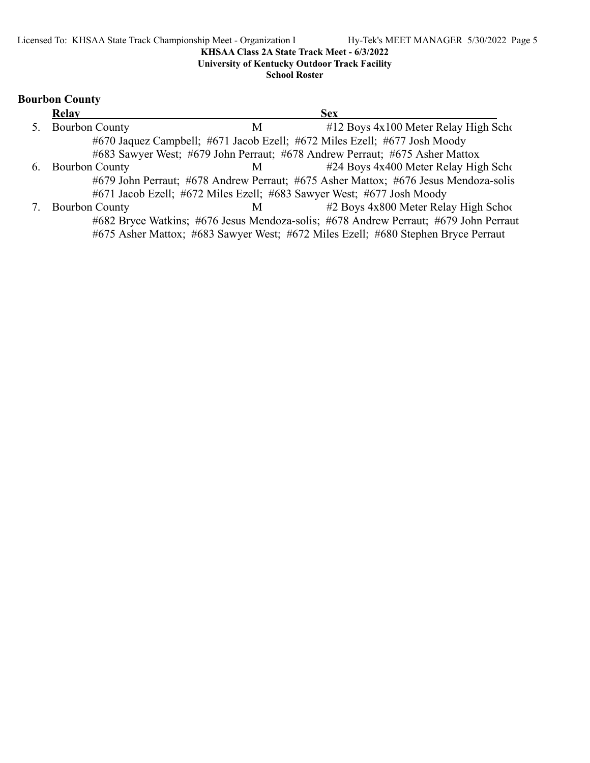**University of Kentucky Outdoor Track Facility**

**School Roster**

# **Bourbon County**

|    | <b>Relay</b>          |   | <b>Sex</b>                                                                           |
|----|-----------------------|---|--------------------------------------------------------------------------------------|
| 5. | <b>Bourbon County</b> | М | $#12$ Boys $4x100$ Meter Relay High Scho                                             |
|    |                       |   | #670 Jaquez Campbell; #671 Jacob Ezell; #672 Miles Ezell; #677 Josh Moody            |
|    |                       |   | #683 Sawyer West; #679 John Perraut; #678 Andrew Perraut; #675 Asher Mattox          |
|    | 6. Bourbon County     | M | #24 Boys 4x400 Meter Relay High Scho                                                 |
|    |                       |   | #679 John Perraut; #678 Andrew Perraut; #675 Asher Mattox; #676 Jesus Mendoza-solis  |
|    |                       |   | #671 Jacob Ezell; #672 Miles Ezell; #683 Sawyer West; #677 Josh Moody                |
| 7. | <b>Bourbon County</b> | M | #2 Boys 4x800 Meter Relay High School                                                |
|    |                       |   | #682 Bryce Watkins; #676 Jesus Mendoza-solis; #678 Andrew Perraut; #679 John Perraut |
|    |                       |   | #675 Asher Mattox; #683 Sawyer West; #672 Miles Ezell; #680 Stephen Bryce Perraut    |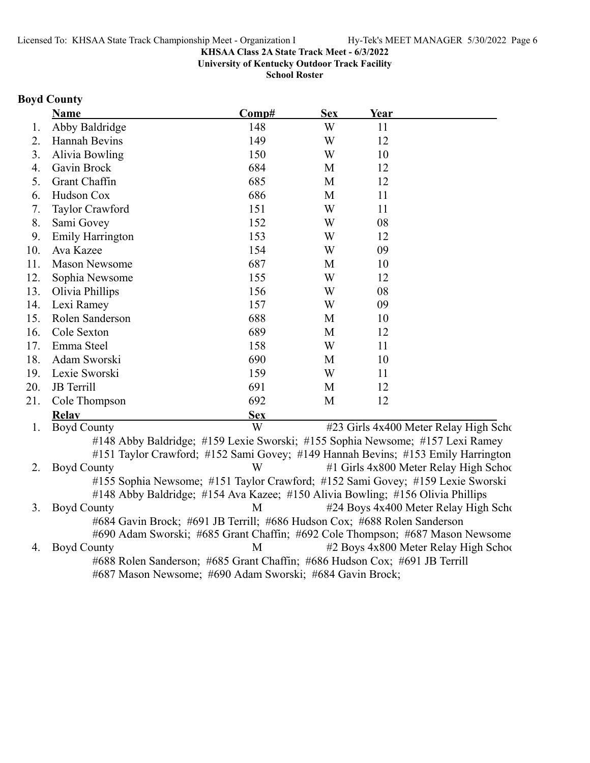**University of Kentucky Outdoor Track Facility**

**School Roster**

# **Boyd County**

|     | Name                                                                             | Comp#      | <b>Sex</b> | Year |                                       |
|-----|----------------------------------------------------------------------------------|------------|------------|------|---------------------------------------|
| 1.  | Abby Baldridge                                                                   | 148        | W          | 11   |                                       |
| 2.  | Hannah Bevins                                                                    | 149        | W          | 12   |                                       |
| 3.  | Alivia Bowling                                                                   | 150        | W          | 10   |                                       |
| 4.  | Gavin Brock                                                                      | 684        | M          | 12   |                                       |
| 5.  | <b>Grant Chaffin</b>                                                             | 685        | M          | 12   |                                       |
| 6.  | Hudson Cox                                                                       | 686        | M          | 11   |                                       |
| 7.  | Taylor Crawford                                                                  | 151        | W          | 11   |                                       |
| 8.  | Sami Govey                                                                       | 152        | W          | 08   |                                       |
| 9.  | Emily Harrington                                                                 | 153        | W          | 12   |                                       |
| 10. | Ava Kazee                                                                        | 154        | W          | 09   |                                       |
| 11. | <b>Mason Newsome</b>                                                             | 687        | M          | 10   |                                       |
| 12. | Sophia Newsome                                                                   | 155        | W          | 12   |                                       |
| 13. | Olivia Phillips                                                                  | 156        | W          | 08   |                                       |
| 14. | Lexi Ramey                                                                       | 157        | W          | 09   |                                       |
| 15. | Rolen Sanderson                                                                  | 688        | M          | 10   |                                       |
| 16. | Cole Sexton                                                                      | 689        | M          | 12   |                                       |
| 17. | Emma Steel                                                                       | 158        | W          | 11   |                                       |
| 18. | Adam Sworski                                                                     | 690        | M          | 10   |                                       |
| 19. | Lexie Sworski                                                                    | 159        | W          | 11   |                                       |
| 20. | <b>JB</b> Terrill                                                                | 691        | M          | 12   |                                       |
| 21. | Cole Thompson                                                                    | 692        | M          | 12   |                                       |
|     | <b>Relav</b>                                                                     | <b>Sex</b> |            |      |                                       |
| 1.  | <b>Boyd County</b>                                                               | W          |            |      | #23 Girls 4x400 Meter Relay High Scho |
|     | #148 Abby Baldridge; #159 Lexie Sworski; #155 Sophia Newsome; #157 Lexi Ramey    |            |            |      |                                       |
|     | #151 Taylor Crawford; #152 Sami Govey; #149 Hannah Bevins; #153 Emily Harrington |            |            |      |                                       |
| 2.  | <b>Boyd County</b>                                                               | W          |            |      | #1 Girls 4x800 Meter Relay High Schoo |
|     | #155 Sophia Newsome; #151 Taylor Crawford; #152 Sami Govey; #159 Lexie Sworski   |            |            |      |                                       |
|     | #148 Abby Baldridge; #154 Ava Kazee; #150 Alivia Bowling; #156 Olivia Phillips   |            |            |      |                                       |
| 3.  | <b>Boyd County</b>                                                               | M          |            |      | #24 Boys 4x400 Meter Relay High Scho  |
|     | #684 Gavin Brock; #691 JB Terrill; #686 Hudson Cox; #688 Rolen Sanderson         |            |            |      |                                       |
|     | #690 Adam Sworski; #685 Grant Chaffin; #692 Cole Thompson; #687 Mason Newsome    |            |            |      |                                       |
| 4.  | <b>Boyd County</b>                                                               | M          |            |      | #2 Boys 4x800 Meter Relay High School |

#688 Rolen Sanderson; #685 Grant Chaffin; #686 Hudson Cox; #691 JB Terrill #687 Mason Newsome; #690 Adam Sworski; #684 Gavin Brock;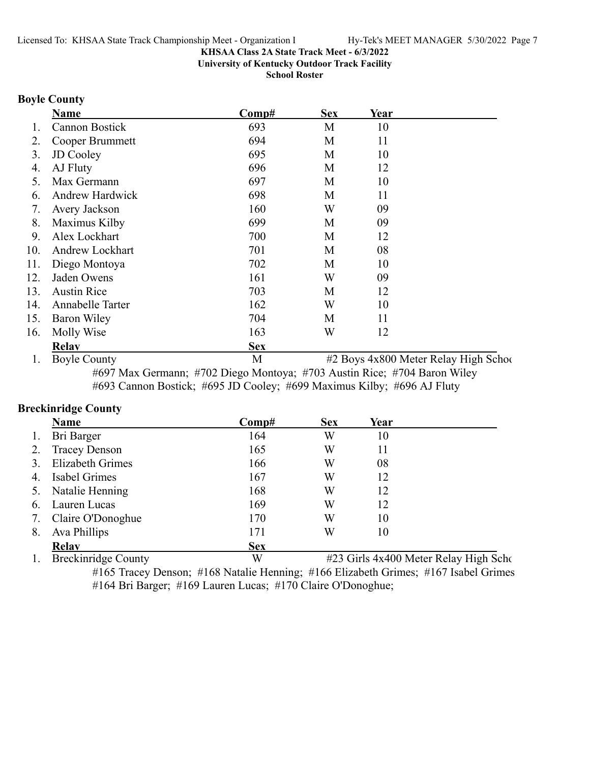**University of Kentucky Outdoor Track Facility**

**School Roster**

### **Boyle County**

|     | <b>Name</b>            | $\bf Comp#$ | <b>Sex</b> | Year |                                       |
|-----|------------------------|-------------|------------|------|---------------------------------------|
|     | Cannon Bostick         | 693         | M          | 10   |                                       |
| 2.  | Cooper Brummett        | 694         | M          | 11   |                                       |
| 3.  | <b>JD</b> Cooley       | 695         | M          | 10   |                                       |
| 4.  | AJ Fluty               | 696         | M          | 12   |                                       |
| 5.  | Max Germann            | 697         | M          | 10   |                                       |
| 6.  | Andrew Hardwick        | 698         | M          | 11   |                                       |
| 7.  | Avery Jackson          | 160         | W          | 09   |                                       |
| 8.  | Maximus Kilby          | 699         | M          | 09   |                                       |
| 9.  | Alex Lockhart          | 700         | M          | 12   |                                       |
| 10. | <b>Andrew Lockhart</b> | 701         | M          | 08   |                                       |
| 11. | Diego Montoya          | 702         | M          | 10   |                                       |
| 12. | Jaden Owens            | 161         | W          | 09   |                                       |
| 13. | <b>Austin Rice</b>     | 703         | M          | 12   |                                       |
| 14. | Annabelle Tarter       | 162         | W          | 10   |                                       |
| 15. | <b>Baron Wiley</b>     | 704         | M          | 11   |                                       |
| 16. | Molly Wise             | 163         | W          | 12   |                                       |
|     | <b>Relav</b>           | <b>Sex</b>  |            |      |                                       |
|     | <b>Boyle County</b>    | M           |            |      | #2 Boys 4x800 Meter Relay High School |

#697 Max Germann; #702 Diego Montoya; #703 Austin Rice; #704 Baron Wiley #693 Cannon Bostick; #695 JD Cooley; #699 Maximus Kilby; #696 AJ Fluty

### **Breckinridge County**

|    | <b>Name</b>             | Comp#      | <b>Sex</b> | Year |  |
|----|-------------------------|------------|------------|------|--|
| 1. | Bri Barger              | 164        | W          | 10   |  |
| 2. | <b>Tracey Denson</b>    | 165        | W          | 11   |  |
| 3. | <b>Elizabeth Grimes</b> | 166        | W          | 08   |  |
| 4. | Isabel Grimes           | 167        | W          | 12   |  |
|    | 5. Natalie Henning      | 168        | W          | 12   |  |
| 6. | Lauren Lucas            | 169        | W          | 12   |  |
| 7. | Claire O'Donoghue       | 170        | W          | 10   |  |
| 8. | Ava Phillips            | 171        | W          | 10   |  |
|    | <b>Relay</b>            | <b>Sex</b> |            |      |  |

1. Breckinridge County W #23 Girls 4x400 Meter Relay High Scho #165 Tracey Denson; #168 Natalie Henning; #166 Elizabeth Grimes; #167 Isabel Grimes #164 Bri Barger; #169 Lauren Lucas; #170 Claire O'Donoghue;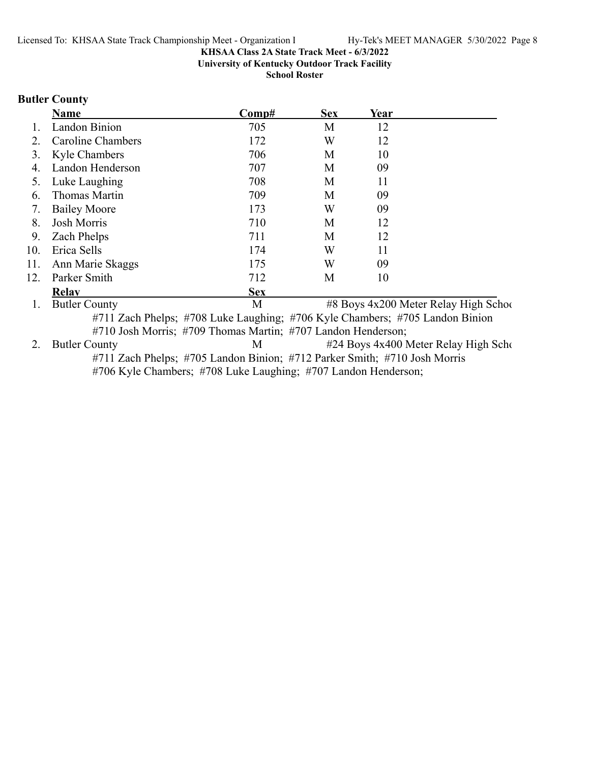**University of Kentucky Outdoor Track Facility**

**School Roster**

# **Butler County**

|     | Name                 | Comp#                                                                        | <b>Sex</b> | Year |                                       |
|-----|----------------------|------------------------------------------------------------------------------|------------|------|---------------------------------------|
|     | Landon Binion        | 705                                                                          | M          | 12   |                                       |
| 2.  | Caroline Chambers    | 172                                                                          | W          | 12   |                                       |
| 3.  | Kyle Chambers        | 706                                                                          | M          | 10   |                                       |
| 4.  | Landon Henderson     | 707                                                                          | M          | 09   |                                       |
| 5.  | Luke Laughing        | 708                                                                          | M          | 11   |                                       |
| 6.  | Thomas Martin        | 709                                                                          | М          | 09   |                                       |
| 7.  | <b>Bailey Moore</b>  | 173                                                                          | W          | 09   |                                       |
| 8.  | Josh Morris          | 710                                                                          | M          | 12   |                                       |
| 9.  | Zach Phelps          | 711                                                                          | М          | 12   |                                       |
| 10. | Erica Sells          | 174                                                                          | W          | 11   |                                       |
| 11. | Ann Marie Skaggs     | 175                                                                          | W          | 09   |                                       |
| 12. | Parker Smith         | 712                                                                          | М          | 10   |                                       |
|     | <b>Relay</b>         | <b>Sex</b>                                                                   |            |      |                                       |
| 1.  | <b>Butler County</b> | М                                                                            |            |      | #8 Boys 4x200 Meter Relay High School |
|     |                      | #711 Zach Phelps; #708 Luke Laughing; #706 Kyle Chambers; #705 Landon Binion |            |      |                                       |
|     |                      | #710 Josh Morris; #709 Thomas Martin; #707 Landon Henderson;                 |            |      |                                       |
| 2.  | <b>Butler County</b> | М                                                                            |            |      | #24 Boys 4x400 Meter Relay High Scho  |
|     |                      | #711 Zach Phelps; #705 Landon Binion; #712 Parker Smith; #710 Josh Morris    |            |      |                                       |
|     |                      | #706 Kyle Chambers; #708 Luke Laughing; #707 Landon Henderson;               |            |      |                                       |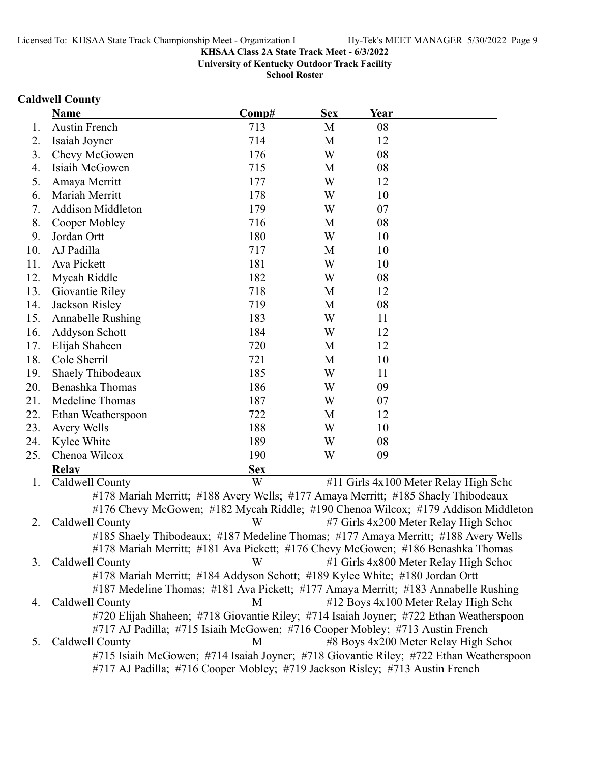**University of Kentucky Outdoor Track Facility**

**School Roster**

### **Caldwell County**

|     | Name                                                                                   | Comp#      | <b>Sex</b> | Year |                                                                                   |
|-----|----------------------------------------------------------------------------------------|------------|------------|------|-----------------------------------------------------------------------------------|
| 1.  | <b>Austin French</b>                                                                   | 713        | M          | 08   |                                                                                   |
| 2.  | Isaiah Joyner                                                                          | 714        | M          | 12   |                                                                                   |
| 3.  | Chevy McGowen                                                                          | 176        | W          | 08   |                                                                                   |
| 4.  | Isiaih McGowen                                                                         | 715        | M          | 08   |                                                                                   |
| 5.  | Amaya Merritt                                                                          | 177        | W          | 12   |                                                                                   |
| 6.  | Mariah Merritt                                                                         | 178        | W          | 10   |                                                                                   |
| 7.  | <b>Addison Middleton</b>                                                               | 179        | W          | 07   |                                                                                   |
| 8.  | Cooper Mobley                                                                          | 716        | M          | 08   |                                                                                   |
| 9.  | Jordan Ortt                                                                            | 180        | W          | 10   |                                                                                   |
| 10. | AJ Padilla                                                                             | 717        | M          | 10   |                                                                                   |
| 11. | Ava Pickett                                                                            | 181        | W          | 10   |                                                                                   |
| 12. | Mycah Riddle                                                                           | 182        | W          | 08   |                                                                                   |
| 13. | Giovantie Riley                                                                        | 718        | M          | 12   |                                                                                   |
| 14. | Jackson Risley                                                                         | 719        | M          | 08   |                                                                                   |
| 15. | Annabelle Rushing                                                                      | 183        | W          | 11   |                                                                                   |
| 16. | Addyson Schott                                                                         | 184        | W          | 12   |                                                                                   |
| 17. | Elijah Shaheen                                                                         | 720        | M          | 12   |                                                                                   |
| 18. | Cole Sherril                                                                           | 721        | M          | 10   |                                                                                   |
| 19. | Shaely Thibodeaux                                                                      | 185        | W          | 11   |                                                                                   |
| 20. | Benashka Thomas                                                                        | 186        | W          | 09   |                                                                                   |
| 21. | Medeline Thomas                                                                        | 187        | W          | 07   |                                                                                   |
| 22. | Ethan Weatherspoon                                                                     | 722        | M          | 12   |                                                                                   |
| 23. | Avery Wells                                                                            | 188        | W          | 10   |                                                                                   |
| 24. | Kylee White                                                                            | 189        | W          | 08   |                                                                                   |
| 25. | Chenoa Wilcox                                                                          | 190        | W          | 09   |                                                                                   |
|     | <b>Relav</b>                                                                           | <b>Sex</b> |            |      |                                                                                   |
| 1.  | Caldwell County                                                                        | W          |            |      | #11 Girls 4x100 Meter Relay High Scho                                             |
|     | #178 Mariah Merritt; #188 Avery Wells; #177 Amaya Merritt; #185 Shaely Thibodeaux      |            |            |      |                                                                                   |
|     |                                                                                        |            |            |      | #176 Chevy McGowen; #182 Mycah Riddle; #190 Chenoa Wilcox; #179 Addison Middleton |
| 2.  | Caldwell County                                                                        | W          |            |      | #7 Girls 4x200 Meter Relay High School                                            |
|     | #185 Shaely Thibodeaux; #187 Medeline Thomas; #177 Amaya Merritt; #188 Avery Wells     |            |            |      |                                                                                   |
|     | #178 Mariah Merritt; #181 Ava Pickett; #176 Chevy McGowen; #186 Benashka Thomas        |            |            |      |                                                                                   |
| 3.  | Caldwell County                                                                        | W          |            |      | #1 Girls 4x800 Meter Relay High School                                            |
|     | #178 Mariah Merritt; #184 Addyson Schott; #189 Kylee White; #180 Jordan Ortt           |            |            |      |                                                                                   |
|     | #187 Medeline Thomas; #181 Ava Pickett; #177 Amaya Merritt; #183 Annabelle Rushing     |            |            |      |                                                                                   |
| 4.  | Caldwell County                                                                        | M          |            |      | #12 Boys 4x100 Meter Relay High Scho                                              |
|     | #720 Elijah Shaheen; #718 Giovantie Riley; #714 Isaiah Joyner; #722 Ethan Weatherspoon |            |            |      |                                                                                   |
|     | #717 AJ Padilla; #715 Isiaih McGowen; #716 Cooper Mobley; #713 Austin French           |            |            |      |                                                                                   |

5. Caldwell County M #8 Boys 4x200 Meter Relay High School #715 Isiaih McGowen; #714 Isaiah Joyner; #718 Giovantie Riley; #722 Ethan Weatherspoon #717 AJ Padilla; #716 Cooper Mobley; #719 Jackson Risley; #713 Austin French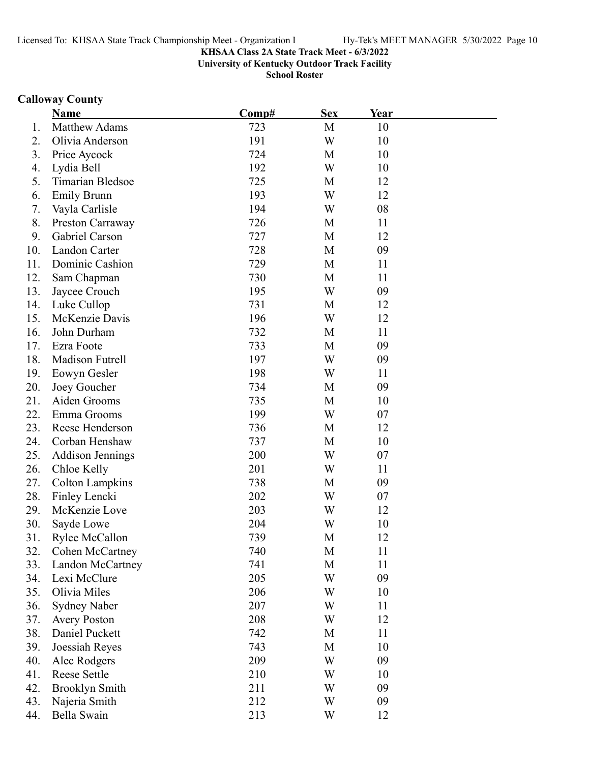**University of Kentucky Outdoor Track Facility**

**School Roster**

# **Calloway County**

|     | <b>Name</b>             | Comp# | <b>Sex</b> | Year |  |
|-----|-------------------------|-------|------------|------|--|
| 1.  | <b>Matthew Adams</b>    | 723   | M          | 10   |  |
| 2.  | Olivia Anderson         | 191   | W          | 10   |  |
| 3.  | Price Aycock            | 724   | M          | 10   |  |
| 4.  | Lydia Bell              | 192   | W          | 10   |  |
| 5.  | Timarian Bledsoe        | 725   | M          | 12   |  |
| 6.  | <b>Emily Brunn</b>      | 193   | W          | 12   |  |
| 7.  | Vayla Carlisle          | 194   | W          | 08   |  |
| 8.  | Preston Carraway        | 726   | M          | 11   |  |
| 9.  | Gabriel Carson          | 727   | M          | 12   |  |
| 10. | Landon Carter           | 728   | M          | 09   |  |
| 11. | Dominic Cashion         | 729   | M          | 11   |  |
| 12. | Sam Chapman             | 730   | M          | 11   |  |
| 13. | Jaycee Crouch           | 195   | W          | 09   |  |
| 14. | Luke Cullop             | 731   | M          | 12   |  |
| 15. | McKenzie Davis          | 196   | W          | 12   |  |
| 16. | John Durham             | 732   | M          | 11   |  |
| 17. | Ezra Foote              | 733   | M          | 09   |  |
| 18. | Madison Futrell         | 197   | W          | 09   |  |
| 19. | Eowyn Gesler            | 198   | W          | 11   |  |
| 20. | Joey Goucher            | 734   | M          | 09   |  |
| 21. | Aiden Grooms            | 735   | M          | 10   |  |
| 22. | Emma Grooms             | 199   | W          | 07   |  |
| 23. | Reese Henderson         | 736   | M          | 12   |  |
| 24. | Corban Henshaw          | 737   | M          | 10   |  |
| 25. | <b>Addison Jennings</b> | 200   | W          | 07   |  |
| 26. | Chloe Kelly             | 201   | W          | 11   |  |
| 27. | <b>Colton Lampkins</b>  | 738   | M          | 09   |  |
| 28. | Finley Lencki           | 202   | W          | 07   |  |
| 29. | McKenzie Love           | 203   | W          | 12   |  |
| 30. | Sayde Lowe              | 204   | W          | 10   |  |
| 31. | Rylee McCallon          | 739   | М          | 12   |  |
| 32. | Cohen McCartney         | 740   | M          | 11   |  |
| 33. | Landon McCartney        | 741   | M          | 11   |  |
| 34. | Lexi McClure            | 205   | W          | 09   |  |
| 35. | Olivia Miles            | 206   | W          | 10   |  |
| 36. | <b>Sydney Naber</b>     | 207   | W          | 11   |  |
| 37. | <b>Avery Poston</b>     | 208   | W          | 12   |  |
| 38. | Daniel Puckett          | 742   | M          | 11   |  |
| 39. | Joessiah Reyes          | 743   | M          | 10   |  |
| 40. | Alec Rodgers            | 209   | W          | 09   |  |
| 41. | Reese Settle            | 210   | W          | 10   |  |
| 42. | <b>Brooklyn Smith</b>   | 211   | W          | 09   |  |
| 43. | Najeria Smith           | 212   | W          | 09   |  |
| 44. | Bella Swain             | 213   | W          | 12   |  |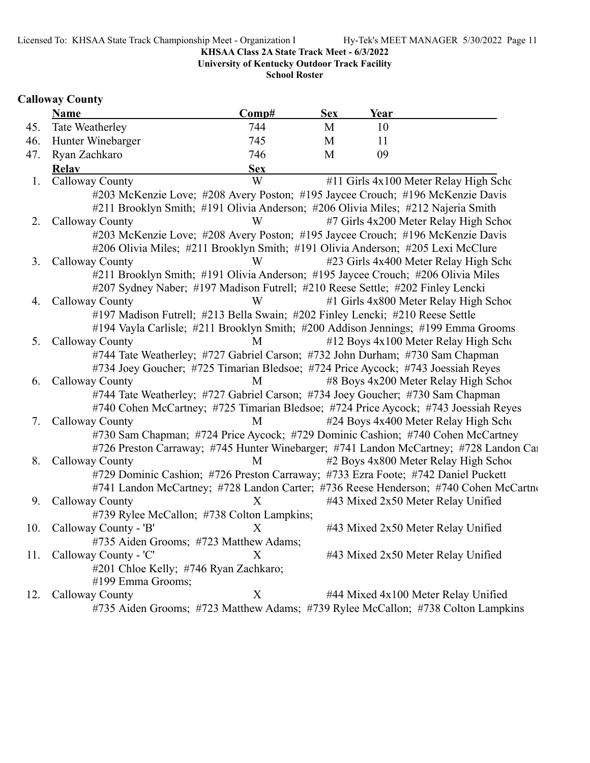**University of Kentucky Outdoor Track Facility**

**School Roster**

# **Calloway County**

|     | <b>Name</b>                                                                   | Comp#      | <b>Sex</b> | Year                                                                                  |  |
|-----|-------------------------------------------------------------------------------|------------|------------|---------------------------------------------------------------------------------------|--|
| 45. | Tate Weatherley                                                               | 744        | M          | 10                                                                                    |  |
| 46. | Hunter Winebarger                                                             | 745        | M          | 11                                                                                    |  |
| 47. | Ryan Zachkaro                                                                 | 746        | M          | 09                                                                                    |  |
|     | Relay                                                                         | <b>Sex</b> |            |                                                                                       |  |
| 1.  | Calloway County                                                               | W          |            | #11 Girls 4x100 Meter Relay High Scho                                                 |  |
|     |                                                                               |            |            | #203 McKenzie Love; #208 Avery Poston; #195 Jaycee Crouch; #196 McKenzie Davis        |  |
|     |                                                                               |            |            | #211 Brooklyn Smith; #191 Olivia Anderson; #206 Olivia Miles; #212 Najeria Smith      |  |
| 2.  | Calloway County                                                               | W          |            | #7 Girls 4x200 Meter Relay High School                                                |  |
|     |                                                                               |            |            | #203 McKenzie Love; #208 Avery Poston; #195 Jaycee Crouch; #196 McKenzie Davis        |  |
|     |                                                                               |            |            | #206 Olivia Miles; #211 Brooklyn Smith; #191 Olivia Anderson; #205 Lexi McClure       |  |
| 3.  | Calloway County                                                               | W          |            | #23 Girls 4x400 Meter Relay High Scho                                                 |  |
|     |                                                                               |            |            | #211 Brooklyn Smith; #191 Olivia Anderson; #195 Jaycee Crouch; #206 Olivia Miles      |  |
|     |                                                                               |            |            | #207 Sydney Naber; #197 Madison Futrell; #210 Reese Settle; #202 Finley Lencki        |  |
| 4.  | Calloway County                                                               | W          |            | #1 Girls 4x800 Meter Relay High Schoo                                                 |  |
|     | #197 Madison Futrell; #213 Bella Swain; #202 Finley Lencki; #210 Reese Settle |            |            |                                                                                       |  |
|     |                                                                               |            |            | #194 Vayla Carlisle; #211 Brooklyn Smith; #200 Addison Jennings; #199 Emma Grooms     |  |
| 5.  | Calloway County                                                               | M          |            | #12 Boys 4x100 Meter Relay High Scho                                                  |  |
|     |                                                                               |            |            | #744 Tate Weatherley; #727 Gabriel Carson; #732 John Durham; #730 Sam Chapman         |  |
|     |                                                                               |            |            | #734 Joey Goucher; #725 Timarian Bledsoe; #724 Price Aycock; #743 Joessiah Reyes      |  |
| 6.  | Calloway County                                                               | M          |            | #8 Boys 4x200 Meter Relay High School                                                 |  |
|     |                                                                               |            |            | #744 Tate Weatherley; #727 Gabriel Carson; #734 Joey Goucher; #730 Sam Chapman        |  |
|     |                                                                               |            |            | #740 Cohen McCartney; #725 Timarian Bledsoe; #724 Price Aycock; #743 Joessiah Reyes   |  |
| 7.  | Calloway County                                                               | M          |            | #24 Boys 4x400 Meter Relay High Scho                                                  |  |
|     |                                                                               |            |            | #730 Sam Chapman; #724 Price Aycock; #729 Dominic Cashion; #740 Cohen McCartney       |  |
|     |                                                                               |            |            | #726 Preston Carraway; #745 Hunter Winebarger; #741 Landon McCartney; #728 Landon Cal |  |
| 8.  | Calloway County                                                               | M          |            | #2 Boys 4x800 Meter Relay High School                                                 |  |
|     |                                                                               |            |            | #729 Dominic Cashion; #726 Preston Carraway; #733 Ezra Foote; #742 Daniel Puckett     |  |
|     |                                                                               |            |            | #741 Landon McCartney; #728 Landon Carter; #736 Reese Henderson; #740 Cohen McCartno  |  |
| 9.  | Calloway County                                                               | X          |            | #43 Mixed 2x50 Meter Relay Unified                                                    |  |
|     | #739 Rylee McCallon; #738 Colton Lampkins;                                    |            |            |                                                                                       |  |
| 10. | Calloway County - 'B'                                                         | X          |            | #43 Mixed 2x50 Meter Relay Unified                                                    |  |
|     | #735 Aiden Grooms; #723 Matthew Adams;                                        |            |            |                                                                                       |  |
| 11. | Calloway County - 'C'                                                         | X          |            | #43 Mixed 2x50 Meter Relay Unified                                                    |  |
|     | #201 Chloe Kelly; #746 Ryan Zachkaro;                                         |            |            |                                                                                       |  |
|     | #199 Emma Grooms;                                                             |            |            |                                                                                       |  |
| 12. | Calloway County                                                               | X          |            | #44 Mixed 4x100 Meter Relay Unified                                                   |  |
|     |                                                                               |            |            | #735 Aiden Grooms; #723 Matthew Adams; #739 Rylee McCallon; #738 Colton Lampkins      |  |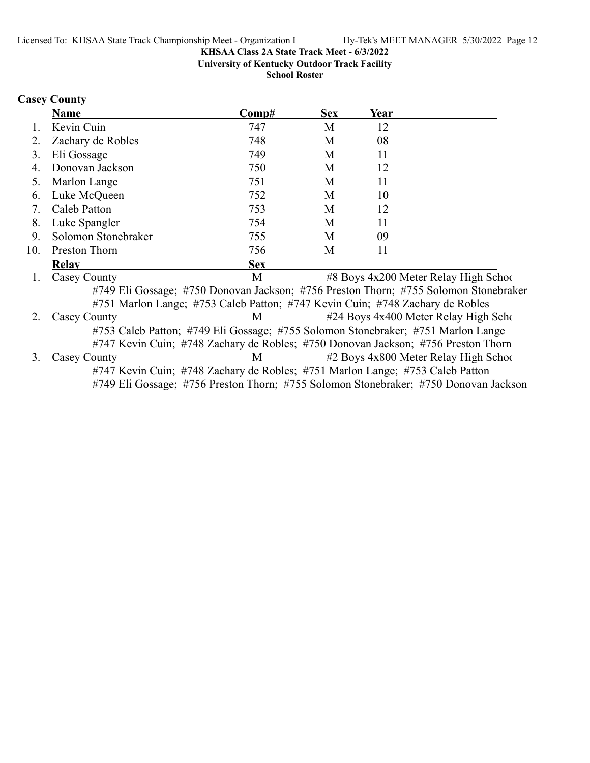**University of Kentucky Outdoor Track Facility**

**School Roster**

# **Casey County**

|     | <b>Name</b>                                                                       | Comp#      | <b>Sex</b> | Year |                                                                                      |
|-----|-----------------------------------------------------------------------------------|------------|------------|------|--------------------------------------------------------------------------------------|
|     | Kevin Cuin                                                                        | 747        | M          | 12   |                                                                                      |
| 2.  | Zachary de Robles                                                                 | 748        | M          | 08   |                                                                                      |
| 3.  | Eli Gossage                                                                       | 749        | M          | 11   |                                                                                      |
| 4.  | Donovan Jackson                                                                   | 750        | M          | 12   |                                                                                      |
| 5.  | Marlon Lange                                                                      | 751        | M          | 11   |                                                                                      |
| 6.  | Luke McQueen                                                                      | 752        | M          | 10   |                                                                                      |
| 7.  | Caleb Patton                                                                      | 753        | M          | 12   |                                                                                      |
| 8.  | Luke Spangler                                                                     | 754        | M          | 11   |                                                                                      |
| 9.  | Solomon Stonebraker                                                               | 755        | M          | 09   |                                                                                      |
| 10. | Preston Thorn                                                                     | 756        | M          | 11   |                                                                                      |
|     | <b>Relav</b>                                                                      | <b>Sex</b> |            |      |                                                                                      |
|     | Casey County                                                                      | M          |            |      | #8 Boys 4x200 Meter Relay High School                                                |
|     |                                                                                   |            |            |      | #749 Eli Gossage; #750 Donovan Jackson; #756 Preston Thorn; #755 Solomon Stonebraker |
|     | #751 Marlon Lange; #753 Caleb Patton; #747 Kevin Cuin; #748 Zachary de Robles     |            |            |      |                                                                                      |
| 2.  | Casey County                                                                      | M          |            |      | #24 Boys 4x400 Meter Relay High Scho                                                 |
|     | #753 Caleb Patton; #749 Eli Gossage; #755 Solomon Stonebraker; #751 Marlon Lange  |            |            |      |                                                                                      |
|     | #747 Kevin Cuin; #748 Zachary de Robles; #750 Donovan Jackson; #756 Preston Thorn |            |            |      |                                                                                      |
| 3.  | Casey County                                                                      | M          |            |      | #2 Boys 4x800 Meter Relay High School                                                |
|     | #747 Kevin Cuin; #748 Zachary de Robles; #751 Marlon Lange; #753 Caleb Patton     |            |            |      |                                                                                      |
|     |                                                                                   |            |            |      | #749 Eli Gossage; #756 Preston Thorn; #755 Solomon Stonebraker; #750 Donovan Jackson |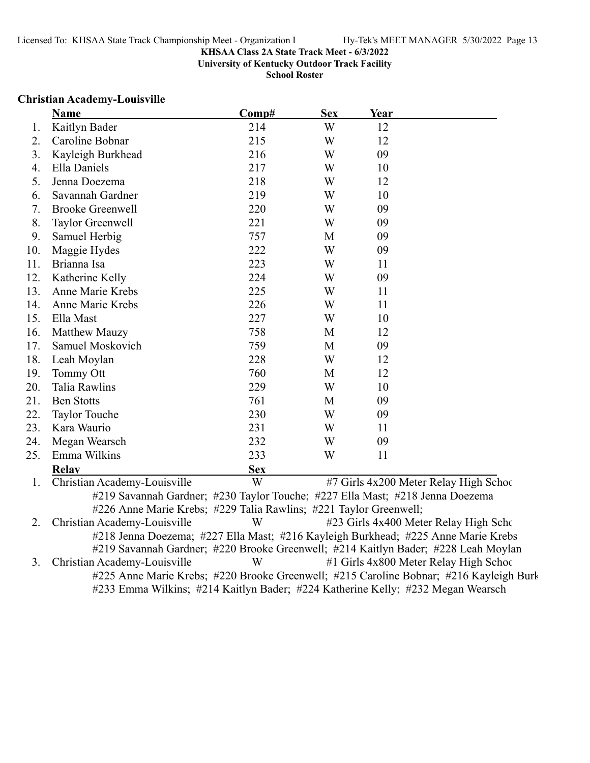**University of Kentucky Outdoor Track Facility**

**School Roster**

### **Christian Academy-Louisville**

|     | <b>Name</b>                                                       | Comp#      | <b>Sex</b> | Year                                                                          |  |
|-----|-------------------------------------------------------------------|------------|------------|-------------------------------------------------------------------------------|--|
| 1.  | Kaitlyn Bader                                                     | 214        | W          | 12                                                                            |  |
| 2.  | Caroline Bobnar                                                   | 215        | W          | 12                                                                            |  |
| 3.  | Kayleigh Burkhead                                                 | 216        | W          | 09                                                                            |  |
| 4.  | Ella Daniels                                                      | 217        | W          | 10                                                                            |  |
| 5.  | Jenna Doezema                                                     | 218        | W          | 12                                                                            |  |
| 6.  | Savannah Gardner                                                  | 219        | W          | 10                                                                            |  |
| 7.  | <b>Brooke Greenwell</b>                                           | 220        | W          | 09                                                                            |  |
| 8.  | Taylor Greenwell                                                  | 221        | W          | 09                                                                            |  |
| 9.  | Samuel Herbig                                                     | 757        | M          | 09                                                                            |  |
| 10. | Maggie Hydes                                                      | 222        | W          | 09                                                                            |  |
| 11. | Brianna Isa                                                       | 223        | W          | 11                                                                            |  |
| 12. | Katherine Kelly                                                   | 224        | W          | 09                                                                            |  |
| 13. | Anne Marie Krebs                                                  | 225        | W          | 11                                                                            |  |
| 14. | Anne Marie Krebs                                                  | 226        | W          | 11                                                                            |  |
| 15. | Ella Mast                                                         | 227        | W          | 10                                                                            |  |
| 16. | Matthew Mauzy                                                     | 758        | M          | 12                                                                            |  |
| 17. | Samuel Moskovich                                                  | 759        | M          | 09                                                                            |  |
| 18. | Leah Moylan                                                       | 228        | W          | 12                                                                            |  |
| 19. | Tommy Ott                                                         | 760        | M          | 12                                                                            |  |
| 20. | <b>Talia Rawlins</b>                                              | 229        | W          | 10                                                                            |  |
| 21. | <b>Ben Stotts</b>                                                 | 761        | M          | 09                                                                            |  |
| 22. | <b>Taylor Touche</b>                                              | 230        | W          | 09                                                                            |  |
| 23. | Kara Waurio                                                       | 231        | W          | 11                                                                            |  |
| 24. | Megan Wearsch                                                     | 232        | W          | 09                                                                            |  |
| 25. | Emma Wilkins                                                      | 233        | W          | 11                                                                            |  |
|     | <b>Relav</b>                                                      | <b>Sex</b> |            |                                                                               |  |
| 1.  | Christian Academy-Louisville                                      | W          |            | #7 Girls 4x200 Meter Relay High School                                        |  |
|     |                                                                   |            |            | #219 Savannah Gardner; #230 Taylor Touche; #227 Ella Mast; #218 Jenna Doezema |  |
|     | #226 Anne Marie Krebs; #229 Talia Rawlins; #221 Taylor Greenwell; |            |            |                                                                               |  |
| 2.  | Christian Academy-Louisville                                      | W          |            | #23 Girls 4x400 Meter Relay High Scho                                         |  |

#218 Jenna Doezema; #227 Ella Mast; #216 Kayleigh Burkhead; #225 Anne Marie Krebs #219 Savannah Gardner; #220 Brooke Greenwell; #214 Kaitlyn Bader; #228 Leah Moylan<br>Christian Academy-Louisville W #1 Girls 4x800 Meter Relay High Schoo 3. Christian Academy-Louisville W #1 Girls 4x800 Meter Relay High School #225 Anne Marie Krebs; #220 Brooke Greenwell; #215 Caroline Bobnar; #216 Kayleigh Burk #233 Emma Wilkins; #214 Kaitlyn Bader; #224 Katherine Kelly; #232 Megan Wearsch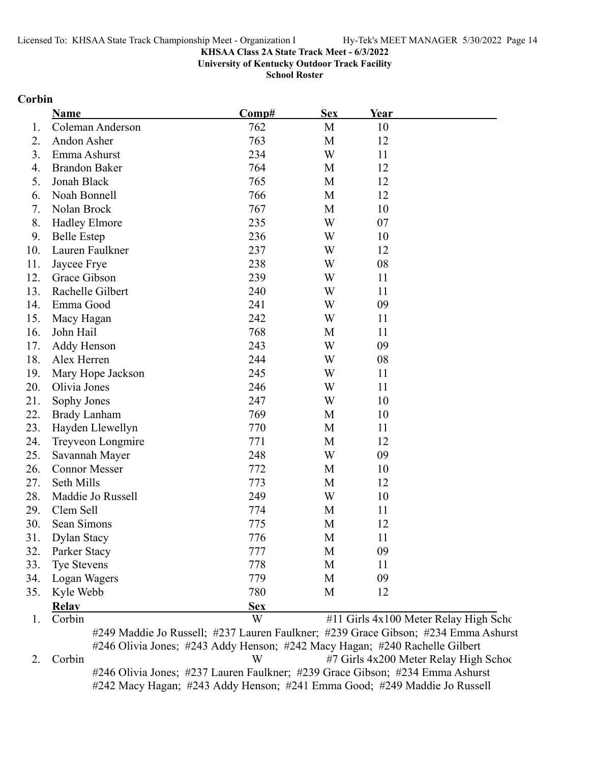**University of Kentucky Outdoor Track Facility**

**School Roster**

### **Corbin**

|     | Name                 | Comp#      | <b>Sex</b> | Year |                                       |
|-----|----------------------|------------|------------|------|---------------------------------------|
| 1.  | Coleman Anderson     | 762        | M          | 10   |                                       |
| 2.  | Andon Asher          | 763        | M          | 12   |                                       |
| 3.  | Emma Ashurst         | 234        | W          | 11   |                                       |
| 4.  | <b>Brandon Baker</b> | 764        | M          | 12   |                                       |
| 5.  | Jonah Black          | 765        | M          | 12   |                                       |
| 6.  | Noah Bonnell         | 766        | M          | 12   |                                       |
| 7.  | Nolan Brock          | 767        | M          | 10   |                                       |
| 8.  | Hadley Elmore        | 235        | W          | 07   |                                       |
| 9.  | <b>Belle Estep</b>   | 236        | W          | 10   |                                       |
| 10. | Lauren Faulkner      | 237        | W          | 12   |                                       |
| 11. | Jaycee Frye          | 238        | W          | 08   |                                       |
| 12. | Grace Gibson         | 239        | W          | 11   |                                       |
| 13. | Rachelle Gilbert     | 240        | W          | 11   |                                       |
| 14. | Emma Good            | 241        | W          | 09   |                                       |
| 15. | Macy Hagan           | 242        | W          | 11   |                                       |
| 16. | John Hail            | 768        | M          | 11   |                                       |
| 17. | Addy Henson          | 243        | W          | 09   |                                       |
| 18. | Alex Herren          | 244        | W          | 08   |                                       |
| 19. | Mary Hope Jackson    | 245        | W          | 11   |                                       |
| 20. | Olivia Jones         | 246        | W          | 11   |                                       |
| 21. | Sophy Jones          | 247        | W          | 10   |                                       |
| 22. | <b>Brady Lanham</b>  | 769        | M          | 10   |                                       |
| 23. | Hayden Llewellyn     | 770        | M          | 11   |                                       |
| 24. | Treyveon Longmire    | 771        | M          | 12   |                                       |
| 25. | Savannah Mayer       | 248        | W          | 09   |                                       |
| 26. | <b>Connor Messer</b> | 772        | M          | 10   |                                       |
| 27. | Seth Mills           | 773        | M          | 12   |                                       |
| 28. | Maddie Jo Russell    | 249        | W          | 10   |                                       |
| 29. | Clem Sell            | 774        | M          | 11   |                                       |
| 30. | Sean Simons          | 775        | M          | 12   |                                       |
| 31. | Dylan Stacy          | 776        | М          | 11   |                                       |
| 32. | Parker Stacy         | 777        | M          | 09   |                                       |
| 33. | Tye Stevens          | 778        | M          | 11   |                                       |
| 34. | Logan Wagers         | 779        | M          | 09   |                                       |
| 35. | Kyle Webb            | 780        | M          | 12   |                                       |
|     | <b>Relay</b>         | <b>Sex</b> |            |      |                                       |
|     | Corbin               | W          |            |      | #11 Girls 4x100 Meter Relay High Scho |

#249 Maddie Jo Russell; #237 Lauren Faulkner; #239 Grace Gibson; #234 Emma Ashurst #246 Olivia Jones; #243 Addy Henson; #242 Macy Hagan; #240 Rachelle Gilbert 2. Corbin W #7 Girls 4x200 Meter Relay High School #246 Olivia Jones; #237 Lauren Faulkner; #239 Grace Gibson; #234 Emma Ashurst #242 Macy Hagan; #243 Addy Henson; #241 Emma Good; #249 Maddie Jo Russell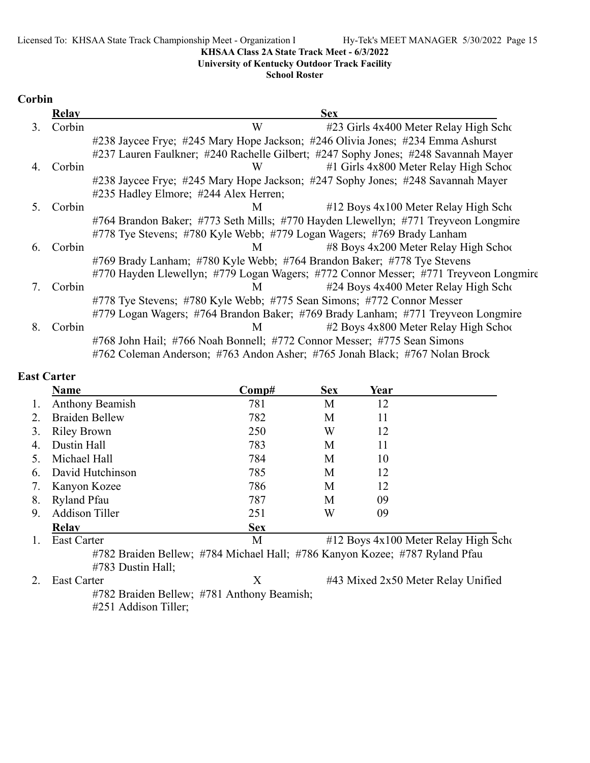### **University of Kentucky Outdoor Track Facility**

### **School Roster**

### **Corbin**

|    | Relay  | <b>Sex</b>                                                                           |
|----|--------|--------------------------------------------------------------------------------------|
| 3. | Corbin | W<br>#23 Girls 4x400 Meter Relay High Scho                                           |
|    |        | #238 Jaycee Frye; #245 Mary Hope Jackson; #246 Olivia Jones; #234 Emma Ashurst       |
|    |        | #237 Lauren Faulkner; #240 Rachelle Gilbert; #247 Sophy Jones; #248 Savannah Mayer   |
| 4. | Corbin | #1 Girls 4x800 Meter Relay High School<br>W                                          |
|    |        | #238 Jaycee Frye; #245 Mary Hope Jackson; #247 Sophy Jones; #248 Savannah Mayer      |
|    |        | #235 Hadley Elmore; #244 Alex Herren;                                                |
| 5. | Corbin | $\#12$ Boys $4x100$ Meter Relay High Scho<br>M                                       |
|    |        | #764 Brandon Baker; #773 Seth Mills; #770 Hayden Llewellyn; #771 Treyveon Longmire   |
|    |        | #778 Tye Stevens; #780 Kyle Webb; #779 Logan Wagers; #769 Brady Lanham               |
| 6. | Corbin | #8 Boys 4x200 Meter Relay High School<br>M                                           |
|    |        | #769 Brady Lanham; #780 Kyle Webb; #764 Brandon Baker; #778 Tye Stevens              |
|    |        | #770 Hayden Llewellyn; #779 Logan Wagers; #772 Connor Messer; #771 Treyveon Longmire |
|    | Corbin | #24 Boys 4x400 Meter Relay High Scho<br>M                                            |
|    |        | #778 Tye Stevens; #780 Kyle Webb; #775 Sean Simons; #772 Connor Messer               |
|    |        | #779 Logan Wagers; #764 Brandon Baker; #769 Brady Lanham; #771 Treyveon Longmire     |
| 8. | Corbin | #2 Boys 4x800 Meter Relay High School<br>M                                           |
|    |        | #768 John Hail; #766 Noah Bonnell; #772 Connor Messer; #775 Sean Simons              |
|    |        | #762 Coleman Anderson; #763 Andon Asher; #765 Jonah Black; #767 Nolan Brock          |

### **East Carter**

|    | Name                                                                        | Comp#      | <b>Sex</b> | Year |                                      |
|----|-----------------------------------------------------------------------------|------------|------------|------|--------------------------------------|
|    | <b>Anthony Beamish</b>                                                      | 781        | М          | 12   |                                      |
|    | <b>Braiden Bellew</b>                                                       | 782        | М          | 11   |                                      |
| 3. | <b>Riley Brown</b>                                                          | 250        | W          | 12   |                                      |
| 4. | Dustin Hall                                                                 | 783        | М          | 11   |                                      |
|    | Michael Hall                                                                | 784        | М          | 10   |                                      |
| 6. | David Hutchinson                                                            | 785        | М          | 12   |                                      |
|    | Kanyon Kozee                                                                | 786        | М          | 12   |                                      |
| 8. | <b>Ryland Pfau</b>                                                          | 787        | M          | 09   |                                      |
| 9. | <b>Addison Tiller</b>                                                       | 251        | W          | 09   |                                      |
|    | <b>Relav</b>                                                                | <b>Sex</b> |            |      |                                      |
|    | <b>East Carter</b>                                                          | M          |            |      | #12 Boys 4x100 Meter Relay High Scho |
|    | #782 Braiden Bellew; #784 Michael Hall; #786 Kanyon Kozee; #787 Ryland Pfau |            |            |      |                                      |
|    | $#783$ Dustin Hall;                                                         |            |            |      |                                      |

2. East Carter X #43 Mixed 2x50 Meter Relay Unified #782 Braiden Bellew; #781 Anthony Beamish; #251 Addison Tiller;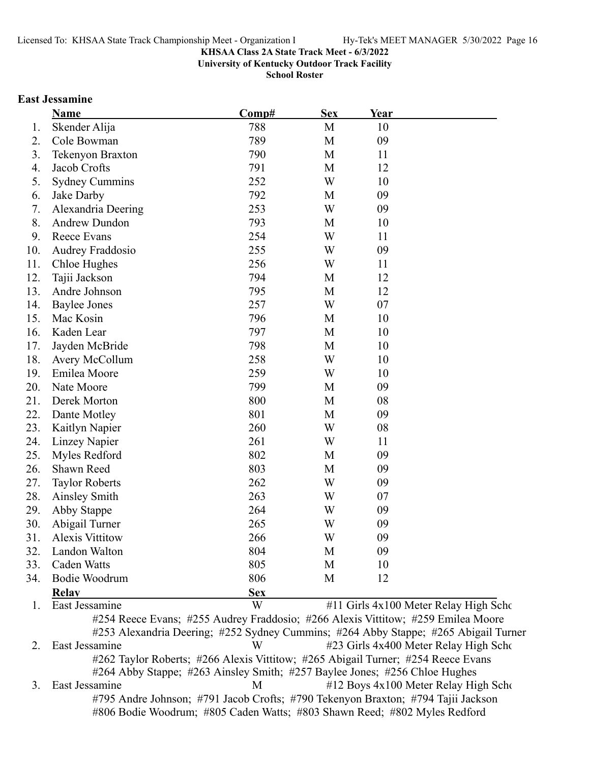**University of Kentucky Outdoor Track Facility**

**School Roster**

### **East Jessamine**

|     | <b>Name</b>           | Comp#      |   | <u>Year</u>                           |  |
|-----|-----------------------|------------|---|---------------------------------------|--|
| 1.  | Skender Alija         | 788        | M | 10                                    |  |
| 2.  | Cole Bowman           | 789        | M | 09                                    |  |
| 3.  | Tekenyon Braxton      | 790        | M | 11                                    |  |
| 4.  | Jacob Crofts          | 791        | M | 12                                    |  |
| 5.  | <b>Sydney Cummins</b> | 252        | W | 10                                    |  |
| 6.  | Jake Darby            | 792        | M | 09                                    |  |
| 7.  | Alexandria Deering    | 253        | W | 09                                    |  |
| 8.  | Andrew Dundon         | 793        | M | 10                                    |  |
| 9.  | Reece Evans           | 254        | W | 11                                    |  |
| 10. | Audrey Fraddosio      | 255        | W | 09                                    |  |
| 11. | Chloe Hughes          | 256        | W | 11                                    |  |
| 12. | Tajii Jackson         | 794        | M | 12                                    |  |
| 13. | Andre Johnson         | 795        | M | 12                                    |  |
| 14. | <b>Baylee Jones</b>   | 257        | W | 07                                    |  |
| 15. | Mac Kosin             | 796        | M | 10                                    |  |
| 16. | Kaden Lear            | 797        | M | 10                                    |  |
| 17. | Jayden McBride        | 798        | M | 10                                    |  |
| 18. | Avery McCollum        | 258        | W | 10                                    |  |
| 19. | Emilea Moore          | 259        | W | 10                                    |  |
| 20. | Nate Moore            | 799        | M | 09                                    |  |
| 21. | Derek Morton          | 800        | M | 08                                    |  |
| 22. | Dante Motley          | 801        | M | 09                                    |  |
| 23. | Kaitlyn Napier        | 260        | W | 08                                    |  |
| 24. | Linzey Napier         | 261        | W | 11                                    |  |
| 25. | Myles Redford         | 802        | M | 09                                    |  |
| 26. | Shawn Reed            | 803        | M | 09                                    |  |
| 27. | <b>Taylor Roberts</b> | 262        | W | 09                                    |  |
| 28. | Ainsley Smith         | 263        | W | 07                                    |  |
| 29. | Abby Stappe           | 264        | W | 09                                    |  |
| 30. | Abigail Turner        | 265        | W | 09                                    |  |
| 31. | Alexis Vittitow       | 266        | W | 09                                    |  |
| 32. | Landon Walton         | 804        | М | 09                                    |  |
| 33. | Caden Watts           | 805        | М | 10                                    |  |
| 34. | Bodie Woodrum         | 806        | М | 12                                    |  |
|     | <b>Relay</b>          | <b>Sex</b> |   |                                       |  |
| 1.  | East Jessamine        | W          |   | #11 Girls 4x100 Meter Relay High Scho |  |

#253 Alexandria Deering; #252 Sydney Cummins; #264 Abby Stappe; #265 Abigail Turner 2. East Jessamine W #23 Girls 4x400 Meter Relay High Scho #262 Taylor Roberts; #266 Alexis Vittitow; #265 Abigail Turner; #254 Reece Evans #264 Abby Stappe; #263 Ainsley Smith; #257 Baylee Jones; #256 Chloe Hughes 3. East Jessamine M #12 Boys 4x100 Meter Relay High Scho #795 Andre Johnson; #791 Jacob Crofts; #790 Tekenyon Braxton; #794 Tajii Jackson #806 Bodie Woodrum; #805 Caden Watts; #803 Shawn Reed; #802 Myles Redford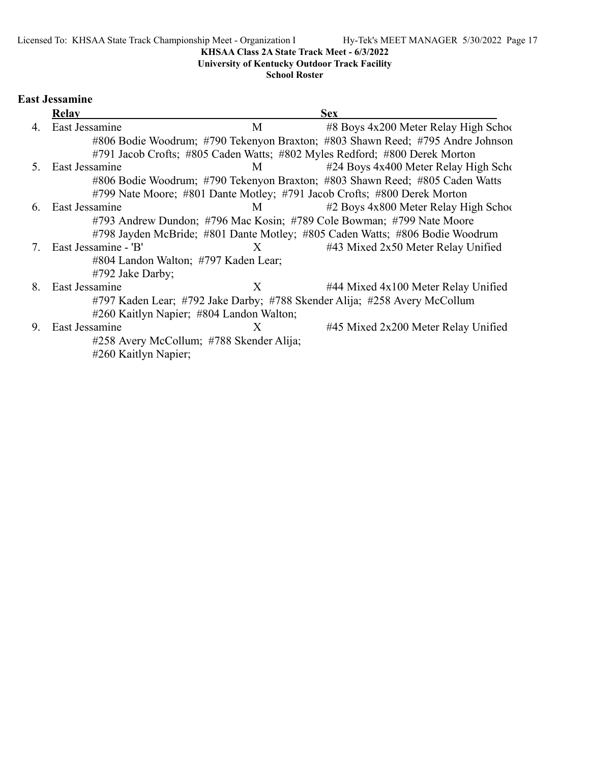# **University of Kentucky Outdoor Track Facility**

### **School Roster**

# **East Jessamine**

|    | Relay                                    |                                          | <b>Sex</b>                                                                     |
|----|------------------------------------------|------------------------------------------|--------------------------------------------------------------------------------|
| 4. | East Jessamine                           | M                                        | #8 Boys 4x200 Meter Relay High School                                          |
|    |                                          |                                          | #806 Bodie Woodrum; #790 Tekenyon Braxton; #803 Shawn Reed; #795 Andre Johnson |
|    |                                          |                                          | #791 Jacob Crofts; #805 Caden Watts; #802 Myles Redford; #800 Derek Morton     |
| 5. | East Jessamine                           | M                                        | #24 Boys 4x400 Meter Relay High Scho                                           |
|    |                                          |                                          | #806 Bodie Woodrum; #790 Tekenyon Braxton; #803 Shawn Reed; #805 Caden Watts   |
|    |                                          |                                          | #799 Nate Moore; #801 Dante Motley; #791 Jacob Crofts; #800 Derek Morton       |
| 6. | <b>East Jessamine</b>                    | M                                        | #2 Boys 4x800 Meter Relay High School                                          |
|    |                                          |                                          | #793 Andrew Dundon; #796 Mac Kosin; #789 Cole Bowman; #799 Nate Moore          |
|    |                                          |                                          | #798 Jayden McBride; #801 Dante Motley; #805 Caden Watts; #806 Bodie Woodrum   |
| 7. | East Jessamine - 'B'                     | X                                        | #43 Mixed 2x50 Meter Relay Unified                                             |
|    | #804 Landon Walton; #797 Kaden Lear;     |                                          |                                                                                |
|    | #792 Jake Darby;                         |                                          |                                                                                |
| 8. | East Jessamine                           | X                                        | $\#44$ Mixed $4x100$ Meter Relay Unified                                       |
|    |                                          |                                          | #797 Kaden Lear; #792 Jake Darby; #788 Skender Alija; #258 Avery McCollum      |
|    | #260 Kaitlyn Napier; #804 Landon Walton; |                                          |                                                                                |
| 9. | East Jessamine                           | X                                        | #45 Mixed 2x200 Meter Relay Unified                                            |
|    |                                          | #258 Avery McCollum; #788 Skender Alija; |                                                                                |
|    | #260 Kaitlyn Napier;                     |                                          |                                                                                |
|    |                                          |                                          |                                                                                |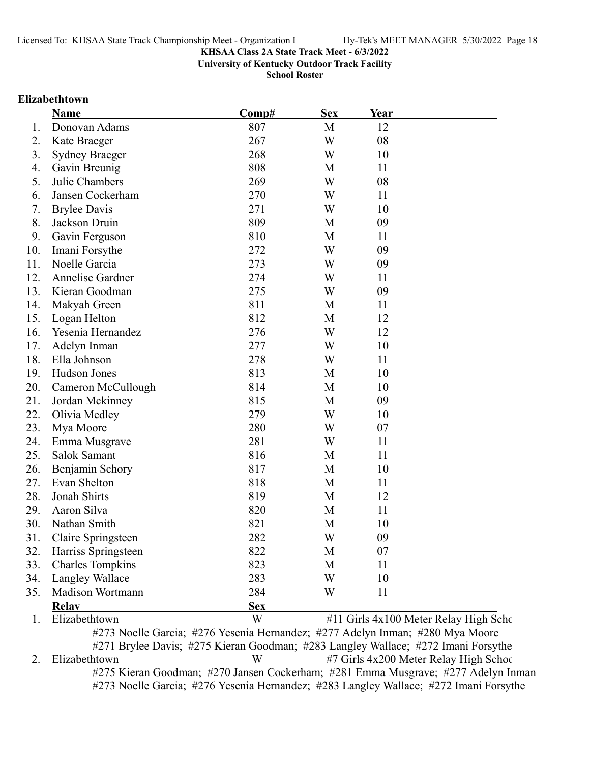**University of Kentucky Outdoor Track Facility**

**School Roster**

#### **Elizabethtown**

|     | Name                    | Comp#      | <b>Sex</b> | Year                                  |  |
|-----|-------------------------|------------|------------|---------------------------------------|--|
| 1.  | Donovan Adams           | 807        | M          | 12                                    |  |
| 2.  | Kate Braeger            | 267        | W          | 08                                    |  |
| 3.  | <b>Sydney Braeger</b>   | 268        | W          | 10                                    |  |
| 4.  | Gavin Breunig           | 808        | M          | 11                                    |  |
| 5.  | Julie Chambers          | 269        | W          | 08                                    |  |
| 6.  | Jansen Cockerham        | 270        | W          | 11                                    |  |
| 7.  | <b>Brylee Davis</b>     | 271        | W          | 10                                    |  |
| 8.  | Jackson Druin           | 809        | M          | 09                                    |  |
| 9.  | Gavin Ferguson          | 810        | M          | 11                                    |  |
| 10. | Imani Forsythe          | 272        | W          | 09                                    |  |
| 11. | Noelle Garcia           | 273        | W          | 09                                    |  |
| 12. | Annelise Gardner        | 274        | W          | 11                                    |  |
| 13. | Kieran Goodman          | 275        | W          | 09                                    |  |
| 14. | Makyah Green            | 811        | M          | 11                                    |  |
| 15. | Logan Helton            | 812        | M          | 12                                    |  |
| 16. | Yesenia Hernandez       | 276        | W          | 12                                    |  |
| 17. | Adelyn Inman            | 277        | W          | 10                                    |  |
| 18. | Ella Johnson            | 278        | W          | 11                                    |  |
| 19. | Hudson Jones            | 813        | M          | 10                                    |  |
| 20. | Cameron McCullough      | 814        | M          | 10                                    |  |
| 21. | Jordan Mckinney         | 815        | M          | 09                                    |  |
| 22. | Olivia Medley           | 279        | W          | 10                                    |  |
| 23. | Mya Moore               | 280        | W          | 07                                    |  |
| 24. | Emma Musgrave           | 281        | W          | 11                                    |  |
| 25. | Salok Samant            | 816        | M          | 11                                    |  |
| 26. | Benjamin Schory         | 817        | M          | 10                                    |  |
| 27. | Evan Shelton            | 818        | M          | 11                                    |  |
| 28. | Jonah Shirts            | 819        | M          | 12                                    |  |
| 29. | Aaron Silva             | 820        | M          | 11                                    |  |
| 30. | Nathan Smith            | 821        | M          | 10                                    |  |
| 31. | Claire Springsteen      | 282        | W          | 09                                    |  |
| 32. | Harriss Springsteen     | 822        | M          | 07                                    |  |
| 33. | <b>Charles Tompkins</b> | 823        | M          | 11                                    |  |
| 34. | Langley Wallace         | 283        | W          | 10                                    |  |
| 35. | Madison Wortmann        | 284        | W          | 11                                    |  |
|     | <b>Relav</b>            | <b>Sex</b> |            |                                       |  |
| 1.  | Elizabethtown           | W          |            | #11 Girls 4x100 Meter Relay High Scho |  |

#273 Noelle Garcia; #276 Yesenia Hernandez; #277 Adelyn Inman; #280 Mya Moore #271 Brylee Davis; #275 Kieran Goodman; #283 Langley Wallace; #272 Imani Forsythe 2. Elizabethtown W #7 Girls 4x200 Meter Relay High School #275 Kieran Goodman; #270 Jansen Cockerham; #281 Emma Musgrave; #277 Adelyn Inman #273 Noelle Garcia; #276 Yesenia Hernandez; #283 Langley Wallace; #272 Imani Forsythe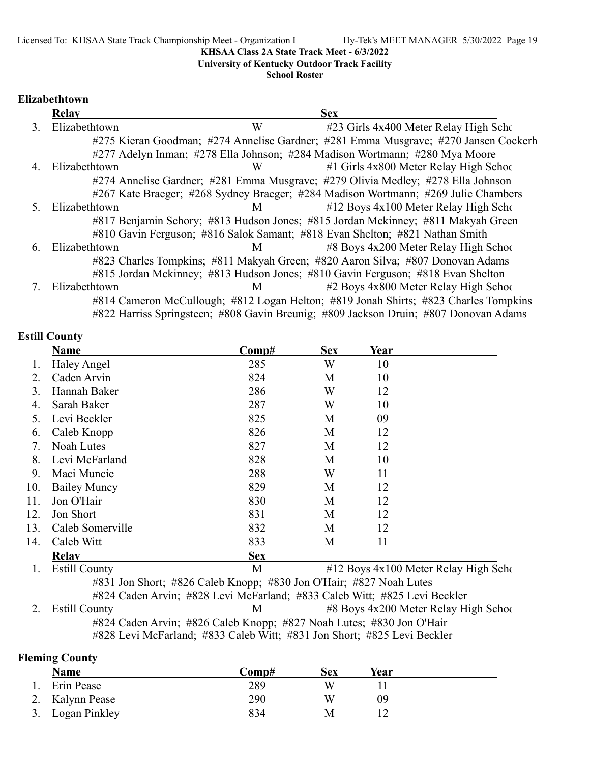**University of Kentucky Outdoor Track Facility**

**School Roster**

### **Elizabethtown**

|                | <b>Relay</b>  |   | <b>Sex</b>                                                                           |
|----------------|---------------|---|--------------------------------------------------------------------------------------|
| 3              | Elizabethtown | W | #23 Girls 4x400 Meter Relay High Scho                                                |
|                |               |   | #275 Kieran Goodman; #274 Annelise Gardner; #281 Emma Musgrave; #270 Jansen Cockerh  |
|                |               |   | #277 Adelyn Inman; #278 Ella Johnson; #284 Madison Wortmann; #280 Mya Moore          |
| $\overline{4}$ | Elizabethtown | W | #1 Girls 4x800 Meter Relay High School                                               |
|                |               |   | #274 Annelise Gardner; #281 Emma Musgrave; #279 Olivia Medley; #278 Ella Johnson     |
|                |               |   | #267 Kate Braeger; #268 Sydney Braeger; #284 Madison Wortmann; #269 Julie Chambers   |
| 5.             | Elizabethtown | M | $#12$ Boys $4x100$ Meter Relay High Scho                                             |
|                |               |   | #817 Benjamin Schory; #813 Hudson Jones; #815 Jordan Mckinney; #811 Makyah Green     |
|                |               |   | #810 Gavin Ferguson; #816 Salok Samant; #818 Evan Shelton; #821 Nathan Smith         |
| 6.             | Elizabethtown | M | #8 Boys 4x200 Meter Relay High School                                                |
|                |               |   | #823 Charles Tompkins; #811 Makyah Green; #820 Aaron Silva; #807 Donovan Adams       |
|                |               |   | #815 Jordan Mckinney; #813 Hudson Jones; #810 Gavin Ferguson; #818 Evan Shelton      |
|                | Elizabethtown | M | #2 Boys 4x800 Meter Relay High School                                                |
|                |               |   | #814 Cameron McCullough; #812 Logan Helton; #819 Jonah Shirts; #823 Charles Tompkins |
|                |               |   | #822 Harriss Springsteen; #808 Gavin Breunig; #809 Jackson Druin; #807 Donovan Adams |

### **Estill County**

|     | Name                                                               | Comp#      | <b>Sex</b> | Year |                                      |  |
|-----|--------------------------------------------------------------------|------------|------------|------|--------------------------------------|--|
|     | Haley Angel                                                        | 285        | W          | 10   |                                      |  |
| 2.  | Caden Arvin                                                        | 824        | M          | 10   |                                      |  |
| 3.  | Hannah Baker                                                       | 286        | W          | 12   |                                      |  |
| 4.  | Sarah Baker                                                        | 287        | W          | 10   |                                      |  |
| 5.  | Levi Beckler                                                       | 825        | M          | 09   |                                      |  |
| 6.  | Caleb Knopp                                                        | 826        | M          | 12   |                                      |  |
| 7.  | Noah Lutes                                                         | 827        | М          | 12   |                                      |  |
| 8.  | Levi McFarland                                                     | 828        | M          | 10   |                                      |  |
| 9.  | Maci Muncie                                                        | 288        | W          | 11   |                                      |  |
| 10. | <b>Bailey Muncy</b>                                                | 829        | М          | 12   |                                      |  |
| 11. | Jon O'Hair                                                         | 830        | М          | 12   |                                      |  |
| 12. | Jon Short                                                          | 831        | M          | 12   |                                      |  |
| 13. | Caleb Somerville                                                   | 832        | M          | 12   |                                      |  |
| 14. | Caleb Witt                                                         | 833        | M          | 11   |                                      |  |
|     | <b>Relav</b>                                                       | <b>Sex</b> |            |      |                                      |  |
|     | <b>Estill County</b>                                               | M          |            |      | #12 Boys 4x100 Meter Relay High Scho |  |
|     | #831 Jon Short; #826 Caleb Knopp; #830 Jon O'Hair; #827 Noah Lutes |            |            |      |                                      |  |

#824 Caden Arvin; #828 Levi McFarland; #833 Caleb Witt; #825 Levi Beckler 2. Estill County M #8 Boys 4x200 Meter Relay High School #824 Caden Arvin; #826 Caleb Knopp; #827 Noah Lutes; #830 Jon O'Hair

#828 Levi McFarland; #833 Caleb Witt; #831 Jon Short; #825 Levi Beckler

### **Fleming County**

| <b>Name</b>      | Comp# | Sex | Year |  |
|------------------|-------|-----|------|--|
| Erin Pease       | 289   |     |      |  |
| 2. Kalynn Pease  | 290   | W   | 09   |  |
| 3. Logan Pinkley | 834   | M   |      |  |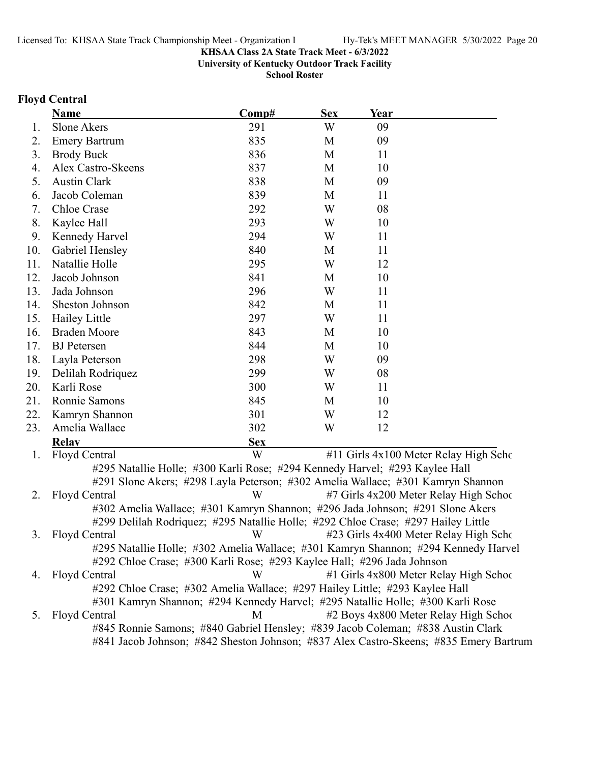**University of Kentucky Outdoor Track Facility**

**School Roster**

### **Floyd Central**

|     | <b>Name</b>          | Comp#      | <b>Sex</b> | <u>Year</u> |                                       |
|-----|----------------------|------------|------------|-------------|---------------------------------------|
| 1.  | Slone Akers          | 291        | W          | 09          |                                       |
| 2.  | <b>Emery Bartrum</b> | 835        | M          | 09          |                                       |
| 3.  | <b>Brody Buck</b>    | 836        | M          | 11          |                                       |
| 4.  | Alex Castro-Skeens   | 837        | M          | 10          |                                       |
| 5.  | <b>Austin Clark</b>  | 838        | M          | 09          |                                       |
| 6.  | Jacob Coleman        | 839        | M          | 11          |                                       |
| 7.  | Chloe Crase          | 292        | W          | 08          |                                       |
| 8.  | Kaylee Hall          | 293        | W          | 10          |                                       |
| 9.  | Kennedy Harvel       | 294        | W          | 11          |                                       |
| 10. | Gabriel Hensley      | 840        | M          | 11          |                                       |
| 11. | Natallie Holle       | 295        | W          | 12          |                                       |
| 12. | Jacob Johnson        | 841        | M          | 10          |                                       |
| 13. | Jada Johnson         | 296        | W          | 11          |                                       |
| 14. | Sheston Johnson      | 842        | M          | 11          |                                       |
| 15. | Hailey Little        | 297        | W          | 11          |                                       |
| 16. | <b>Braden Moore</b>  | 843        | M          | 10          |                                       |
| 17. | <b>BJ</b> Petersen   | 844        | M          | 10          |                                       |
| 18. | Layla Peterson       | 298        | W          | 09          |                                       |
| 19. | Delilah Rodriquez    | 299        | W          | 08          |                                       |
| 20. | Karli Rose           | 300        | W          | 11          |                                       |
| 21. | Ronnie Samons        | 845        | M          | 10          |                                       |
| 22. | Kamryn Shannon       | 301        | W          | 12          |                                       |
| 23. | Amelia Wallace       | 302        | W          | 12          |                                       |
|     | <b>Relav</b>         | <b>Sex</b> |            |             |                                       |
| 1.  | Floyd Central        | W          |            |             | #11 Girls 4x100 Meter Relay High Scho |

#295 Natallie Holle; #300 Karli Rose; #294 Kennedy Harvel; #293 Kaylee Hall #291 Slone Akers; #298 Layla Peterson; #302 Amelia Wallace; #301 Kamryn Shannon 2. Floyd Central W #7 Girls 4x200 Meter Relay High School #302 Amelia Wallace; #301 Kamryn Shannon; #296 Jada Johnson; #291 Slone Akers #299 Delilah Rodriquez; #295 Natallie Holle; #292 Chloe Crase; #297 Hailey Little 3. Floyd Central W #23 Girls 4x400 Meter Relay High Scho #295 Natallie Holle; #302 Amelia Wallace; #301 Kamryn Shannon; #294 Kennedy Harvel #292 Chloe Crase; #300 Karli Rose; #293 Kaylee Hall; #296 Jada Johnson 4. Floyd Central W #1 Girls 4x800 Meter Relay High School #292 Chloe Crase; #302 Amelia Wallace; #297 Hailey Little; #293 Kaylee Hall #301 Kamryn Shannon; #294 Kennedy Harvel; #295 Natallie Holle; #300 Karli Rose 5. Floyd Central M #2 Boys 4x800 Meter Relay High School #845 Ronnie Samons; #840 Gabriel Hensley; #839 Jacob Coleman; #838 Austin Clark #841 Jacob Johnson; #842 Sheston Johnson; #837 Alex Castro-Skeens; #835 Emery Bartrum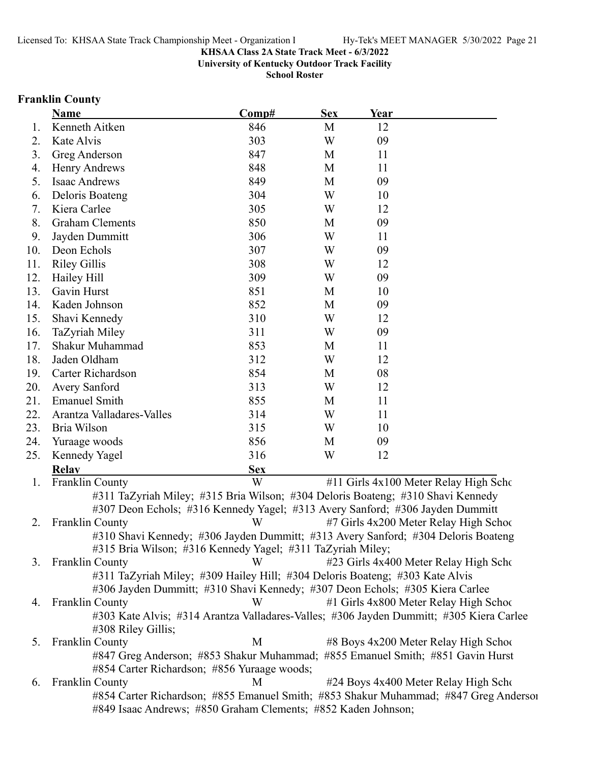**University of Kentucky Outdoor Track Facility**

**School Roster**

# **Franklin County**

|     | <b>Name</b>                                                                                                       | Comp#      | <b>Sex</b> | <u>Year</u> |                                        |
|-----|-------------------------------------------------------------------------------------------------------------------|------------|------------|-------------|----------------------------------------|
| 1.  | Kenneth Aitken                                                                                                    | 846        | M          | 12          |                                        |
| 2.  | Kate Alvis                                                                                                        | 303        | W          | 09          |                                        |
| 3.  | Greg Anderson                                                                                                     | 847        | M          | 11          |                                        |
| 4.  | Henry Andrews                                                                                                     | 848        | M          | 11          |                                        |
| 5.  | <b>Isaac Andrews</b>                                                                                              | 849        | M          | 09          |                                        |
| 6.  | Deloris Boateng                                                                                                   | 304        | W          | 10          |                                        |
| 7.  | Kiera Carlee                                                                                                      | 305        | W          | 12          |                                        |
| 8.  | <b>Graham Clements</b>                                                                                            | 850        | M          | 09          |                                        |
| 9.  | Jayden Dummitt                                                                                                    | 306        | W          | 11          |                                        |
| 10. | Deon Echols                                                                                                       | 307        | W          | 09          |                                        |
| 11. | <b>Riley Gillis</b>                                                                                               | 308        | W          | 12          |                                        |
| 12. | Hailey Hill                                                                                                       | 309        | W          | 09          |                                        |
| 13. | Gavin Hurst                                                                                                       | 851        | M          | 10          |                                        |
| 14. | Kaden Johnson                                                                                                     | 852        | M          | 09          |                                        |
| 15. | Shavi Kennedy                                                                                                     | 310        | W          | 12          |                                        |
| 16. | TaZyriah Miley                                                                                                    | 311        | W          | 09          |                                        |
| 17. | Shakur Muhammad                                                                                                   | 853        | M          | 11          |                                        |
| 18. | Jaden Oldham                                                                                                      | 312        | W          | 12          |                                        |
| 19. | Carter Richardson                                                                                                 | 854        | M          | 08          |                                        |
| 20. | Avery Sanford                                                                                                     | 313        | W          | 12          |                                        |
| 21. | <b>Emanuel Smith</b>                                                                                              | 855        | M          | 11          |                                        |
| 22. | Arantza Valladares-Valles                                                                                         | 314        | W          | 11          |                                        |
| 23. | Bria Wilson                                                                                                       | 315        | W          | 10          |                                        |
| 24. | Yuraage woods                                                                                                     | 856        | M          | 09          |                                        |
| 25. | Kennedy Yagel                                                                                                     | 316        | W          | 12          |                                        |
|     | <b>Relay</b>                                                                                                      | <b>Sex</b> |            |             |                                        |
| 1.  | Franklin County                                                                                                   | W          |            |             | #11 Girls 4x100 Meter Relay High Scho  |
|     | #311 TaZyriah Miley; #315 Bria Wilson; #304 Deloris Boateng; #310 Shavi Kennedy                                   |            |            |             |                                        |
|     | #307 Deon Echols; #316 Kennedy Yagel; #313 Avery Sanford; #306 Jayden Dummitt                                     |            |            |             |                                        |
| 2.  | <b>Franklin County</b>                                                                                            | W          |            |             | #7 Girls 4x200 Meter Relay High School |
|     | #310 Shavi Kennedy; #306 Jayden Dummitt; #313 Avery Sanford; #304 Deloris Boateng                                 |            |            |             |                                        |
|     | #315 Bria Wilson; #316 Kennedy Yagel; #311 TaZyriah Miley;                                                        |            |            |             |                                        |
| 3.  | <b>Franklin County</b>                                                                                            | W          |            |             | #23 Girls 4x400 Meter Relay High Scho  |
|     | #311 TaZyriah Miley; #309 Hailey Hill; #304 Deloris Boateng; #303 Kate Alvis                                      |            |            |             |                                        |
|     | #306 Jayden Dummitt; #310 Shavi Kennedy; #307 Deon Echols; #305 Kiera Carlee                                      | W          |            |             | #1 Girls 4x800 Meter Relay High School |
| 4.  | <b>Franklin County</b><br>#303 Kate Alvis; #314 Arantza Valladares-Valles; #306 Jayden Dummitt; #305 Kiera Carlee |            |            |             |                                        |
|     | #308 Riley Gillis;                                                                                                |            |            |             |                                        |
| 5.  | <b>Franklin County</b>                                                                                            | M          |            |             | #8 Boys 4x200 Meter Relay High School  |
|     | #847 Greg Anderson; #853 Shakur Muhammad; #855 Emanuel Smith; #851 Gavin Hurst                                    |            |            |             |                                        |
|     | #854 Carter Richardson; #856 Yuraage woods;                                                                       |            |            |             |                                        |
| 6.  | <b>Franklin County</b>                                                                                            | M          |            |             | #24 Boys 4x400 Meter Relay High Scho   |
|     | #854 Carter Richardson; #855 Emanuel Smith; #853 Shakur Muhammad; #847 Greg Anderson                              |            |            |             |                                        |
|     | #849 Isaac Andrews; #850 Graham Clements; #852 Kaden Johnson;                                                     |            |            |             |                                        |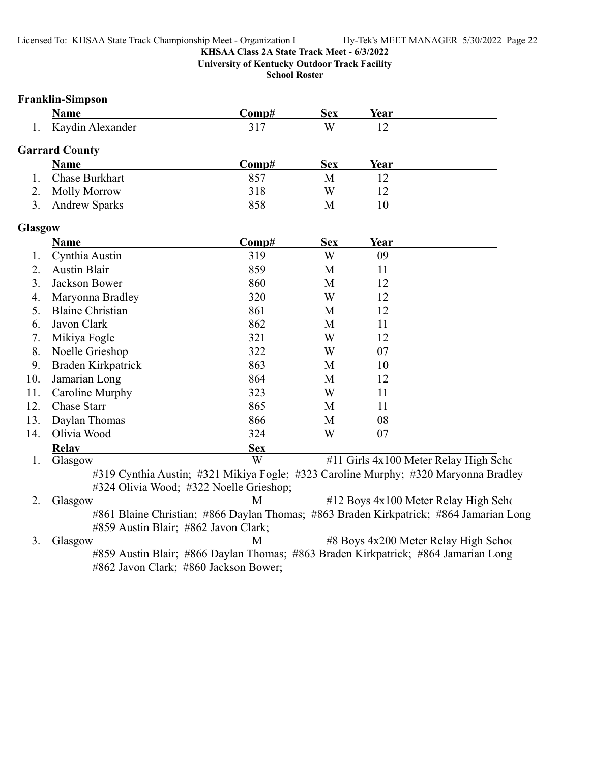**University of Kentucky Outdoor Track Facility**

**School Roster**

### **Franklin-Simpson**

|                | <b>Name</b>             | Comp#                                                                                                                          | <b>Sex</b> | Year        |                                          |
|----------------|-------------------------|--------------------------------------------------------------------------------------------------------------------------------|------------|-------------|------------------------------------------|
| 1.             | Kaydin Alexander        | 317                                                                                                                            | W          | 12          |                                          |
|                | <b>Garrard County</b>   |                                                                                                                                |            |             |                                          |
|                | <b>Name</b>             | Comp#                                                                                                                          | <b>Sex</b> | <u>Year</u> |                                          |
| 1.             | Chase Burkhart          | 857                                                                                                                            | M          | 12          |                                          |
| 2.             | <b>Molly Morrow</b>     | 318                                                                                                                            | W          | 12          |                                          |
| 3.             | <b>Andrew Sparks</b>    | 858                                                                                                                            | M          | 10          |                                          |
| <b>Glasgow</b> |                         |                                                                                                                                |            |             |                                          |
|                | <b>Name</b>             | Comp#                                                                                                                          | <b>Sex</b> | Year        |                                          |
| 1.             | Cynthia Austin          | 319                                                                                                                            | W          | 09          |                                          |
| 2.             | <b>Austin Blair</b>     | 859                                                                                                                            | M          | 11          |                                          |
| 3.             | Jackson Bower           | 860                                                                                                                            | M          | 12          |                                          |
| 4.             | Maryonna Bradley        | 320                                                                                                                            | W          | 12          |                                          |
| 5.             | <b>Blaine Christian</b> | 861                                                                                                                            | M          | 12          |                                          |
| 6.             | Javon Clark             | 862                                                                                                                            | M          | 11          |                                          |
| 7.             | Mikiya Fogle            | 321                                                                                                                            | W          | 12          |                                          |
| 8.             | Noelle Grieshop         | 322                                                                                                                            | W          | 07          |                                          |
| 9.             | Braden Kirkpatrick      | 863                                                                                                                            | M          | 10          |                                          |
| 10.            | Jamarian Long           | 864                                                                                                                            | M          | 12          |                                          |
| 11.            | Caroline Murphy         | 323                                                                                                                            | W          | 11          |                                          |
| 12.            | Chase Starr             | 865                                                                                                                            | M          | 11          |                                          |
| 13.            | Daylan Thomas           | 866                                                                                                                            | M          | 08          |                                          |
| 14.            | Olivia Wood             | 324                                                                                                                            | W          | 07          |                                          |
|                | <b>Relav</b>            | <b>Sex</b>                                                                                                                     |            |             |                                          |
| 1.             | Glasgow                 | W                                                                                                                              |            |             | #11 Girls 4x100 Meter Relay High Scho    |
|                |                         | #319 Cynthia Austin; #321 Mikiya Fogle; #323 Caroline Murphy; #320 Maryonna Bradley<br>#324 Olivia Wood; #322 Noelle Grieshop; |            |             |                                          |
| ◠              | $C_{0.98}$              |                                                                                                                                |            |             | $#12$ Deve $4x100$ Meter Delay High Sept |

2. Glasgow M #12 Boys 4x100 Meter Relay High Scho #861 Blaine Christian; #866 Daylan Thomas; #863 Braden Kirkpatrick; #864 Jamarian Long #859 Austin Blair; #862 Javon Clark;

3. Glasgow M #8 Boys 4x200 Meter Relay High School #859 Austin Blair; #866 Daylan Thomas; #863 Braden Kirkpatrick; #864 Jamarian Long #862 Javon Clark; #860 Jackson Bower;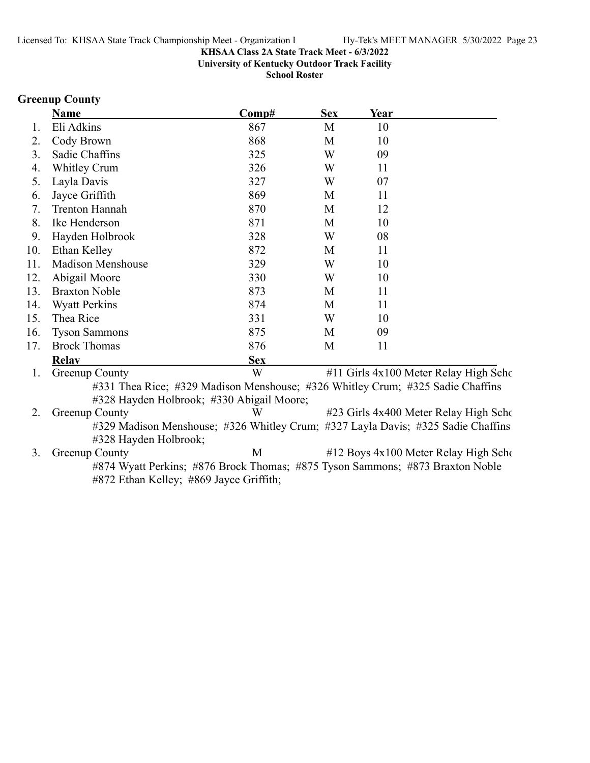**University of Kentucky Outdoor Track Facility**

**School Roster**

### **Greenup County**

|     | <b>Name</b>                                                                      | Comp#      | <b>Sex</b> | Year |                                       |
|-----|----------------------------------------------------------------------------------|------------|------------|------|---------------------------------------|
| Ι.  | Eli Adkins                                                                       | 867        | M          | 10   |                                       |
| 2.  | Cody Brown                                                                       | 868        | M          | 10   |                                       |
| 3.  | Sadie Chaffins                                                                   | 325        | W          | 09   |                                       |
| 4.  | Whitley Crum                                                                     | 326        | W          | 11   |                                       |
| 5.  | Layla Davis                                                                      | 327        | W          | 07   |                                       |
| 6.  | Jayce Griffith                                                                   | 869        | M          | 11   |                                       |
| 7.  | <b>Trenton Hannah</b>                                                            | 870        | M          | 12   |                                       |
| 8.  | Ike Henderson                                                                    | 871        | M          | 10   |                                       |
| 9.  | Hayden Holbrook                                                                  | 328        | W          | 08   |                                       |
| 10. | Ethan Kelley                                                                     | 872        | M          | 11   |                                       |
| 11. | <b>Madison Menshouse</b>                                                         | 329        | W          | 10   |                                       |
| 12. | Abigail Moore                                                                    | 330        | W          | 10   |                                       |
| 13. | <b>Braxton Noble</b>                                                             | 873        | M          | 11   |                                       |
| 14. | <b>Wyatt Perkins</b>                                                             | 874        | M          | 11   |                                       |
| 15. | Thea Rice                                                                        | 331        | W          | 10   |                                       |
| 16. | <b>Tyson Sammons</b>                                                             | 875        | M          | 09   |                                       |
| 17. | <b>Brock Thomas</b>                                                              | 876        | M          | 11   |                                       |
|     | <b>Relay</b>                                                                     | <b>Sex</b> |            |      |                                       |
| 1.  | Greenup County                                                                   | W          |            |      | #11 Girls 4x100 Meter Relay High Scho |
|     | #331 Thea Rice; #329 Madison Menshouse; #326 Whitley Crum; #325 Sadie Chaffins   |            |            |      |                                       |
|     | #328 Hayden Holbrook; #330 Abigail Moore;                                        |            |            |      |                                       |
| 2.  | <b>Greenup County</b>                                                            | W          |            |      | #23 Girls 4x400 Meter Relay High Scho |
|     | #329 Madison Menshouse; #326 Whitley Crum; #327 Layla Davis; #325 Sadie Chaffins |            |            |      |                                       |
|     | #328 Hayden Holbrook;                                                            |            |            |      |                                       |

3. Greenup County M #12 Boys 4x100 Meter Relay High Scho #874 Wyatt Perkins; #876 Brock Thomas; #875 Tyson Sammons; #873 Braxton Noble #872 Ethan Kelley; #869 Jayce Griffith;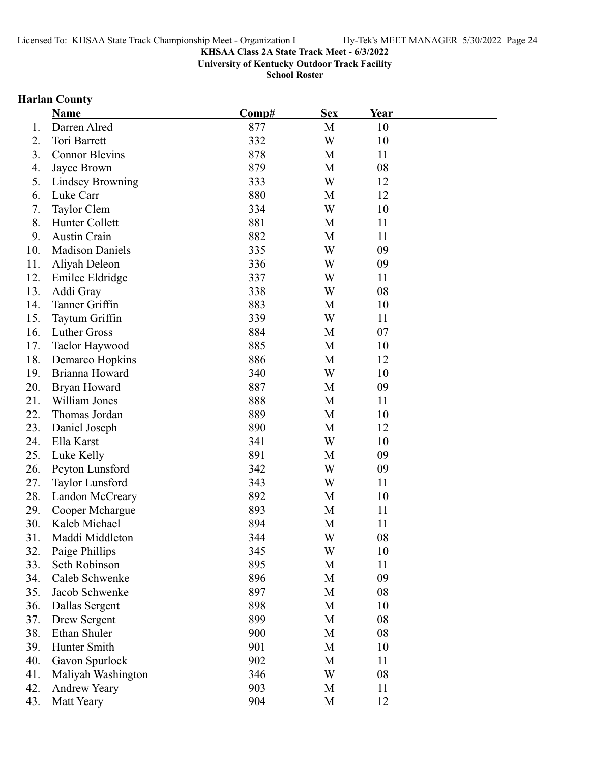**University of Kentucky Outdoor Track Facility**

**School Roster**

# **Harlan County**

|     | <b>Name</b>             | Comp# | <b>Sex</b> | Year |  |
|-----|-------------------------|-------|------------|------|--|
| 1.  | Darren Alred            | 877   | M          | 10   |  |
| 2.  | Tori Barrett            | 332   | W          | 10   |  |
| 3.  | <b>Connor Blevins</b>   | 878   | M          | 11   |  |
| 4.  | Jayce Brown             | 879   | M          | 08   |  |
| 5.  | <b>Lindsey Browning</b> | 333   | W          | 12   |  |
| 6.  | Luke Carr               | 880   | M          | 12   |  |
| 7.  | Taylor Clem             | 334   | W          | 10   |  |
| 8.  | Hunter Collett          | 881   | M          | 11   |  |
| 9.  | <b>Austin Crain</b>     | 882   | M          | 11   |  |
| 10. | <b>Madison Daniels</b>  | 335   | W          | 09   |  |
| 11. | Aliyah Deleon           | 336   | W          | 09   |  |
| 12. | Emilee Eldridge         | 337   | W          | 11   |  |
| 13. | Addi Gray               | 338   | W          | 08   |  |
| 14. | Tanner Griffin          | 883   | M          | 10   |  |
| 15. | Taytum Griffin          | 339   | W          | 11   |  |
| 16. | Luther Gross            | 884   | M          | 07   |  |
| 17. | Taelor Haywood          | 885   | M          | 10   |  |
| 18. | Demarco Hopkins         | 886   | M          | 12   |  |
| 19. | Brianna Howard          | 340   | W          | 10   |  |
| 20. | Bryan Howard            | 887   | M          | 09   |  |
| 21. | William Jones           | 888   | M          | 11   |  |
| 22. | Thomas Jordan           | 889   | M          | 10   |  |
| 23. | Daniel Joseph           | 890   | M          | 12   |  |
| 24. | Ella Karst              | 341   | W          | 10   |  |
| 25. | Luke Kelly              | 891   | M          | 09   |  |
| 26. | Peyton Lunsford         | 342   | W          | 09   |  |
| 27. | Taylor Lunsford         | 343   | W          | 11   |  |
| 28. | Landon McCreary         | 892   | M          | 10   |  |
| 29. | Cooper Mchargue         | 893   | M          | 11   |  |
| 30. | Kaleb Michael           | 894   | M          | 11   |  |
| 31. | Maddi Middleton         | 344   | W          | 08   |  |
| 32. | Paige Phillips          | 345   | W          | 10   |  |
| 33. | Seth Robinson           | 895   | M          | 11   |  |
| 34. | Caleb Schwenke          | 896   | M          | 09   |  |
| 35. | Jacob Schwenke          | 897   | M          | 08   |  |
| 36. | Dallas Sergent          | 898   | M          | 10   |  |
| 37. | Drew Sergent            | 899   | M          | 08   |  |
| 38. | Ethan Shuler            | 900   | M          | 08   |  |
| 39. | Hunter Smith            | 901   | M          | 10   |  |
| 40. | Gavon Spurlock          | 902   | M          | 11   |  |
| 41. | Maliyah Washington      | 346   | W          | 08   |  |
| 42. | <b>Andrew Yeary</b>     | 903   | M          | 11   |  |
| 43. | Matt Yeary              | 904   | M          | 12   |  |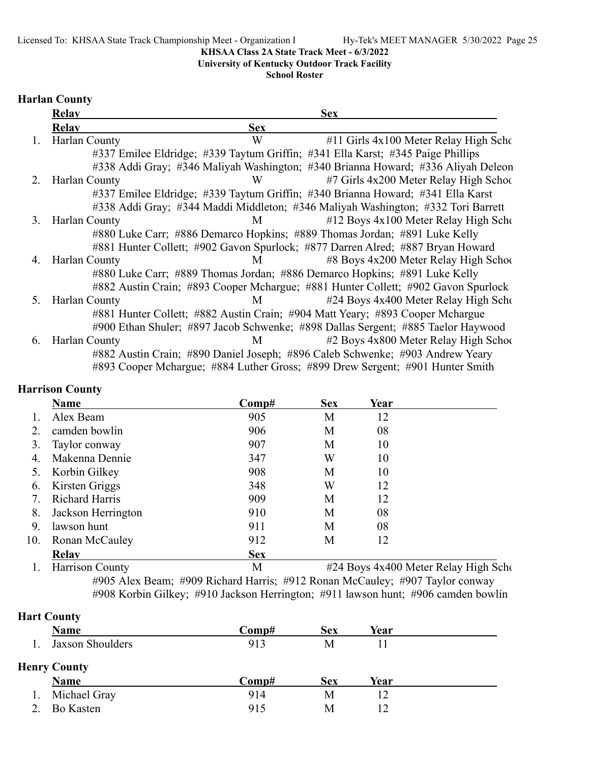**University of Kentucky Outdoor Track Facility**

**School Roster**

### **Harlan County**

|    | <b>Relay</b>  |            | <b>Sex</b>                                                                        |
|----|---------------|------------|-----------------------------------------------------------------------------------|
|    | <b>Relav</b>  | <b>Sex</b> |                                                                                   |
| 1. | Harlan County | W          | #11 Girls 4x100 Meter Relay High Scho                                             |
|    |               |            | #337 Emilee Eldridge; #339 Taytum Griffin; #341 Ella Karst; #345 Paige Phillips   |
|    |               |            | #338 Addi Gray; #346 Maliyah Washington; #340 Brianna Howard; #336 Aliyah Deleon  |
| 2. | Harlan County | W          | #7 Girls 4x200 Meter Relay High School                                            |
|    |               |            | #337 Emilee Eldridge; #339 Taytum Griffin; #340 Brianna Howard; #341 Ella Karst   |
|    |               |            | #338 Addi Gray; #344 Maddi Middleton; #346 Maliyah Washington; #332 Tori Barrett  |
| 3. | Harlan County | M          | #12 Boys 4x100 Meter Relay High Scho                                              |
|    |               |            | #880 Luke Carr; #886 Demarco Hopkins; #889 Thomas Jordan; #891 Luke Kelly         |
|    |               |            | #881 Hunter Collett; #902 Gavon Spurlock; #877 Darren Alred; #887 Bryan Howard    |
| 4. | Harlan County | M          | #8 Boys 4x200 Meter Relay High School                                             |
|    |               |            | #880 Luke Carr; #889 Thomas Jordan; #886 Demarco Hopkins; #891 Luke Kelly         |
|    |               |            | #882 Austin Crain; #893 Cooper Mchargue; #881 Hunter Collett; #902 Gavon Spurlock |
| 5. | Harlan County | M          | #24 Boys 4x400 Meter Relay High Scho                                              |
|    |               |            | #881 Hunter Collett; #882 Austin Crain; #904 Matt Yeary; #893 Cooper Mchargue     |
|    |               |            | #900 Ethan Shuler; #897 Jacob Schwenke; #898 Dallas Sergent; #885 Taelor Haywood  |
| 6. | Harlan County | М          | #2 Boys 4x800 Meter Relay High School                                             |
|    |               |            | #882 Austin Crain; #890 Daniel Joseph; #896 Caleb Schwenke; #903 Andrew Yeary     |
|    |               |            | #893 Cooper Mchargue; #884 Luther Gross; #899 Drew Sergent; #901 Hunter Smith     |

# **Harrison County**

|     | Name                  | Comp#      | <b>Sex</b> | Year |  |
|-----|-----------------------|------------|------------|------|--|
|     | Alex Beam             | 905        | М          | 12   |  |
|     | camden bowlin         | 906        | M          | 08   |  |
| 3.  | Taylor conway         | 907        | M          | 10   |  |
| 4.  | Makenna Dennie        | 347        | W          | 10   |  |
| 5.  | Korbin Gilkey         | 908        | М          | 10   |  |
| 6.  | Kirsten Griggs        | 348        | W          | 12   |  |
| 7.  | <b>Richard Harris</b> | 909        | М          | 12   |  |
| 8.  | Jackson Herrington    | 910        | М          | 08   |  |
| 9.  | lawson hunt           | 911        | М          | 08   |  |
| 10. | Ronan McCauley        | 912        | M          | 12   |  |
|     | <b>Relav</b>          | <b>Sex</b> |            |      |  |

1. Harrison County M #24 Boys 4x400 Meter Relay High Scho #905 Alex Beam; #909 Richard Harris; #912 Ronan McCauley; #907 Taylor conway #908 Korbin Gilkey; #910 Jackson Herrington; #911 lawson hunt; #906 camden bowlin

# **Hart County**

| Name                | Comp# | <b>Sex</b> | Year |  |
|---------------------|-------|------------|------|--|
| Jaxson Shoulders    | 913   | М          |      |  |
| <b>Henry County</b> |       |            |      |  |
|                     |       |            |      |  |
| <b>Name</b>         | Comp# | Sex        | Year |  |
| Michael Gray        | 914   | Μ          | 12   |  |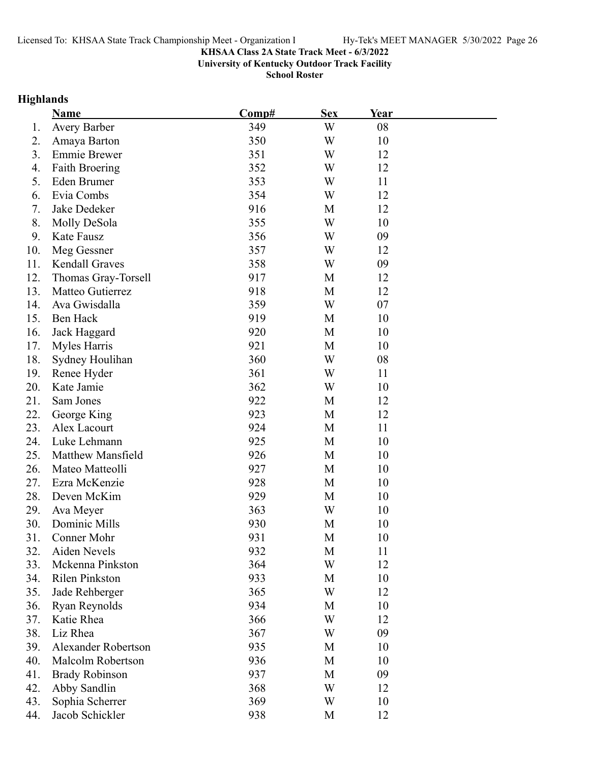**University of Kentucky Outdoor Track Facility**

**School Roster**

# **Highlands**

|     | <b>Name</b>                | Comp# | <b>Sex</b> | <b>Year</b> |  |
|-----|----------------------------|-------|------------|-------------|--|
| 1.  | <b>Avery Barber</b>        | 349   | W          | 08          |  |
| 2.  | Amaya Barton               | 350   | W          | 10          |  |
| 3.  | <b>Emmie Brewer</b>        | 351   | W          | 12          |  |
| 4.  | <b>Faith Broering</b>      | 352   | W          | 12          |  |
| 5.  | Eden Brumer                | 353   | W          | 11          |  |
| 6.  | Evia Combs                 | 354   | W          | 12          |  |
| 7.  | Jake Dedeker               | 916   | M          | 12          |  |
| 8.  | Molly DeSola               | 355   | W          | 10          |  |
| 9.  | Kate Fausz                 | 356   | W          | 09          |  |
| 10. | Meg Gessner                | 357   | W          | 12          |  |
| 11. | Kendall Graves             | 358   | W          | 09          |  |
| 12. | Thomas Gray-Torsell        | 917   | M          | 12          |  |
| 13. | Matteo Gutierrez           | 918   | M          | 12          |  |
| 14. | Ava Gwisdalla              | 359   | W          | 07          |  |
| 15. | Ben Hack                   | 919   | M          | 10          |  |
| 16. | Jack Haggard               | 920   | M          | 10          |  |
| 17. | Myles Harris               | 921   | M          | 10          |  |
| 18. | Sydney Houlihan            | 360   | W          | 08          |  |
| 19. | Renee Hyder                | 361   | W          | 11          |  |
| 20. | Kate Jamie                 | 362   | W          | 10          |  |
| 21. | Sam Jones                  | 922   | M          | 12          |  |
| 22. | George King                | 923   | M          | 12          |  |
| 23. | Alex Lacourt               | 924   | M          | 11          |  |
| 24. | Luke Lehmann               | 925   | M          | 10          |  |
| 25. | Matthew Mansfield          | 926   | M          | 10          |  |
| 26. | Mateo Matteolli            | 927   | M          | 10          |  |
| 27. | Ezra McKenzie              | 928   | M          | 10          |  |
| 28. | Deven McKim                | 929   | M          | 10          |  |
| 29. | Ava Meyer                  | 363   | W          | 10          |  |
| 30. | Dominic Mills              | 930   | M          | 10          |  |
| 31. | Conner Mohr                | 931   | М          | 10          |  |
| 32. | Aiden Nevels               | 932   | M          | 11          |  |
| 33. | Mckenna Pinkston           | 364   | W          | 12          |  |
| 34. | Rilen Pinkston             | 933   | M          | 10          |  |
| 35. | Jade Rehberger             | 365   | W          | 12          |  |
| 36. | Ryan Reynolds              | 934   | M          | 10          |  |
| 37. | Katie Rhea                 | 366   | W          | 12          |  |
| 38. | Liz Rhea                   | 367   | W          | 09          |  |
| 39. | <b>Alexander Robertson</b> | 935   | M          | 10          |  |
| 40. | Malcolm Robertson          | 936   | M          | 10          |  |
| 41. | <b>Brady Robinson</b>      | 937   | M          | 09          |  |
| 42. | Abby Sandlin               | 368   | W          | 12          |  |
| 43. | Sophia Scherrer            | 369   | W          | 10          |  |
| 44. | Jacob Schickler            | 938   | M          | 12          |  |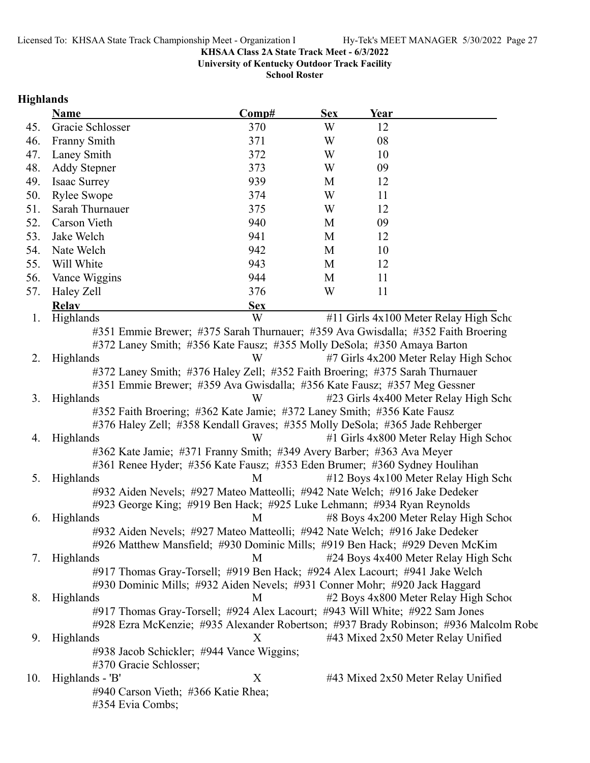**University of Kentucky Outdoor Track Facility**

**School Roster**

# **Highlands**

|     | <b>Name</b>                                                                           | Comp#      | <b>Sex</b> | Year                                                                                 |  |
|-----|---------------------------------------------------------------------------------------|------------|------------|--------------------------------------------------------------------------------------|--|
| 45. | Gracie Schlosser                                                                      | 370        | W          | 12                                                                                   |  |
| 46. | <b>Franny Smith</b>                                                                   | 371        | W          | 08                                                                                   |  |
| 47. | Laney Smith                                                                           | 372        | W          | 10                                                                                   |  |
| 48. | <b>Addy Stepner</b>                                                                   | 373        | W          | 09                                                                                   |  |
| 49. | Isaac Surrey                                                                          | 939        | M          | 12                                                                                   |  |
| 50. | <b>Rylee Swope</b>                                                                    | 374        | W          | 11                                                                                   |  |
| 51. | Sarah Thurnauer                                                                       | 375        | W          | 12                                                                                   |  |
| 52. | Carson Vieth                                                                          | 940        | M          | 09                                                                                   |  |
| 53. | Jake Welch                                                                            | 941        | M          | 12                                                                                   |  |
| 54. | Nate Welch                                                                            | 942        | M          | 10                                                                                   |  |
| 55. | Will White                                                                            | 943        | M          | 12                                                                                   |  |
| 56. | Vance Wiggins                                                                         | 944        | M          | 11                                                                                   |  |
| 57. | Haley Zell                                                                            | 376        | W          | 11                                                                                   |  |
|     | <b>Relay</b>                                                                          | <b>Sex</b> |            |                                                                                      |  |
| 1.  | Highlands                                                                             | W          |            | #11 Girls 4x100 Meter Relay High Scho                                                |  |
|     |                                                                                       |            |            | #351 Emmie Brewer; #375 Sarah Thurnauer; #359 Ava Gwisdalla; #352 Faith Broering     |  |
|     | #372 Laney Smith; #356 Kate Fausz; #355 Molly DeSola; #350 Amaya Barton               |            |            |                                                                                      |  |
| 2.  | Highlands                                                                             | W          |            | #7 Girls 4x200 Meter Relay High School                                               |  |
|     | #372 Laney Smith; #376 Haley Zell; #352 Faith Broering; #375 Sarah Thurnauer          |            |            |                                                                                      |  |
| 3.  | #351 Emmie Brewer; #359 Ava Gwisdalla; #356 Kate Fausz; #357 Meg Gessner<br>Highlands | W          |            |                                                                                      |  |
|     | #352 Faith Broering; #362 Kate Jamie; #372 Laney Smith; #356 Kate Fausz               |            |            | #23 Girls 4x400 Meter Relay High Scho                                                |  |
|     | #376 Haley Zell; #358 Kendall Graves; #355 Molly DeSola; #365 Jade Rehberger          |            |            |                                                                                      |  |
| 4.  | Highlands                                                                             | W          |            | #1 Girls 4x800 Meter Relay High School                                               |  |
|     | #362 Kate Jamie; #371 Franny Smith; #349 Avery Barber; #363 Ava Meyer                 |            |            |                                                                                      |  |
|     | #361 Renee Hyder; #356 Kate Fausz; #353 Eden Brumer; #360 Sydney Houlihan             |            |            |                                                                                      |  |
| 5.  | Highlands                                                                             | M          |            | #12 Boys 4x100 Meter Relay High Scho                                                 |  |
|     | #932 Aiden Nevels; #927 Mateo Matteolli; #942 Nate Welch; #916 Jake Dedeker           |            |            |                                                                                      |  |
|     | #923 George King; #919 Ben Hack; #925 Luke Lehmann; #934 Ryan Reynolds                |            |            |                                                                                      |  |
| 6.  | Highlands                                                                             | M          |            | #8 Boys 4x200 Meter Relay High School                                                |  |
|     | #932 Aiden Nevels; #927 Mateo Matteolli; #942 Nate Welch; #916 Jake Dedeker           |            |            |                                                                                      |  |
|     |                                                                                       |            |            | #926 Matthew Mansfield; #930 Dominic Mills; #919 Ben Hack; #929 Deven McKim          |  |
| 7.  | Highlands                                                                             | M          |            | #24 Boys 4x400 Meter Relay High Scho                                                 |  |
|     | #917 Thomas Gray-Torsell; #919 Ben Hack; #924 Alex Lacourt; #941 Jake Welch           |            |            |                                                                                      |  |
|     | #930 Dominic Mills; #932 Aiden Nevels; #931 Conner Mohr; #920 Jack Haggard            |            |            |                                                                                      |  |
| 8.  | Highlands                                                                             | M          |            | #2 Boys 4x800 Meter Relay High School                                                |  |
|     | #917 Thomas Gray-Torsell; #924 Alex Lacourt; #943 Will White; #922 Sam Jones          |            |            |                                                                                      |  |
|     |                                                                                       |            |            | #928 Ezra McKenzie; #935 Alexander Robertson; #937 Brady Robinson; #936 Malcolm Robe |  |
| 9.  | Highlands                                                                             | Χ          |            | #43 Mixed 2x50 Meter Relay Unified                                                   |  |
|     | #938 Jacob Schickler; #944 Vance Wiggins;                                             |            |            |                                                                                      |  |
| 10. | #370 Gracie Schlosser;<br>Highlands - 'B'                                             | X          |            | #43 Mixed 2x50 Meter Relay Unified                                                   |  |
|     | #940 Carson Vieth; #366 Katie Rhea;                                                   |            |            |                                                                                      |  |
|     | #354 Evia Combs;                                                                      |            |            |                                                                                      |  |
|     |                                                                                       |            |            |                                                                                      |  |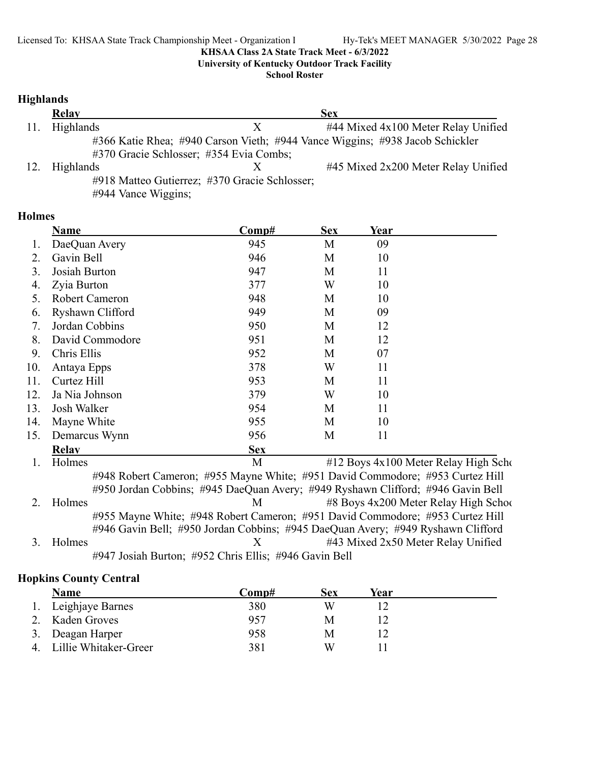**University of Kentucky Outdoor Track Facility**

**School Roster**

### **Highlands**

|     | <b>Relay</b>                            |                                               | <b>Sex</b>                                                                   |
|-----|-----------------------------------------|-----------------------------------------------|------------------------------------------------------------------------------|
| 11. | Highlands                               |                                               | #44 Mixed 4x100 Meter Relay Unified                                          |
|     |                                         |                                               | #366 Katie Rhea; #940 Carson Vieth; #944 Vance Wiggins; #938 Jacob Schickler |
|     | #370 Gracie Schlosser; #354 Evia Combs; |                                               |                                                                              |
| 12. | Highlands                               |                                               | #45 Mixed 2x200 Meter Relay Unified                                          |
|     |                                         | #918 Matteo Gutierrez; #370 Gracie Schlosser; |                                                                              |

#944 Vance Wiggins;

### **Holmes**

|     | Name                          | Comp#                                                                           | <b>Sex</b> | Year |                                                              |
|-----|-------------------------------|---------------------------------------------------------------------------------|------------|------|--------------------------------------------------------------|
|     | DaeQuan Avery                 | 945                                                                             | M          | 09   |                                                              |
| 2.  | Gavin Bell                    | 946                                                                             | М          | 10   |                                                              |
| 3.  | Josiah Burton                 | 947                                                                             | M          | 11   |                                                              |
| 4.  | Zyia Burton                   | 377                                                                             | W          | 10   |                                                              |
| 5.  | Robert Cameron                | 948                                                                             | M          | 10   |                                                              |
| 6.  | Ryshawn Clifford              | 949                                                                             | M          | 09   |                                                              |
| 7.  | Jordan Cobbins                | 950                                                                             | M          | 12   |                                                              |
| 8.  | David Commodore               | 951                                                                             | М          | 12   |                                                              |
| 9.  | Chris Ellis                   | 952                                                                             | M          | 07   |                                                              |
| 10. | Antaya Epps                   | 378                                                                             | W          | 11   |                                                              |
| 11. | Curtez Hill                   | 953                                                                             | М          | 11   |                                                              |
| 12. | Ja Nia Johnson                | 379                                                                             | W          | 10   |                                                              |
| 13. | Josh Walker                   | 954                                                                             | M          | 11   |                                                              |
| 14. | Mayne White                   | 955                                                                             | М          | 10   |                                                              |
| 15. | Demarcus Wynn                 | 956                                                                             | М          | 11   |                                                              |
|     | <b>Relav</b>                  | <b>Sex</b>                                                                      |            |      |                                                              |
| 1.  | Holmes                        | M                                                                               |            |      | #12 Boys 4x100 Meter Relay High Scho                         |
|     |                               | #948 Robert Cameron; #955 Mayne White; #951 David Commodore; #953 Curtez Hill   |            |      |                                                              |
|     |                               | #950 Jordan Cobbins; #945 DaeQuan Avery; #949 Ryshawn Clifford; #946 Gavin Bell |            |      |                                                              |
|     | $\mathbf{H}$ and $\mathbf{H}$ |                                                                                 |            |      | $M = 40 \text{ D}$ and $4.200 \text{ M}$ and $D$ and $L = 5$ |

2. Holmes M #8 Boys 4x200 Meter Relay High School #955 Mayne White; #948 Robert Cameron; #951 David Commodore; #953 Curtez Hill #946 Gavin Bell; #950 Jordan Cobbins; #945 DaeQuan Avery; #949 Ryshawn Clifford 3. Holmes X #43 Mixed 2x50 Meter Relay Unified

#947 Josiah Burton; #952 Chris Ellis; #946 Gavin Bell

### **Hopkins County Central**

|    | <b>Name</b>           | Comp# | Sex | Year |  |
|----|-----------------------|-------|-----|------|--|
|    | 1. Leighjaye Barnes   | 380   | W   |      |  |
|    | Kaden Groves          | 957   | M   |      |  |
| 3. | Deagan Harper         | 958   | M   |      |  |
|    | Lillie Whitaker-Greer | 381   | W   |      |  |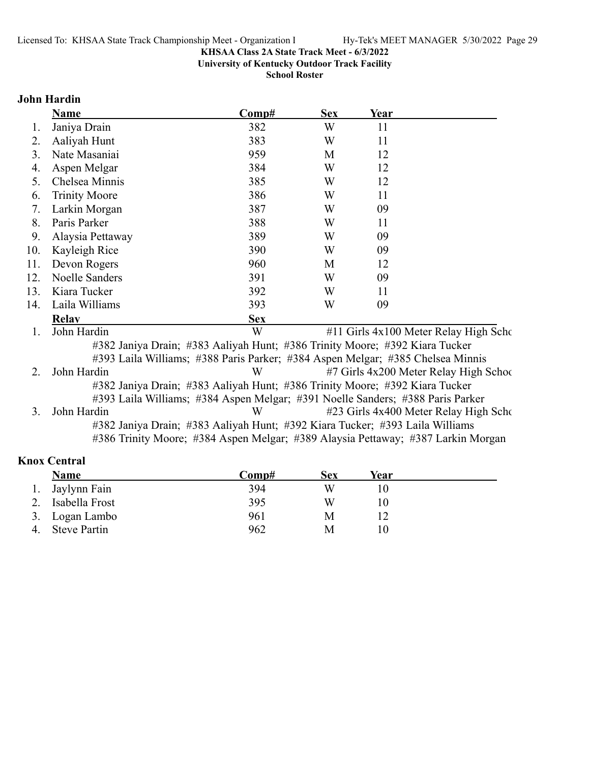**University of Kentucky Outdoor Track Facility**

**School Roster**

### **John Hardin**

|     | <b>Name</b>          | Comp#                                                                          | <b>Sex</b> | Year |                                        |
|-----|----------------------|--------------------------------------------------------------------------------|------------|------|----------------------------------------|
| 1.  | Janiya Drain         | 382                                                                            | W          | 11   |                                        |
| 2.  | Aaliyah Hunt         | 383                                                                            | W          | 11   |                                        |
| 3.  | Nate Masaniai        | 959                                                                            | M          | 12   |                                        |
| 4.  | Aspen Melgar         | 384                                                                            | W          | 12   |                                        |
| 5.  | Chelsea Minnis       | 385                                                                            | W          | 12   |                                        |
| 6.  | <b>Trinity Moore</b> | 386                                                                            | W          | 11   |                                        |
| 7.  | Larkin Morgan        | 387                                                                            | W          | 09   |                                        |
| 8.  | Paris Parker         | 388                                                                            | W          | 11   |                                        |
| 9.  | Alaysia Pettaway     | 389                                                                            | W          | 09   |                                        |
| 10. | Kayleigh Rice        | 390                                                                            | W          | 09   |                                        |
| 11. | Devon Rogers         | 960                                                                            | M          | 12   |                                        |
| 12. | Noelle Sanders       | 391                                                                            | W          | 09   |                                        |
| 13. | Kiara Tucker         | 392                                                                            | W          | 11   |                                        |
| 14. | Laila Williams       | 393                                                                            | W          | 09   |                                        |
|     | <b>Relav</b>         | <b>Sex</b>                                                                     |            |      |                                        |
| 1.  | John Hardin          | W                                                                              |            |      | #11 Girls 4x100 Meter Relay High Scho  |
|     |                      | #382 Janiya Drain; #383 Aaliyah Hunt; #386 Trinity Moore; #392 Kiara Tucker    |            |      |                                        |
|     |                      | #393 Laila Williams; #388 Paris Parker; #384 Aspen Melgar; #385 Chelsea Minnis |            |      |                                        |
| 2.  | John Hardin          | W                                                                              |            |      | #7 Girls 4x200 Meter Relay High School |
|     |                      | #382 Janiya Drain; #383 Aaliyah Hunt; #386 Trinity Moore; #392 Kiara Tucker    |            |      |                                        |

#393 Laila Williams; #384 Aspen Melgar; #391 Noelle Sanders; #388 Paris Parker 3. John Hardin W #23 Girls 4x400 Meter Relay High Scho #382 Janiya Drain; #383 Aaliyah Hunt; #392 Kiara Tucker; #393 Laila Williams

#386 Trinity Moore; #384 Aspen Melgar; #389 Alaysia Pettaway; #387 Larkin Morgan

### **Knox Central**

|    | Name                | Comp# | Sex | Year |  |
|----|---------------------|-------|-----|------|--|
| 1. | Jaylynn Fain        | 394   | W   |      |  |
| 2. | Isabella Frost      | 395   | W   |      |  |
|    | 3. Logan Lambo      | 961   | M   |      |  |
| 4. | <b>Steve Partin</b> | 962   | M   |      |  |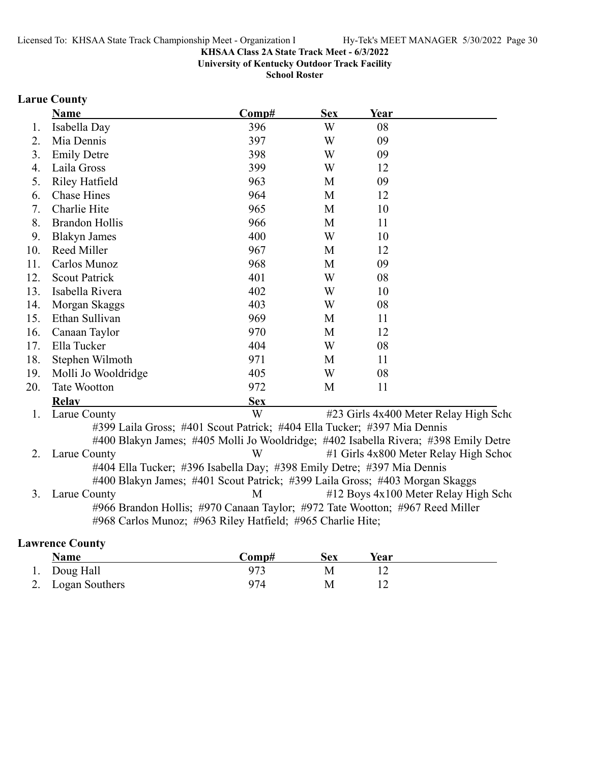**University of Kentucky Outdoor Track Facility**

**School Roster**

# **Larue County**

|     | <b>Name</b>                                                             | Comp#      | <b>Sex</b> | Year                                                                                |
|-----|-------------------------------------------------------------------------|------------|------------|-------------------------------------------------------------------------------------|
| 1.  | Isabella Day                                                            | 396        | W          | 08                                                                                  |
| 2.  | Mia Dennis                                                              | 397        | W          | 09                                                                                  |
| 3.  | <b>Emily Detre</b>                                                      | 398        | W          | 09                                                                                  |
| 4.  | Laila Gross                                                             | 399        | W          | 12                                                                                  |
| 5.  | <b>Riley Hatfield</b>                                                   | 963        | M          | 09                                                                                  |
| 6.  | <b>Chase Hines</b>                                                      | 964        | M          | 12                                                                                  |
| 7.  | Charlie Hite                                                            | 965        | M          | 10                                                                                  |
| 8.  | <b>Brandon Hollis</b>                                                   | 966        | M          | 11                                                                                  |
| 9.  | <b>Blakyn James</b>                                                     | 400        | W          | 10                                                                                  |
| 10. | Reed Miller                                                             | 967        | M          | 12                                                                                  |
| 11. | Carlos Munoz                                                            | 968        | M          | 09                                                                                  |
| 12. | <b>Scout Patrick</b>                                                    | 401        | W          | 08                                                                                  |
| 13. | Isabella Rivera                                                         | 402        | W          | 10                                                                                  |
| 14. | Morgan Skaggs                                                           | 403        | W          | 08                                                                                  |
| 15. | Ethan Sullivan                                                          | 969        | M          | 11                                                                                  |
| 16. | Canaan Taylor                                                           | 970        | M          | 12                                                                                  |
| 17. | Ella Tucker                                                             | 404        | W          | 08                                                                                  |
| 18. | Stephen Wilmoth                                                         | 971        | M          | 11                                                                                  |
| 19. | Molli Jo Wooldridge                                                     | 405        | W          | 08                                                                                  |
| 20. | <b>Tate Wootton</b>                                                     | 972        | M          | 11                                                                                  |
|     | <b>Relav</b>                                                            | <b>Sex</b> |            |                                                                                     |
| 1.  | Larue County                                                            | W          |            | #23 Girls 4x400 Meter Relay High Scho                                               |
|     | #399 Laila Gross; #401 Scout Patrick; #404 Ella Tucker; #397 Mia Dennis |            |            |                                                                                     |
|     |                                                                         |            |            | #400 Blakyn James; #405 Molli Jo Wooldridge; #402 Isabella Rivera; #398 Emily Detre |
| 2.  | Larue County                                                            | W          |            | #1 Girls 4x800 Meter Relay High School                                              |
|     | #404 Ella Tucker; #396 Isabella Day; #398 Emily Detre; #397 Mia Dennis  |            |            |                                                                                     |
|     |                                                                         |            |            | #400 Blakyn James; #401 Scout Patrick; #399 Laila Gross; #403 Morgan Skaggs         |
| 3.  | Larue County                                                            | M          |            | #12 Boys 4x100 Meter Relay High Scho                                                |
|     |                                                                         |            |            | #966 Brandon Hollis; #970 Canaan Taylor; #972 Tate Wootton; #967 Reed Miller        |
|     | #968 Carlos Munoz; #963 Riley Hatfield; #965 Charlie Hite;              |            |            |                                                                                     |
|     | <b>Lawrence County</b>                                                  |            |            |                                                                                     |

| Name              | Comp# | Sex | Year |  |
|-------------------|-------|-----|------|--|
| 1. Doug Hall      | 973   |     |      |  |
| 2. Logan Southers | 974   | M   |      |  |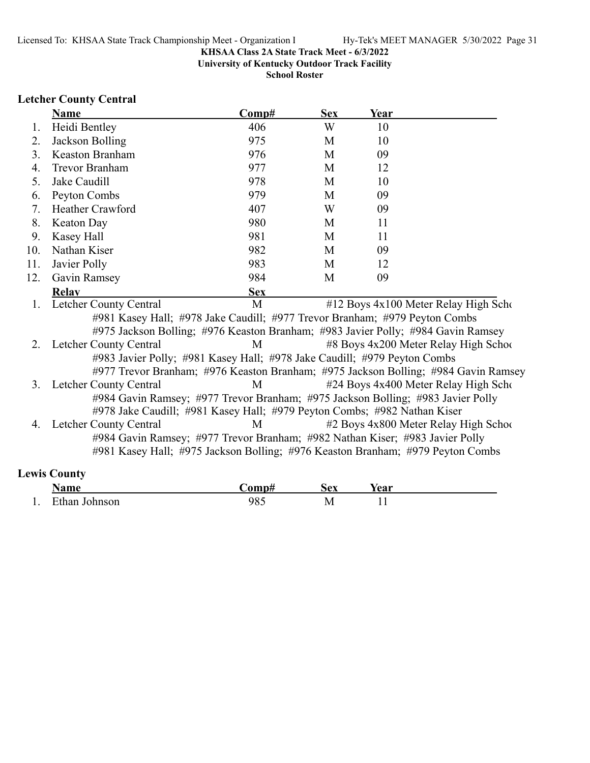**University of Kentucky Outdoor Track Facility**

**School Roster**

# **Letcher County Central**

|     | Name                                                                               | Comp#      | <b>Sex</b> | Year |                                       |
|-----|------------------------------------------------------------------------------------|------------|------------|------|---------------------------------------|
| 1.  | Heidi Bentley                                                                      | 406        | W          | 10   |                                       |
| 2.  | Jackson Bolling                                                                    | 975        | M          | 10   |                                       |
| 3.  | <b>Keaston Branham</b>                                                             | 976        | M          | 09   |                                       |
| 4.  | <b>Trevor Branham</b>                                                              | 977        | M          | 12   |                                       |
| 5.  | Jake Caudill                                                                       | 978        | M          | 10   |                                       |
| 6.  | Peyton Combs                                                                       | 979        | M          | 09   |                                       |
| 7.  | Heather Crawford                                                                   | 407        | W          | 09   |                                       |
| 8.  | Keaton Day                                                                         | 980        | M          | 11   |                                       |
| 9.  | Kasey Hall                                                                         | 981        | M          | 11   |                                       |
| 10. | Nathan Kiser                                                                       | 982        | M          | 09   |                                       |
| 11. | Javier Polly                                                                       | 983        | M          | 12   |                                       |
| 12. | Gavin Ramsey                                                                       | 984        | M          | 09   |                                       |
|     | <b>Relay</b>                                                                       | <b>Sex</b> |            |      |                                       |
| 1.  | Letcher County Central                                                             | M          |            |      | #12 Boys 4x100 Meter Relay High Scho  |
|     | #981 Kasey Hall; #978 Jake Caudill; #977 Trevor Branham; #979 Peyton Combs         |            |            |      |                                       |
|     | #975 Jackson Bolling; #976 Keaston Branham; #983 Javier Polly; #984 Gavin Ramsey   |            |            |      |                                       |
| 2.  | Letcher County Central                                                             | M          |            |      | #8 Boys 4x200 Meter Relay High School |
|     | #983 Javier Polly; #981 Kasey Hall; #978 Jake Caudill; #979 Peyton Combs           |            |            |      |                                       |
|     | #977 Trevor Branham; #976 Keaston Branham; #975 Jackson Bolling; #984 Gavin Ramsey |            |            |      |                                       |
| 3.  | Letcher County Central                                                             | M          |            |      | #24 Boys 4x400 Meter Relay High Scho  |
|     | #984 Gavin Ramsey; #977 Trevor Branham; #975 Jackson Bolling; #983 Javier Polly    |            |            |      |                                       |
|     | #978 Jake Caudill; #981 Kasey Hall; #979 Peyton Combs; #982 Nathan Kiser           |            |            |      |                                       |
| 4.  | Letcher County Central                                                             | M          |            |      | #2 Boys 4x800 Meter Relay High School |
|     | #984 Gavin Ramsey; #977 Trevor Branham; #982 Nathan Kiser; #983 Javier Polly       |            |            |      |                                       |
|     | #981 Kasey Hall; #975 Jackson Bolling; #976 Keaston Branham; #979 Peyton Combs     |            |            |      |                                       |
|     | <b>Lewis County</b>                                                                |            |            |      |                                       |

| $\sim$ where $\sim$<br>. <b>.</b> . | 0.32233      | $\mathbf{A}$<br>◡∼ | ⁄ ∩ ∩ 1*             |
|-------------------------------------|--------------|--------------------|----------------------|
| 0.480000                            | $40^{\circ}$ | <b>IVI</b>         | $\ddot{\phantom{0}}$ |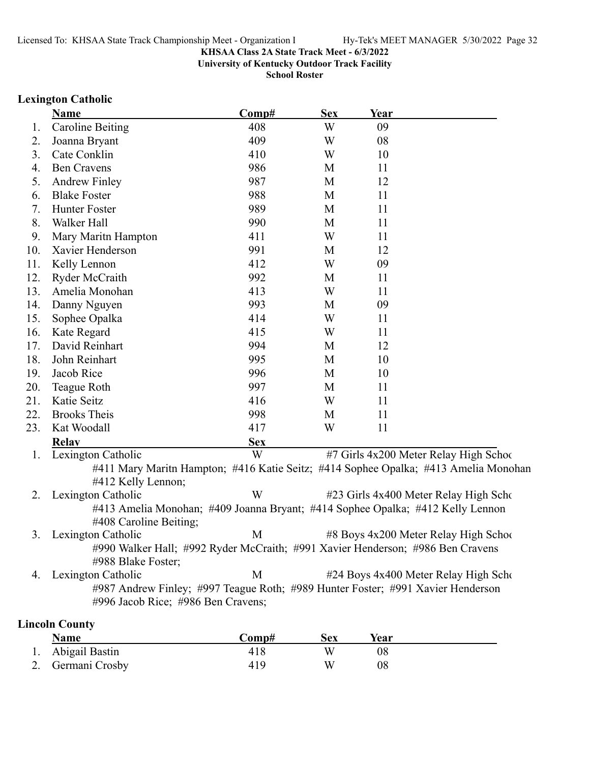**University of Kentucky Outdoor Track Facility**

**School Roster**

### **Lexington Catholic**

|     | <b>Name</b>                                                                                                           | Comp#      | <b>Sex</b> | Year        |                                                                                     |
|-----|-----------------------------------------------------------------------------------------------------------------------|------------|------------|-------------|-------------------------------------------------------------------------------------|
| 1.  | <b>Caroline Beiting</b>                                                                                               | 408        | W          | 09          |                                                                                     |
| 2.  | Joanna Bryant                                                                                                         | 409        | W          | 08          |                                                                                     |
| 3.  | Cate Conklin                                                                                                          | 410        | W          | 10          |                                                                                     |
| 4.  | <b>Ben Cravens</b>                                                                                                    | 986        | M          | 11          |                                                                                     |
| 5.  | <b>Andrew Finley</b>                                                                                                  | 987        | M          | 12          |                                                                                     |
| 6.  | <b>Blake Foster</b>                                                                                                   | 988        | M          | 11          |                                                                                     |
| 7.  | Hunter Foster                                                                                                         | 989        | M          | 11          |                                                                                     |
| 8.  | Walker Hall                                                                                                           | 990        | M          | 11          |                                                                                     |
| 9.  | Mary Maritn Hampton                                                                                                   | 411        | W          | 11          |                                                                                     |
| 10. | Xavier Henderson                                                                                                      | 991        | M          | 12          |                                                                                     |
| 11. | Kelly Lennon                                                                                                          | 412        | W          | 09          |                                                                                     |
| 12. | Ryder McCraith                                                                                                        | 992        | M          | 11          |                                                                                     |
| 13. | Amelia Monohan                                                                                                        | 413        | W          | 11          |                                                                                     |
| 14. | Danny Nguyen                                                                                                          | 993        | M          | 09          |                                                                                     |
| 15. | Sophee Opalka                                                                                                         | 414        | W          | 11          |                                                                                     |
| 16. | Kate Regard                                                                                                           | 415        | W          | 11          |                                                                                     |
| 17. | David Reinhart                                                                                                        | 994        | M          | 12          |                                                                                     |
| 18. | John Reinhart                                                                                                         | 995        | M          | 10          |                                                                                     |
| 19. | Jacob Rice                                                                                                            | 996        | M          | 10          |                                                                                     |
| 20. | Teague Roth                                                                                                           | 997        | M          | 11          |                                                                                     |
| 21. | Katie Seitz                                                                                                           | 416        | W          | 11          |                                                                                     |
| 22. | <b>Brooks Theis</b>                                                                                                   | 998        | M          | 11          |                                                                                     |
| 23. | Kat Woodall                                                                                                           | 417        | W          | 11          |                                                                                     |
|     | <b>Relay</b>                                                                                                          | <b>Sex</b> |            |             |                                                                                     |
| 1.  | Lexington Catholic                                                                                                    | W          |            |             | #7 Girls 4x200 Meter Relay High Schoo                                               |
|     | #412 Kelly Lennon;                                                                                                    |            |            |             | #411 Mary Maritn Hampton; #416 Katie Seitz; #414 Sophee Opalka; #413 Amelia Monohan |
| 2.  | Lexington Catholic                                                                                                    | W          |            |             | #23 Girls 4x400 Meter Relay High Scho                                               |
|     | #413 Amelia Monohan; #409 Joanna Bryant; #414 Sophee Opalka; #412 Kelly Lennon<br>#408 Caroline Beiting;              |            |            |             |                                                                                     |
| 3.  | Lexington Catholic                                                                                                    | M          |            |             | #8 Boys 4x200 Meter Relay High School                                               |
|     | #990 Walker Hall; #992 Ryder McCraith; #991 Xavier Henderson; #986 Ben Cravens<br>#988 Blake Foster;                  |            |            |             |                                                                                     |
| 4.  | Lexington Catholic                                                                                                    | M          |            |             | #24 Boys 4x400 Meter Relay High Scho                                                |
|     | #987 Andrew Finley; #997 Teague Roth; #989 Hunter Foster; #991 Xavier Henderson<br>#996 Jacob Rice; #986 Ben Cravens; |            |            |             |                                                                                     |
|     | <b>Lincoln County</b>                                                                                                 |            |            |             |                                                                                     |
|     | <b>Name</b>                                                                                                           | Comp#      | <b>Sex</b> | <b>Year</b> |                                                                                     |
|     | Abigail Bastin                                                                                                        | 418        | W          | 08          |                                                                                     |

2. Germani Crosby 2. 419 W 08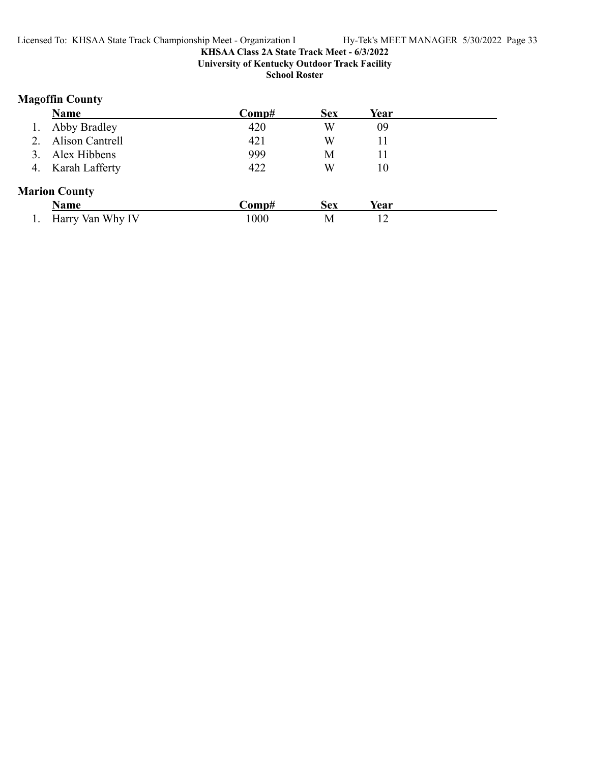# **KHSAA Class 2A State Track Meet - 6/3/2022 University of Kentucky Outdoor Track Facility**

**School Roster**

# **Magoffin County**

| <b>Name</b>            | Comp# | <b>Sex</b> | Year |  |
|------------------------|-------|------------|------|--|
| Abby Bradley           | 420   | W          | 09   |  |
| <b>Alison Cantrell</b> | 421   | W          | 11   |  |
| Alex Hibbens           | 999   | М          | 11   |  |
| 4. Karah Lafferty      | 422   | W          | 10   |  |
| <b>Marion County</b>   |       |            |      |  |
| <b>Name</b>            | Comp# | <b>Sex</b> | Year |  |
| Harry Van Why IV       | 1000  | Μ          | 12   |  |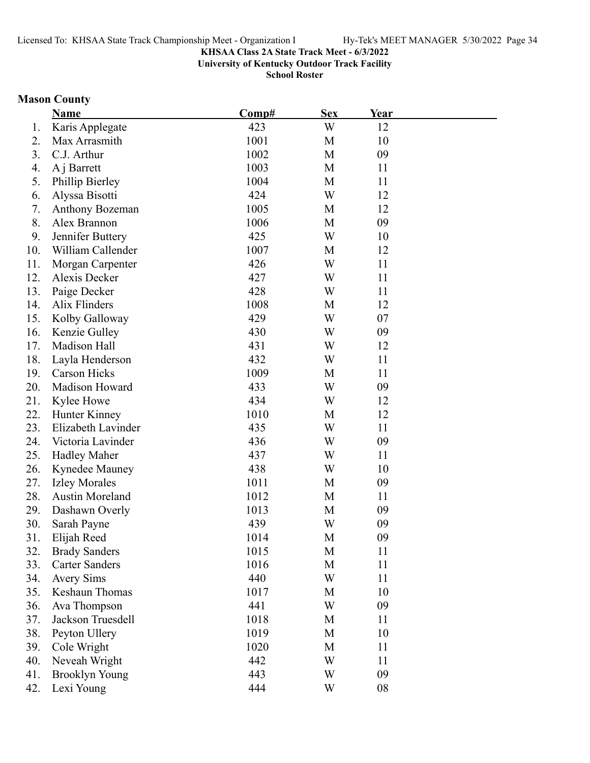**University of Kentucky Outdoor Track Facility**

**School Roster**

# **Mason County**

|     | <b>Name</b>            | Comp# | <b>Sex</b> | Year |  |
|-----|------------------------|-------|------------|------|--|
| 1.  | Karis Applegate        | 423   | W          | 12   |  |
| 2.  | Max Arrasmith          | 1001  | M          | 10   |  |
| 3.  | C.J. Arthur            | 1002  | M          | 09   |  |
| 4.  | A j Barrett            | 1003  | M          | 11   |  |
| 5.  | Phillip Bierley        | 1004  | M          | 11   |  |
| 6.  | Alyssa Bisotti         | 424   | W          | 12   |  |
| 7.  | Anthony Bozeman        | 1005  | M          | 12   |  |
| 8.  | Alex Brannon           | 1006  | M          | 09   |  |
| 9.  | Jennifer Buttery       | 425   | W          | 10   |  |
| 10. | William Callender      | 1007  | M          | 12   |  |
| 11. | Morgan Carpenter       | 426   | W          | 11   |  |
| 12. | Alexis Decker          | 427   | W          | 11   |  |
| 13. | Paige Decker           | 428   | W          | 11   |  |
| 14. | <b>Alix Flinders</b>   | 1008  | M          | 12   |  |
| 15. | Kolby Galloway         | 429   | W          | 07   |  |
| 16. | Kenzie Gulley          | 430   | W          | 09   |  |
| 17. | Madison Hall           | 431   | W          | 12   |  |
| 18. | Layla Henderson        | 432   | W          | 11   |  |
| 19. | <b>Carson Hicks</b>    | 1009  | M          | 11   |  |
| 20. | Madison Howard         | 433   | W          | 09   |  |
| 21. | Kylee Howe             | 434   | W          | 12   |  |
| 22. | Hunter Kinney          | 1010  | M          | 12   |  |
| 23. | Elizabeth Lavinder     | 435   | W          | 11   |  |
| 24. | Victoria Lavinder      | 436   | W          | 09   |  |
| 25. | <b>Hadley Maher</b>    | 437   | W          | 11   |  |
| 26. | Kynedee Mauney         | 438   | W          | 10   |  |
| 27. | <b>Izley Morales</b>   | 1011  | M          | 09   |  |
| 28. | <b>Austin Moreland</b> | 1012  | M          | 11   |  |
| 29. | Dashawn Overly         | 1013  | M          | 09   |  |
| 30. | Sarah Payne            | 439   | W          | 09   |  |
| 31. | Elijah Reed            | 1014  | М          | 09   |  |
| 32. | <b>Brady Sanders</b>   | 1015  | M          | 11   |  |
| 33. | <b>Carter Sanders</b>  | 1016  | M          | 11   |  |
| 34. | <b>Avery Sims</b>      | 440   | W          | 11   |  |
| 35. | Keshaun Thomas         | 1017  | M          | 10   |  |
| 36. | Ava Thompson           | 441   | W          | 09   |  |
| 37. | Jackson Truesdell      | 1018  | M          | 11   |  |
| 38. | Peyton Ullery          | 1019  | M          | 10   |  |
| 39. | Cole Wright            | 1020  | M          | 11   |  |
| 40. | Neveah Wright          | 442   | W          | 11   |  |
| 41. | <b>Brooklyn Young</b>  | 443   | W          | 09   |  |
| 42. | Lexi Young             | 444   | W          | 08   |  |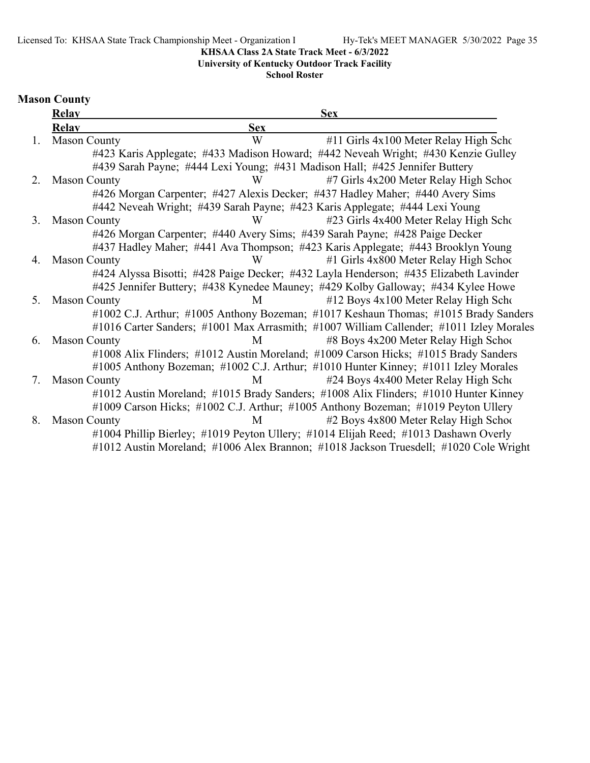Licensed To: KHSAA State Track Championship Meet - Organization I Hy-Tek's MEET MANAGER 5/30/2022 Page 35

### **KHSAA Class 2A State Track Meet - 6/3/2022**

**University of Kentucky Outdoor Track Facility**

**School Roster**

# **Mason County**

|    | <b>Relay</b>        |            | <b>Sex</b>                                                                              |
|----|---------------------|------------|-----------------------------------------------------------------------------------------|
|    | <b>Relav</b>        | <b>Sex</b> |                                                                                         |
| 1. | <b>Mason County</b> | W          | #11 Girls 4x100 Meter Relay High Scho                                                   |
|    |                     |            | #423 Karis Applegate; #433 Madison Howard; #442 Neveah Wright; #430 Kenzie Gulley       |
|    |                     |            | #439 Sarah Payne; #444 Lexi Young; #431 Madison Hall; #425 Jennifer Buttery             |
| 2. | <b>Mason County</b> | W          | #7 Girls 4x200 Meter Relay High School                                                  |
|    |                     |            | #426 Morgan Carpenter; #427 Alexis Decker; #437 Hadley Maher; #440 Avery Sims           |
|    |                     |            | #442 Neveah Wright; #439 Sarah Payne; #423 Karis Applegate; #444 Lexi Young             |
| 3. | <b>Mason County</b> | W          | #23 Girls 4x400 Meter Relay High Scho                                                   |
|    |                     |            | #426 Morgan Carpenter; #440 Avery Sims; #439 Sarah Payne; #428 Paige Decker             |
|    |                     |            | #437 Hadley Maher; #441 Ava Thompson; #423 Karis Applegate; #443 Brooklyn Young         |
| 4. | <b>Mason County</b> | W          | #1 Girls 4x800 Meter Relay High School                                                  |
|    |                     |            | #424 Alyssa Bisotti; #428 Paige Decker; #432 Layla Henderson; #435 Elizabeth Lavinder   |
|    |                     |            | #425 Jennifer Buttery; #438 Kynedee Mauney; #429 Kolby Galloway; #434 Kylee Howe        |
| 5. | <b>Mason County</b> | M          | #12 Boys 4x100 Meter Relay High Scho                                                    |
|    |                     |            | #1002 C.J. Arthur; #1005 Anthony Bozeman; #1017 Keshaun Thomas; #1015 Brady Sanders     |
|    |                     |            | #1016 Carter Sanders; #1001 Max Arrasmith; #1007 William Callender; #1011 Izley Morales |
| 6. | <b>Mason County</b> | M          | #8 Boys 4x200 Meter Relay High School                                                   |
|    |                     |            | #1008 Alix Flinders; #1012 Austin Moreland; #1009 Carson Hicks; #1015 Brady Sanders     |
|    |                     |            | #1005 Anthony Bozeman; #1002 C.J. Arthur; #1010 Hunter Kinney; #1011 Izley Morales      |
| 7. | <b>Mason County</b> | M          | #24 Boys 4x400 Meter Relay High Scho                                                    |
|    |                     |            | #1012 Austin Moreland; #1015 Brady Sanders; #1008 Alix Flinders; #1010 Hunter Kinney    |
|    |                     |            | #1009 Carson Hicks; #1002 C.J. Arthur; #1005 Anthony Bozeman; #1019 Peyton Ullery       |
| 8. | <b>Mason County</b> | M          | #2 Boys 4x800 Meter Relay High School                                                   |
|    |                     |            | #1004 Phillip Bierley; #1019 Peyton Ullery; #1014 Elijah Reed; #1013 Dashawn Overly     |
|    |                     |            | #1012 Austin Moreland; #1006 Alex Brannon; #1018 Jackson Truesdell; #1020 Cole Wright   |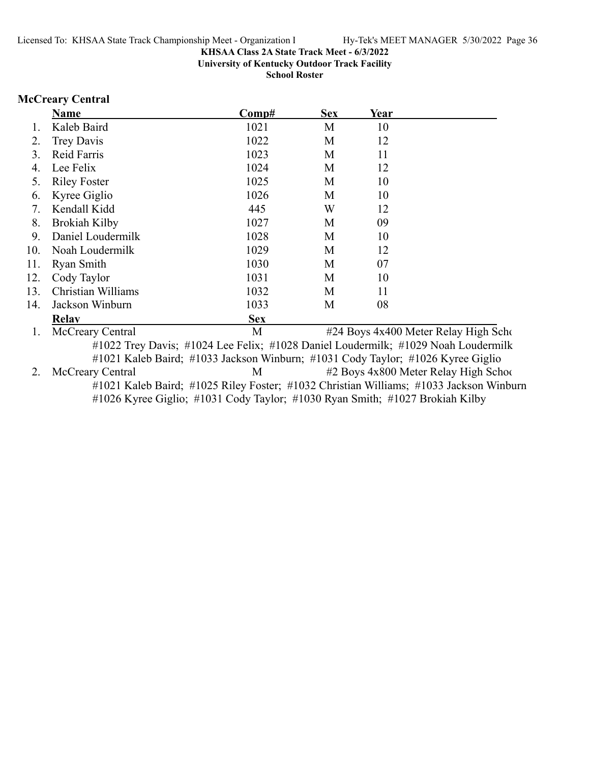**University of Kentucky Outdoor Track Facility**

**School Roster**

### **McCreary Central**

|     | <b>Name</b>                                |                                                                       | Comp#                                                           | <b>Sex</b>    | Year |                                      |
|-----|--------------------------------------------|-----------------------------------------------------------------------|-----------------------------------------------------------------|---------------|------|--------------------------------------|
|     | Kaleb Baird                                |                                                                       | 1021                                                            | M             | 10   |                                      |
| 2.  | Trey Davis                                 |                                                                       | 1022                                                            | M             | 12   |                                      |
| 3.  | Reid Farris                                |                                                                       | 1023                                                            | M             | 11   |                                      |
| 4.  | Lee Felix                                  |                                                                       | 1024                                                            | M             | 12   |                                      |
| 5.  | <b>Riley Foster</b>                        |                                                                       | 1025                                                            | М             | 10   |                                      |
| 6.  | Kyree Giglio                               |                                                                       | 1026                                                            | M             | 10   |                                      |
| 7.  | Kendall Kidd                               |                                                                       | 445                                                             | W             | 12   |                                      |
| 8.  | <b>Brokiah Kilby</b>                       |                                                                       | 1027                                                            | M             | 09   |                                      |
| 9.  | Daniel Loudermilk                          |                                                                       | 1028                                                            | M             | 10   |                                      |
| 10. | Noah Loudermilk                            |                                                                       | 1029                                                            | M             | 12   |                                      |
| 11. | Ryan Smith                                 |                                                                       | 1030                                                            | M             | 07   |                                      |
| 12. | Cody Taylor                                |                                                                       | 1031                                                            | M             | 10   |                                      |
| 13. | Christian Williams                         |                                                                       | 1032                                                            | M             | 11   |                                      |
| 14. | Jackson Winburn                            |                                                                       | 1033                                                            | M             | 08   |                                      |
|     | <b>Relay</b>                               |                                                                       | <b>Sex</b>                                                      |               |      |                                      |
|     | McCreary Central                           |                                                                       | М                                                               |               |      | #24 Boys 4x400 Meter Relay High Scho |
|     | $\mathbf{u}$ 1.1 $\mathbf{u}$ $\mathbf{v}$ | $\mathbf{u}$ 1 $\mathbf{A}$ $\mathbf{A}$ $\mathbf{T}$<br>$\mathbf{r}$ | $\mathbf{111} \wedge \mathbf{10} \mathbf{R}$<br>$\mathbf{r}$ 1. | $\cdot$ 1 T 1 |      | $11$ $11000 \text{ N}$ $1$ $1$       |

#1022 Trey Davis; #1024 Lee Felix; #1028 Daniel Loudermilk; #1029 Noah Loudermilk #1021 Kaleb Baird; #1033 Jackson Winburn; #1031 Cody Taylor; #1026 Kyree Giglio 2. McCreary Central M #2 Boys 4x800 Meter Relay High School #1021 Kaleb Baird; #1025 Riley Foster; #1032 Christian Williams; #1033 Jackson Winburn #1026 Kyree Giglio; #1031 Cody Taylor; #1030 Ryan Smith; #1027 Brokiah Kilby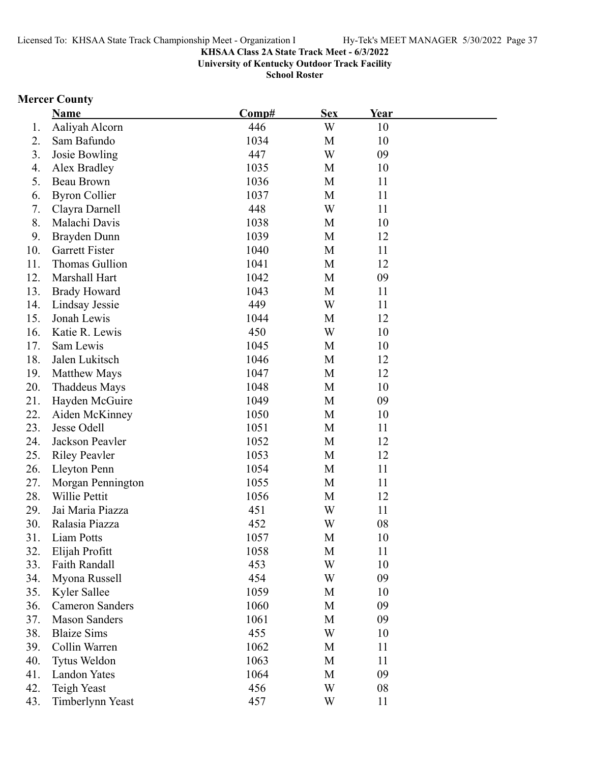**University of Kentucky Outdoor Track Facility**

**School Roster**

# **Mercer County**

|     | <b>Name</b>            | Comp# | <b>Sex</b> | Year |  |
|-----|------------------------|-------|------------|------|--|
| 1.  | Aaliyah Alcorn         | 446   | W          | 10   |  |
| 2.  | Sam Bafundo            | 1034  | M          | 10   |  |
| 3.  | Josie Bowling          | 447   | W          | 09   |  |
| 4.  | Alex Bradley           | 1035  | M          | 10   |  |
| 5.  | Beau Brown             | 1036  | M          | 11   |  |
| 6.  | <b>Byron Collier</b>   | 1037  | M          | 11   |  |
| 7.  | Clayra Darnell         | 448   | W          | 11   |  |
| 8.  | Malachi Davis          | 1038  | M          | 10   |  |
| 9.  | Brayden Dunn           | 1039  | M          | 12   |  |
| 10. | <b>Garrett Fister</b>  | 1040  | M          | 11   |  |
| 11. | Thomas Gullion         | 1041  | M          | 12   |  |
| 12. | Marshall Hart          | 1042  | M          | 09   |  |
| 13. | <b>Brady Howard</b>    | 1043  | M          | 11   |  |
| 14. | Lindsay Jessie         | 449   | W          | 11   |  |
| 15. | Jonah Lewis            | 1044  | M          | 12   |  |
| 16. | Katie R. Lewis         | 450   | W          | 10   |  |
| 17. | Sam Lewis              | 1045  | M          | 10   |  |
| 18. | Jalen Lukitsch         | 1046  | M          | 12   |  |
| 19. | Matthew Mays           | 1047  | M          | 12   |  |
| 20. | Thaddeus Mays          | 1048  | M          | 10   |  |
| 21. | Hayden McGuire         | 1049  | M          | 09   |  |
| 22. | Aiden McKinney         | 1050  | M          | 10   |  |
| 23. | Jesse Odell            | 1051  | M          | 11   |  |
| 24. | Jackson Peavler        | 1052  | M          | 12   |  |
| 25. | <b>Riley Peavler</b>   | 1053  | M          | 12   |  |
| 26. | Lleyton Penn           | 1054  | M          | 11   |  |
| 27. | Morgan Pennington      | 1055  | M          | 11   |  |
| 28. | Willie Pettit          | 1056  | M          | 12   |  |
| 29. | Jai Maria Piazza       | 451   | W          | 11   |  |
| 30. | Ralasia Piazza         | 452   | W          | 08   |  |
| 31. | Liam Potts             | 1057  | М          | 10   |  |
| 32. | Elijah Profitt         | 1058  | M          | 11   |  |
| 33. | <b>Faith Randall</b>   | 453   | W          | 10   |  |
| 34. | Myona Russell          | 454   | W          | 09   |  |
| 35. | Kyler Sallee           | 1059  | M          | 10   |  |
| 36. | <b>Cameron Sanders</b> | 1060  | M          | 09   |  |
| 37. | <b>Mason Sanders</b>   | 1061  | M          | 09   |  |
| 38. | <b>Blaize Sims</b>     | 455   | W          | 10   |  |
| 39. | Collin Warren          | 1062  | M          | 11   |  |
| 40. | Tytus Weldon           | 1063  | M          | 11   |  |
| 41. | <b>Landon Yates</b>    | 1064  | M          | 09   |  |
| 42. | Teigh Yeast            | 456   | W          | 08   |  |
| 43. | Timberlynn Yeast       | 457   | W          | 11   |  |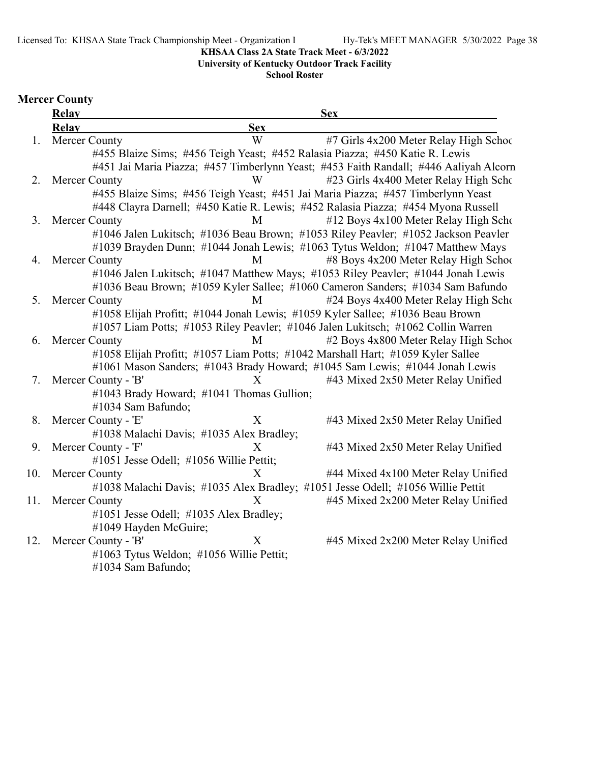Licensed To: KHSAA State Track Championship Meet - Organization l Hy-Tek's MEET MANAGER 5/30/2022 Page 38

**KHSAA Class 2A State Track Meet - 6/3/2022**

**University of Kentucky Outdoor Track Facility**

**School Roster**

# **Mercer County**

|     | <b>Relay</b>          |                                           | <b>Sex</b>                                                                            |
|-----|-----------------------|-------------------------------------------|---------------------------------------------------------------------------------------|
|     | <b>Relav</b>          | <b>Sex</b>                                |                                                                                       |
| 1.  | Mercer County         | W                                         | #7 Girls 4x200 Meter Relay High School                                                |
|     |                       |                                           | #455 Blaize Sims; #456 Teigh Yeast; #452 Ralasia Piazza; #450 Katie R. Lewis          |
|     |                       |                                           | #451 Jai Maria Piazza; #457 Timberlynn Yeast; #453 Faith Randall; #446 Aaliyah Alcorn |
| 2.  | Mercer County         | W                                         | #23 Girls 4x400 Meter Relay High Scho                                                 |
|     |                       |                                           | #455 Blaize Sims; #456 Teigh Yeast; #451 Jai Maria Piazza; #457 Timberlynn Yeast      |
|     |                       |                                           | #448 Clayra Darnell; #450 Katie R. Lewis; #452 Ralasia Piazza; #454 Myona Russell     |
| 3.  | Mercer County         | M                                         | #12 Boys 4x100 Meter Relay High Scho                                                  |
|     |                       |                                           | #1046 Jalen Lukitsch; #1036 Beau Brown; #1053 Riley Peavler; #1052 Jackson Peavler    |
|     |                       |                                           | #1039 Brayden Dunn; #1044 Jonah Lewis; #1063 Tytus Weldon; #1047 Matthew Mays         |
| 4.  | Mercer County         | M                                         | #8 Boys 4x200 Meter Relay High School                                                 |
|     |                       |                                           | #1046 Jalen Lukitsch; #1047 Matthew Mays; #1053 Riley Peavler; #1044 Jonah Lewis      |
|     |                       |                                           | #1036 Beau Brown; #1059 Kyler Sallee; #1060 Cameron Sanders; #1034 Sam Bafundo        |
| 5.  | Mercer County         | M                                         | #24 Boys 4x400 Meter Relay High Scho                                                  |
|     |                       |                                           | #1058 Elijah Profitt; #1044 Jonah Lewis; #1059 Kyler Sallee; #1036 Beau Brown         |
|     |                       |                                           | #1057 Liam Potts; #1053 Riley Peavler; #1046 Jalen Lukitsch; #1062 Collin Warren      |
| 6.  | Mercer County         | M                                         | #2 Boys 4x800 Meter Relay High Schoo                                                  |
|     |                       |                                           | #1058 Elijah Profitt; #1057 Liam Potts; #1042 Marshall Hart; #1059 Kyler Sallee       |
|     |                       |                                           | #1061 Mason Sanders; #1043 Brady Howard; #1045 Sam Lewis; #1044 Jonah Lewis           |
| 7.  | Mercer County - 'B'   | $\boldsymbol{\mathrm{X}}$                 | #43 Mixed 2x50 Meter Relay Unified                                                    |
|     |                       | #1043 Brady Howard; #1041 Thomas Gullion; |                                                                                       |
|     | #1034 Sam Bafundo;    |                                           |                                                                                       |
| 8.  | Mercer County - 'E'   | $\boldsymbol{\mathrm{X}}$                 | #43 Mixed 2x50 Meter Relay Unified                                                    |
|     |                       | #1038 Malachi Davis; #1035 Alex Bradley;  |                                                                                       |
| 9.  | Mercer County - 'F'   | $\boldsymbol{\mathrm{X}}$                 | #43 Mixed 2x50 Meter Relay Unified                                                    |
|     |                       | #1051 Jesse Odell; #1056 Willie Pettit;   |                                                                                       |
| 10. | Mercer County         | $\mathbf{X}$                              | #44 Mixed 4x100 Meter Relay Unified                                                   |
|     |                       |                                           | #1038 Malachi Davis; #1035 Alex Bradley; #1051 Jesse Odell; #1056 Willie Pettit       |
| 11. | Mercer County         | X                                         | #45 Mixed 2x200 Meter Relay Unified                                                   |
|     |                       | #1051 Jesse Odell; #1035 Alex Bradley;    |                                                                                       |
|     | #1049 Hayden McGuire; |                                           |                                                                                       |
| 12. | Mercer County - 'B'   | X                                         | #45 Mixed 2x200 Meter Relay Unified                                                   |
|     |                       | #1063 Tytus Weldon; #1056 Willie Pettit;  |                                                                                       |
|     | #1034 Sam Bafundo;    |                                           |                                                                                       |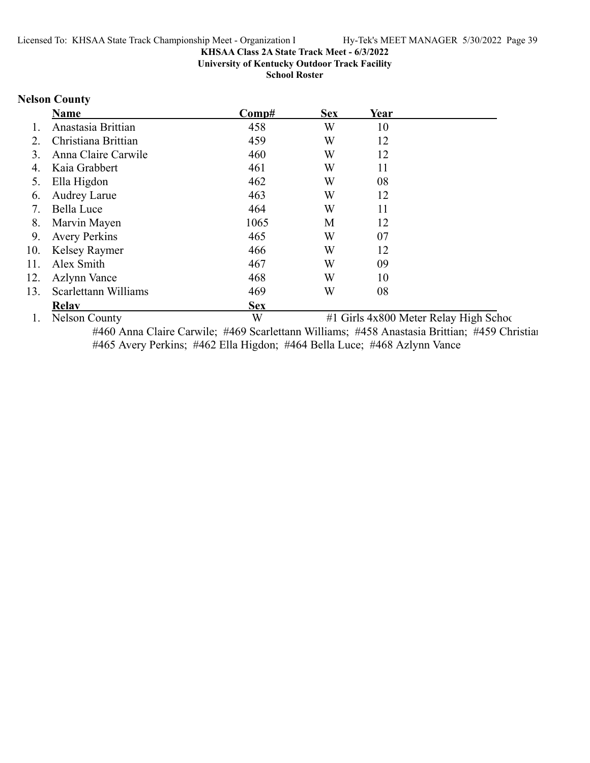**University of Kentucky Outdoor Track Facility**

**School Roster**

# **Nelson County**

|     | <b>Name</b>          | Comp#      | <b>Sex</b> | Year                       |              |
|-----|----------------------|------------|------------|----------------------------|--------------|
|     | Anastasia Brittian   | 458        | W          | 10                         |              |
| 2.  | Christiana Brittian  | 459        | W          | 12                         |              |
| 3.  | Anna Claire Carwile  | 460        | W          | 12                         |              |
| 4.  | Kaia Grabbert        | 461        | W          | 11                         |              |
| 5.  | Ella Higdon          | 462        | W          | 08                         |              |
| 6.  | <b>Audrey Larue</b>  | 463        | W          | 12                         |              |
|     | Bella Luce           | 464        | W          | 11                         |              |
| 8.  | Marvin Mayen         | 1065       | M          | 12                         |              |
| 9.  | <b>Avery Perkins</b> | 465        | W          | 07                         |              |
| 10. | Kelsey Raymer        | 466        | W          | 12                         |              |
| 11. | Alex Smith           | 467        | W          | 09                         |              |
| 12. | <b>Azlynn Vance</b>  | 468        | W          | 10                         |              |
| 13. | Scarlettann Williams | 469        | W          | 08                         |              |
|     | <b>Relav</b>         | <b>Sex</b> |            |                            |              |
|     |                      |            |            | $\cdots$ $\cdots$ $\cdots$ | -----<br>- - |

1. Nelson County W #1 Girls 4x800 Meter Relay High School #460 Anna Claire Carwile; #469 Scarlettann Williams; #458 Anastasia Brittian; #459 Christian #465 Avery Perkins; #462 Ella Higdon; #464 Bella Luce; #468 Azlynn Vance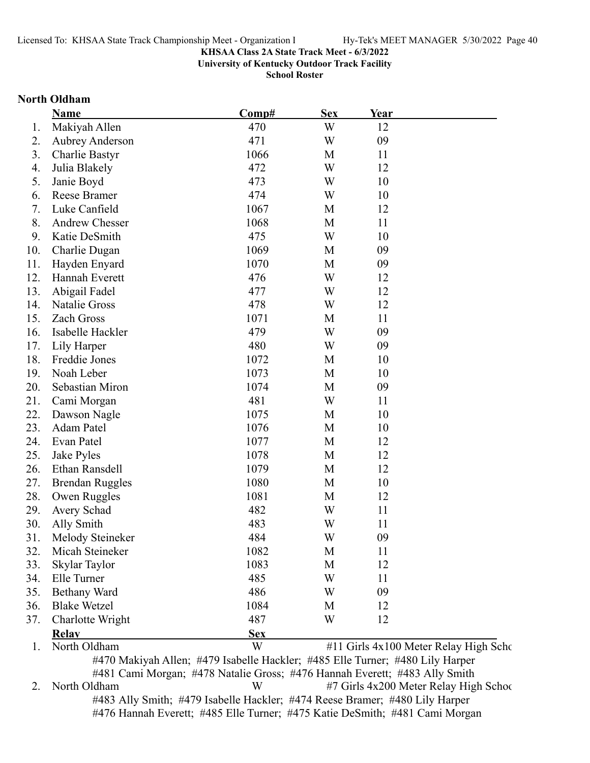**University of Kentucky Outdoor Track Facility**

**School Roster**

### **North Oldham**

|     | Name                   | Comp#      | <b>Sex</b> | Year |                                       |
|-----|------------------------|------------|------------|------|---------------------------------------|
| 1.  | Makiyah Allen          | 470        | W          | 12   |                                       |
| 2.  | <b>Aubrey Anderson</b> | 471        | W          | 09   |                                       |
| 3.  | Charlie Bastyr         | 1066       | M          | 11   |                                       |
| 4.  | Julia Blakely          | 472        | W          | 12   |                                       |
| 5.  | Janie Boyd             | 473        | W          | 10   |                                       |
| 6.  | Reese Bramer           | 474        | W          | 10   |                                       |
| 7.  | Luke Canfield          | 1067       | M          | 12   |                                       |
| 8.  | <b>Andrew Chesser</b>  | 1068       | M          | 11   |                                       |
| 9.  | Katie DeSmith          | 475        | W          | 10   |                                       |
| 10. | Charlie Dugan          | 1069       | M          | 09   |                                       |
| 11. | Hayden Enyard          | 1070       | M          | 09   |                                       |
| 12. | Hannah Everett         | 476        | W          | 12   |                                       |
| 13. | Abigail Fadel          | 477        | W          | 12   |                                       |
| 14. | Natalie Gross          | 478        | W          | 12   |                                       |
| 15. | Zach Gross             | 1071       | M          | 11   |                                       |
| 16. | Isabelle Hackler       | 479        | W          | 09   |                                       |
| 17. | Lily Harper            | 480        | W          | 09   |                                       |
| 18. | Freddie Jones          | 1072       | M          | 10   |                                       |
| 19. | Noah Leber             | 1073       | M          | 10   |                                       |
| 20. | Sebastian Miron        | 1074       | M          | 09   |                                       |
| 21. | Cami Morgan            | 481        | W          | 11   |                                       |
| 22. | Dawson Nagle           | 1075       | M          | 10   |                                       |
| 23. | Adam Patel             | 1076       | M          | 10   |                                       |
| 24. | Evan Patel             | 1077       | M          | 12   |                                       |
| 25. | Jake Pyles             | 1078       | M          | 12   |                                       |
| 26. | Ethan Ransdell         | 1079       | M          | 12   |                                       |
| 27. | <b>Brendan Ruggles</b> | 1080       | M          | 10   |                                       |
| 28. | Owen Ruggles           | 1081       | M          | 12   |                                       |
| 29. | Avery Schad            | 482        | W          | 11   |                                       |
| 30. | Ally Smith             | 483        | W          | 11   |                                       |
| 31. | Melody Steineker       | 484        | W          | 09   |                                       |
| 32. | Micah Steineker        | 1082       | M          | 11   |                                       |
| 33. | Skylar Taylor          | 1083       | M          | 12   |                                       |
| 34. | Elle Turner            | 485        | W          | 11   |                                       |
| 35. | <b>Bethany Ward</b>    | 486        | W          | 09   |                                       |
| 36. | <b>Blake Wetzel</b>    | 1084       | M          | 12   |                                       |
| 37. | Charlotte Wright       | 487        | W          | 12   |                                       |
|     | Relav                  | <b>Sex</b> |            |      |                                       |
| 1.  | North Oldham           | W          |            |      | #11 Girls 4x100 Meter Relay High Scho |

#481 Cami Morgan; #478 Natalie Gross; #476 Hannah Everett; #483 Ally Smith 2. North Oldham W #7 Girls 4x200 Meter Relay High School #483 Ally Smith; #479 Isabelle Hackler; #474 Reese Bramer; #480 Lily Harper #476 Hannah Everett; #485 Elle Turner; #475 Katie DeSmith; #481 Cami Morgan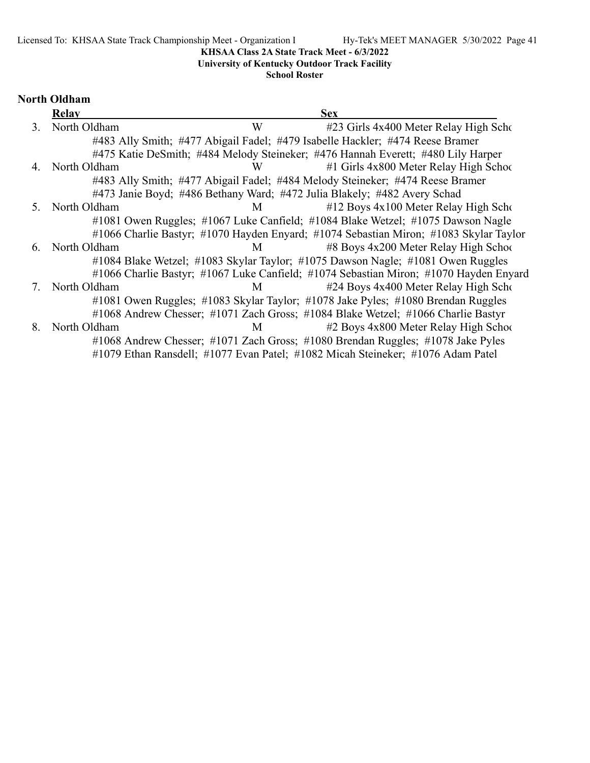# **University of Kentucky Outdoor Track Facility**

**School Roster**

# **North Oldham**

|                | <b>Relay</b> | <b>Sex</b>                                                                            |
|----------------|--------------|---------------------------------------------------------------------------------------|
| 3 <sub>1</sub> | North Oldham | W<br>#23 Girls 4x400 Meter Relay High Scho                                            |
|                |              | #483 Ally Smith; #477 Abigail Fadel; #479 Isabelle Hackler; #474 Reese Bramer         |
|                |              | #475 Katie DeSmith; #484 Melody Steineker; #476 Hannah Everett; #480 Lily Harper      |
| 4.             | North Oldham | #1 Girls 4x800 Meter Relay High School<br>W                                           |
|                |              | #483 Ally Smith; #477 Abigail Fadel; #484 Melody Steineker; #474 Reese Bramer         |
|                |              | #473 Janie Boyd; #486 Bethany Ward; #472 Julia Blakely; #482 Avery Schad              |
| 5.             | North Oldham | #12 Boys 4x100 Meter Relay High Scho<br>M                                             |
|                |              | #1081 Owen Ruggles; #1067 Luke Canfield; #1084 Blake Wetzel; #1075 Dawson Nagle       |
|                |              | #1066 Charlie Bastyr; #1070 Hayden Enyard; #1074 Sebastian Miron; #1083 Skylar Taylor |
| 6.             | North Oldham | #8 Boys 4x200 Meter Relay High School<br>M                                            |
|                |              | #1084 Blake Wetzel; #1083 Skylar Taylor; #1075 Dawson Nagle; #1081 Owen Ruggles       |
|                |              | #1066 Charlie Bastyr; #1067 Luke Canfield; #1074 Sebastian Miron; #1070 Hayden Enyard |
| 7.             | North Oldham | #24 Boys 4x400 Meter Relay High Scho<br>M                                             |
|                |              | #1081 Owen Ruggles; #1083 Skylar Taylor; #1078 Jake Pyles; #1080 Brendan Ruggles      |
|                |              | #1068 Andrew Chesser; #1071 Zach Gross; #1084 Blake Wetzel; #1066 Charlie Bastyr      |
| 8.             | North Oldham | #2 Boys 4x800 Meter Relay High School<br>M                                            |
|                |              | #1068 Andrew Chesser; #1071 Zach Gross; #1080 Brendan Ruggles; #1078 Jake Pyles       |
|                |              | #1079 Ethan Ransdell; #1077 Evan Patel; #1082 Micah Steineker; #1076 Adam Patel       |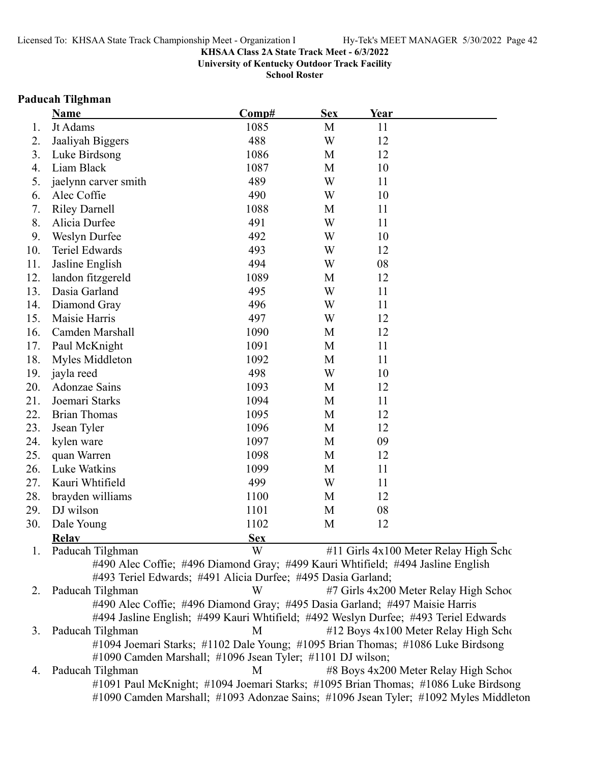**University of Kentucky Outdoor Track Facility**

**School Roster**

#### **Paducah Tilghman**

|     | <b>Name</b>          | Comp#                                                                           | <b>Sex</b> | Year |                                       |
|-----|----------------------|---------------------------------------------------------------------------------|------------|------|---------------------------------------|
| 1.  | Jt Adams             | 1085                                                                            | M          | 11   |                                       |
| 2.  | Jaaliyah Biggers     | 488                                                                             | W          | 12   |                                       |
| 3.  | Luke Birdsong        | 1086                                                                            | M          | 12   |                                       |
| 4.  | Liam Black           | 1087                                                                            | M          | 10   |                                       |
| 5.  | jaelynn carver smith | 489                                                                             | W          | 11   |                                       |
| 6.  | Alec Coffie          | 490                                                                             | W          | 10   |                                       |
| 7.  | <b>Riley Darnell</b> | 1088                                                                            | M          | 11   |                                       |
| 8.  | Alicia Durfee        | 491                                                                             | W          | 11   |                                       |
| 9.  | <b>Weslyn Durfee</b> | 492                                                                             | W          | 10   |                                       |
| 10. | Teriel Edwards       | 493                                                                             | W          | 12   |                                       |
| 11. | Jasline English      | 494                                                                             | W          | 08   |                                       |
| 12. | landon fitzgereld    | 1089                                                                            | M          | 12   |                                       |
| 13. | Dasia Garland        | 495                                                                             | W          | 11   |                                       |
| 14. | Diamond Gray         | 496                                                                             | W          | 11   |                                       |
| 15. | Maisie Harris        | 497                                                                             | W          | 12   |                                       |
| 16. | Camden Marshall      | 1090                                                                            | M          | 12   |                                       |
| 17. | Paul McKnight        | 1091                                                                            | M          | 11   |                                       |
| 18. | Myles Middleton      | 1092                                                                            | M          | 11   |                                       |
| 19. | jayla reed           | 498                                                                             | W          | 10   |                                       |
| 20. | <b>Adonzae Sains</b> | 1093                                                                            | M          | 12   |                                       |
| 21. | Joemari Starks       | 1094                                                                            | M          | 11   |                                       |
| 22. | <b>Brian Thomas</b>  | 1095                                                                            | M          | 12   |                                       |
| 23. | Jsean Tyler          | 1096                                                                            | M          | 12   |                                       |
| 24. | kylen ware           | 1097                                                                            | M          | 09   |                                       |
| 25. | quan Warren          | 1098                                                                            | M          | 12   |                                       |
| 26. | Luke Watkins         | 1099                                                                            | M          | 11   |                                       |
| 27. | Kauri Whtifield      | 499                                                                             | W          | 11   |                                       |
| 28. | brayden williams     | 1100                                                                            | M          | 12   |                                       |
| 29. | DJ wilson            | 1101                                                                            | M          | 08   |                                       |
| 30. | Dale Young           | 1102                                                                            | M          | 12   |                                       |
|     | <b>Relay</b>         | <b>Sex</b>                                                                      |            |      |                                       |
| 1.  | Paducah Tilghman     | W                                                                               |            |      | #11 Girls 4x100 Meter Relay High Scho |
|     |                      | #490 Alec Coffie; #496 Diamond Gray; #499 Kauri Whtifield; #494 Jasline English |            |      |                                       |
|     |                      | #493 Teriel Edwards; #491 Alicia Durfee; #495 Dasia Garland;                    |            |      |                                       |

2. Paducah Tilghman W #7 Girls 4x200 Meter Relay High School #490 Alec Coffie; #496 Diamond Gray; #495 Dasia Garland; #497 Maisie Harris #494 Jasline English; #499 Kauri Whtifield; #492 Weslyn Durfee; #493 Teriel Edwards 3. Paducah Tilghman M #12 Boys 4x100 Meter Relay High Scho #1094 Joemari Starks; #1102 Dale Young; #1095 Brian Thomas; #1086 Luke Birdsong #1090 Camden Marshall; #1096 Jsean Tyler; #1101 DJ wilson; 4. Paducah Tilghman M #8 Boys 4x200 Meter Relay High School

#1091 Paul McKnight; #1094 Joemari Starks; #1095 Brian Thomas; #1086 Luke Birdsong #1090 Camden Marshall; #1093 Adonzae Sains; #1096 Jsean Tyler; #1092 Myles Middleton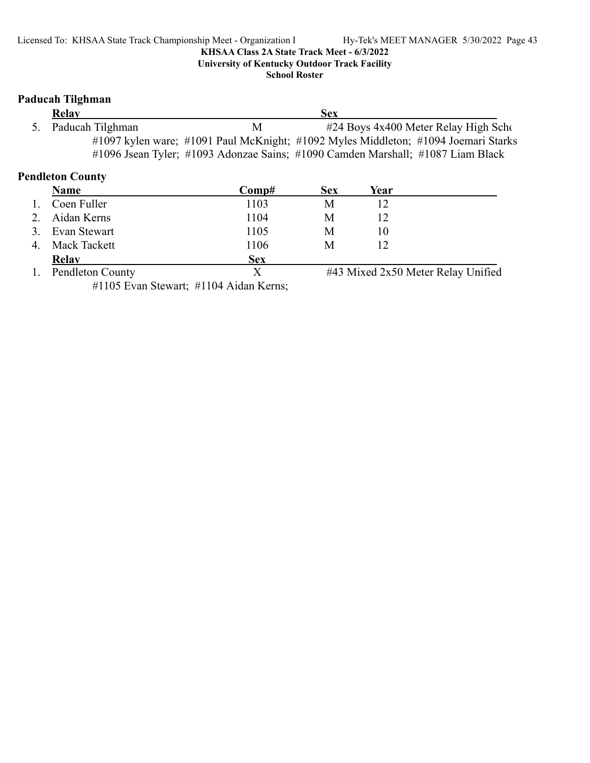**University of Kentucky Outdoor Track Facility**

**School Roster**

# **Paducah Tilghman**

| Relay               |   | <b>Sex</b>                                                                         |  |
|---------------------|---|------------------------------------------------------------------------------------|--|
| 5. Paducah Tilghman | M | #24 Boys 4x400 Meter Relay High Scho                                               |  |
|                     |   | #1097 kylen ware; #1091 Paul McKnight; #1092 Myles Middleton; #1094 Joemari Starks |  |
|                     |   | #1096 Jsean Tyler; #1093 Adonzae Sains; #1090 Camden Marshall; #1087 Liam Black    |  |

# **Pendleton County**

| <b>Name</b>             | Comp#      | <b>Sex</b> | Year |                                    |
|-------------------------|------------|------------|------|------------------------------------|
| Coen Fuller             | 1103       | М          |      |                                    |
| Aidan Kerns             | 1104       | M          |      |                                    |
| Evan Stewart            | 1105       | M          | 10   |                                    |
| Mack Tackett            | 1106       | M          |      |                                    |
| <b>Relay</b>            | <b>Sex</b> |            |      |                                    |
| <b>Pendleton County</b> |            |            |      | #43 Mixed 2x50 Meter Relay Unified |

#1105 Evan Stewart; #1104 Aidan Kerns;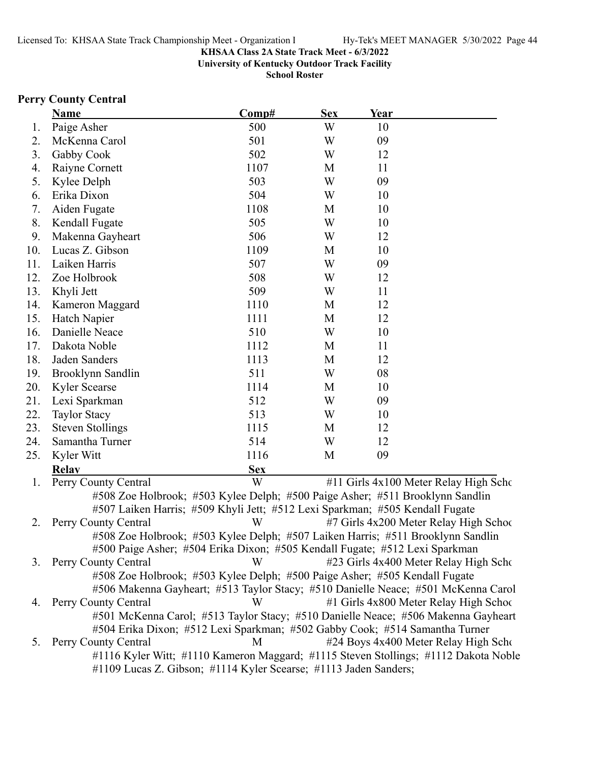**University of Kentucky Outdoor Track Facility**

**School Roster**

### **Perry County Central**

|     | <b>Name</b>             | Comp#                                                                         | <b>Sex</b> | Year |                                       |
|-----|-------------------------|-------------------------------------------------------------------------------|------------|------|---------------------------------------|
| 1.  | Paige Asher             | 500                                                                           | W          | 10   |                                       |
| 2.  | McKenna Carol           | 501                                                                           | W          | 09   |                                       |
| 3.  | Gabby Cook              | 502                                                                           | W          | 12   |                                       |
| 4.  | Raiyne Cornett          | 1107                                                                          | M          | 11   |                                       |
| 5.  | Kylee Delph             | 503                                                                           | W          | 09   |                                       |
| 6.  | Erika Dixon             | 504                                                                           | W          | 10   |                                       |
| 7.  | Aiden Fugate            | 1108                                                                          | M          | 10   |                                       |
| 8.  | Kendall Fugate          | 505                                                                           | W          | 10   |                                       |
| 9.  | Makenna Gayheart        | 506                                                                           | W          | 12   |                                       |
| 10. | Lucas Z. Gibson         | 1109                                                                          | М          | 10   |                                       |
| 11. | Laiken Harris           | 507                                                                           | W          | 09   |                                       |
| 12. | Zoe Holbrook            | 508                                                                           | W          | 12   |                                       |
| 13. | Khyli Jett              | 509                                                                           | W          | 11   |                                       |
| 14. | Kameron Maggard         | 1110                                                                          | M          | 12   |                                       |
| 15. | Hatch Napier            | 1111                                                                          | M          | 12   |                                       |
| 16. | Danielle Neace          | 510                                                                           | W          | 10   |                                       |
| 17. | Dakota Noble            | 1112                                                                          | M          | 11   |                                       |
| 18. | Jaden Sanders           | 1113                                                                          | M          | 12   |                                       |
| 19. | Brooklynn Sandlin       | 511                                                                           | W          | 08   |                                       |
| 20. | Kyler Scearse           | 1114                                                                          | M          | 10   |                                       |
| 21. | Lexi Sparkman           | 512                                                                           | W          | 09   |                                       |
| 22. | Taylor Stacy            | 513                                                                           | W          | 10   |                                       |
| 23. | <b>Steven Stollings</b> | 1115                                                                          | M          | 12   |                                       |
| 24. | Samantha Turner         | 514                                                                           | W          | 12   |                                       |
| 25. | Kyler Witt              | 1116                                                                          | M          | 09   |                                       |
|     | <b>Relav</b>            | <b>Sex</b>                                                                    |            |      |                                       |
| 1.  | Perry County Central    | W                                                                             |            |      | #11 Girls 4x100 Meter Relay High Scho |
|     |                         | #508 Zoe Holbrook; #503 Kylee Delph; #500 Paige Asher; #511 Brooklynn Sandlin |            |      |                                       |

#507 Laiken Harris; #509 Khyli Jett; #512 Lexi Sparkman; #505 Kendall Fugate 2. Perry County Central W #7 Girls 4x200 Meter Relay High School #508 Zoe Holbrook; #503 Kylee Delph; #507 Laiken Harris; #511 Brooklynn Sandlin #500 Paige Asher; #504 Erika Dixon; #505 Kendall Fugate; #512 Lexi Sparkman 3. Perry County Central W #23 Girls 4x400 Meter Relay High School #508 Zoe Holbrook; #503 Kylee Delph; #500 Paige Asher; #505 Kendall Fugate #506 Makenna Gayheart; #513 Taylor Stacy; #510 Danielle Neace; #501 McKenna Carol 4. Perry County Central W #1 Girls 4x800 Meter Relay High School #501 McKenna Carol; #513 Taylor Stacy; #510 Danielle Neace; #506 Makenna Gayheart #504 Erika Dixon; #512 Lexi Sparkman; #502 Gabby Cook; #514 Samantha Turner 5. Perry County Central 1983 M and 424 Boys 4x400 Meter Relay High School #1116 Kyler Witt; #1110 Kameron Maggard; #1115 Steven Stollings; #1112 Dakota Noble #1109 Lucas Z. Gibson; #1114 Kyler Scearse; #1113 Jaden Sanders;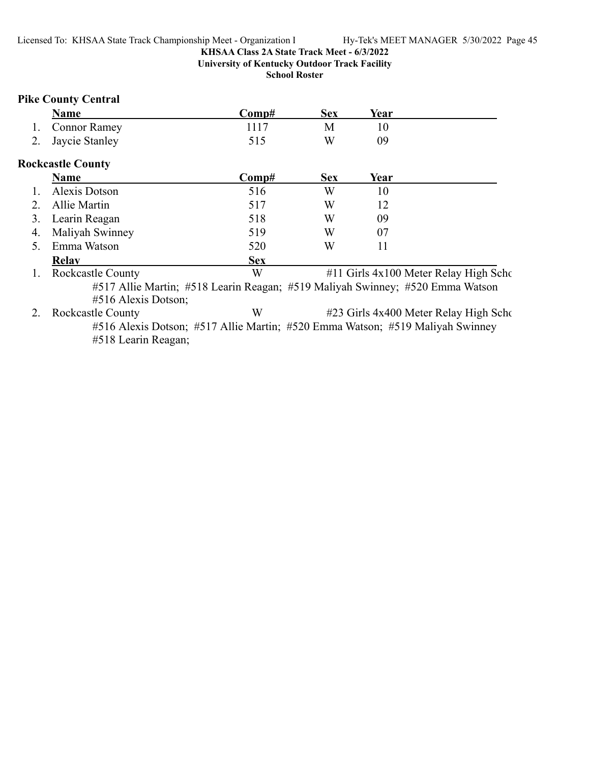# **KHSAA Class 2A State Track Meet - 6/3/2022 University of Kentucky Outdoor Track Facility**

**School Roster**

# **Pike County Central**

|         | <b>Name</b>                                                                                          | Comp#      | <b>Sex</b> | Year |                                       |
|---------|------------------------------------------------------------------------------------------------------|------------|------------|------|---------------------------------------|
| 1.      | <b>Connor Ramey</b>                                                                                  | 1117       | M          | 10   |                                       |
| 2.      | Jaycie Stanley                                                                                       | 515        | W          | 09   |                                       |
|         | <b>Rockcastle County</b>                                                                             |            |            |      |                                       |
|         | Name                                                                                                 | Comp#      | <b>Sex</b> | Year |                                       |
|         | Alexis Dotson                                                                                        | 516        | W          | 10   |                                       |
| $2_{-}$ | Allie Martin                                                                                         | 517        | W          | 12   |                                       |
| 3.      | Learin Reagan                                                                                        | 518        | W          | 09   |                                       |
| 4.      | Maliyah Swinney                                                                                      | 519        | W          | 07   |                                       |
| 5.      | Emma Watson                                                                                          | 520        | W          | 11   |                                       |
|         | <b>Relay</b>                                                                                         | <b>Sex</b> |            |      |                                       |
| 1.      | <b>Rockcastle County</b>                                                                             | W          |            |      | #11 Girls 4x100 Meter Relay High Scho |
|         | #517 Allie Martin; #518 Learin Reagan; #519 Maliyah Swinney; #520 Emma Watson<br>#516 Alexis Dotson; |            |            |      |                                       |
| 2.      | <b>Rockcastle County</b>                                                                             | W          |            |      | #23 Girls 4x400 Meter Relay High Scho |
|         | #516 Alexis Dotson; #517 Allie Martin; #520 Emma Watson; #519 Maliyah Swinney<br>#518 Learin Reagan; |            |            |      |                                       |
|         |                                                                                                      |            |            |      |                                       |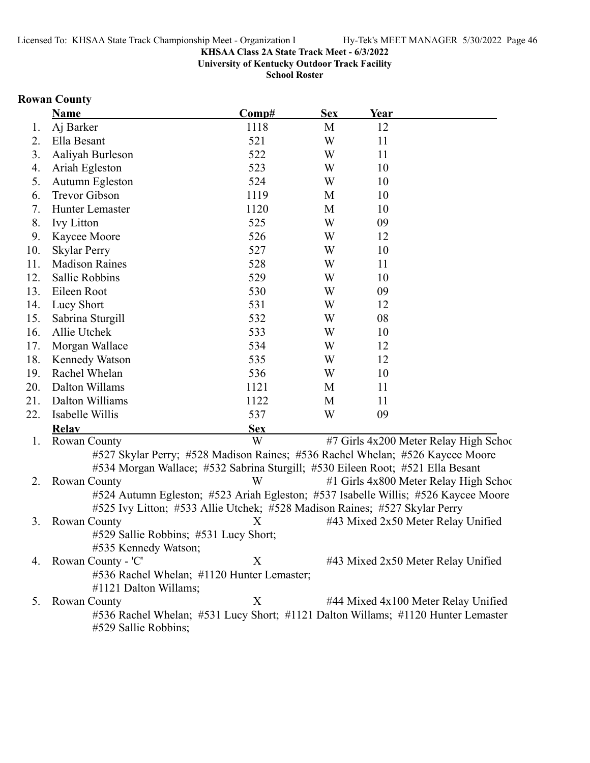**University of Kentucky Outdoor Track Facility**

**School Roster**

### **Rowan County**

|     | <b>Name</b>                                                                        | Comp#      | <b>Sex</b> | Year |                                        |
|-----|------------------------------------------------------------------------------------|------------|------------|------|----------------------------------------|
| 1.  | Aj Barker                                                                          | 1118       | M          | 12   |                                        |
| 2.  | Ella Besant                                                                        | 521        | W          | 11   |                                        |
| 3.  | Aaliyah Burleson                                                                   | 522        | W          | 11   |                                        |
| 4.  | Ariah Egleston                                                                     | 523        | W          | 10   |                                        |
| 5.  | Autumn Egleston                                                                    | 524        | W          | 10   |                                        |
| 6.  | <b>Trevor Gibson</b>                                                               | 1119       | M          | 10   |                                        |
| 7.  | Hunter Lemaster                                                                    | 1120       | M          | 10   |                                        |
| 8.  | <b>Ivy Litton</b>                                                                  | 525        | W          | 09   |                                        |
| 9.  | Kaycee Moore                                                                       | 526        | W          | 12   |                                        |
| 10. | <b>Skylar Perry</b>                                                                | 527        | W          | 10   |                                        |
| 11. | <b>Madison Raines</b>                                                              | 528        | W          | 11   |                                        |
| 12. | Sallie Robbins                                                                     | 529        | W          | 10   |                                        |
| 13. | Eileen Root                                                                        | 530        | W          | 09   |                                        |
| 14. | Lucy Short                                                                         | 531        | W          | 12   |                                        |
| 15. | Sabrina Sturgill                                                                   | 532        | W          | 08   |                                        |
| 16. | Allie Utchek                                                                       | 533        | W          | 10   |                                        |
| 17. | Morgan Wallace                                                                     | 534        | W          | 12   |                                        |
| 18. | Kennedy Watson                                                                     | 535        | W          | 12   |                                        |
| 19. | Rachel Whelan                                                                      | 536        | W          | 10   |                                        |
| 20. | Dalton Willams                                                                     | 1121       | M          | 11   |                                        |
| 21. | Dalton Williams                                                                    | 1122       | M          | 11   |                                        |
| 22. | Isabelle Willis                                                                    | 537        | W          | 09   |                                        |
|     | <b>Relav</b>                                                                       | <b>Sex</b> |            |      |                                        |
| 1.  | Rowan County                                                                       | W          |            |      | #7 Girls 4x200 Meter Relay High School |
|     | #527 Skylar Perry; #528 Madison Raines; #536 Rachel Whelan; #526 Kaycee Moore      |            |            |      |                                        |
|     | #534 Morgan Wallace; #532 Sabrina Sturgill; #530 Eileen Root; #521 Ella Besant     |            |            |      |                                        |
| 2.  | <b>Rowan County</b>                                                                | W          |            |      | #1 Girls 4x800 Meter Relay High School |
|     | #524 Autumn Egleston; #523 Ariah Egleston; #537 Isabelle Willis; #526 Kaycee Moore |            |            |      |                                        |
|     | #525 Ivy Litton; #533 Allie Utchek; #528 Madison Raines; #527 Skylar Perry         |            |            |      |                                        |
| 3.  | Rowan County                                                                       | X          |            |      | #43 Mixed 2x50 Meter Relay Unified     |
|     | #529 Sallie Robbins; #531 Lucy Short;                                              |            |            |      |                                        |
|     | #535 Kennedy Watson;                                                               |            |            |      |                                        |
| 4.  | Rowan County - 'C'                                                                 | X          |            |      | #43 Mixed 2x50 Meter Relay Unified     |
|     | #536 Rachel Whelan; #1120 Hunter Lemaster;                                         |            |            |      |                                        |

#1121 Dalton Willams; 5. Rowan County X #44 Mixed 4x100 Meter Relay Unified #536 Rachel Whelan; #531 Lucy Short; #1121 Dalton Willams; #1120 Hunter Lemaster #529 Sallie Robbins;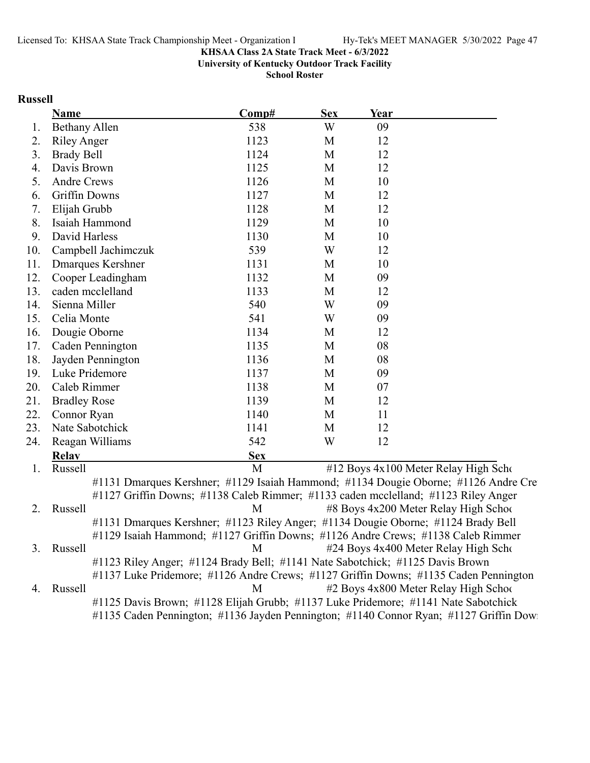**University of Kentucky Outdoor Track Facility**

**School Roster**

# **Russell**

|     | <b>Name</b>                                                                           | Comp#      | <b>Sex</b> | Year |                                       |
|-----|---------------------------------------------------------------------------------------|------------|------------|------|---------------------------------------|
| 1.  | <b>Bethany Allen</b>                                                                  | 538        | W          | 09   |                                       |
| 2.  | <b>Riley Anger</b>                                                                    | 1123       | M          | 12   |                                       |
| 3.  | <b>Brady Bell</b>                                                                     | 1124       | M          | 12   |                                       |
| 4.  | Davis Brown                                                                           | 1125       | M          | 12   |                                       |
| 5.  | <b>Andre Crews</b>                                                                    | 1126       | M          | 10   |                                       |
| 6.  | <b>Griffin Downs</b>                                                                  | 1127       | M          | 12   |                                       |
| 7.  | Elijah Grubb                                                                          | 1128       | M          | 12   |                                       |
| 8.  | Isaiah Hammond                                                                        | 1129       | M          | 10   |                                       |
| 9.  | David Harless                                                                         | 1130       | M          | 10   |                                       |
| 10. | Campbell Jachimczuk                                                                   | 539        | W          | 12   |                                       |
| 11. | <b>Dmarques Kershner</b>                                                              | 1131       | M          | 10   |                                       |
| 12. | Cooper Leadingham                                                                     | 1132       | M          | 09   |                                       |
| 13. | caden mcclelland                                                                      | 1133       | M          | 12   |                                       |
| 14. | Sienna Miller                                                                         | 540        | W          | 09   |                                       |
| 15. | Celia Monte                                                                           | 541        | W          | 09   |                                       |
| 16. | Dougie Oborne                                                                         | 1134       | M          | 12   |                                       |
| 17. | Caden Pennington                                                                      | 1135       | M          | 08   |                                       |
| 18. | Jayden Pennington                                                                     | 1136       | M          | 08   |                                       |
| 19. | Luke Pridemore                                                                        | 1137       | M          | 09   |                                       |
| 20. | Caleb Rimmer                                                                          | 1138       | M          | 07   |                                       |
| 21. | <b>Bradley Rose</b>                                                                   | 1139       | M          | 12   |                                       |
| 22. | Connor Ryan                                                                           | 1140       | M          | 11   |                                       |
| 23. | Nate Sabotchick                                                                       | 1141       | M          | 12   |                                       |
| 24. | Reagan Williams                                                                       | 542        | W          | 12   |                                       |
|     | <b>Relay</b>                                                                          | <b>Sex</b> |            |      |                                       |
| 1.  | Russell                                                                               | M          |            |      | #12 Boys 4x100 Meter Relay High Scho  |
|     | #1131 Dmarques Kershner; #1129 Isaiah Hammond; #1134 Dougie Oborne; #1126 Andre Cre   |            |            |      |                                       |
|     | #1127 Griffin Downs; #1138 Caleb Rimmer; #1133 caden mcclelland; #1123 Riley Anger    |            |            |      |                                       |
| 2.  | Russell                                                                               | M          |            |      | #8 Boys 4x200 Meter Relay High School |
|     | #1131 Dmarques Kershner; #1123 Riley Anger; #1134 Dougie Oborne; #1124 Brady Bell     |            |            |      |                                       |
|     | #1129 Isaiah Hammond; #1127 Griffin Downs; #1126 Andre Crews; #1138 Caleb Rimmer      |            |            |      |                                       |
| 3.  | Russell                                                                               | M          |            |      | #24 Boys 4x400 Meter Relay High Scho  |
|     | #1123 Riley Anger; #1124 Brady Bell; #1141 Nate Sabotchick; #1125 Davis Brown         |            |            |      |                                       |
|     | #1137 Luke Pridemore; #1126 Andre Crews; #1127 Griffin Downs; #1135 Caden Pennington  |            |            |      |                                       |
| 4.  | Russell                                                                               | M          |            |      | #2 Boys 4x800 Meter Relay High School |
|     | #1125 Davis Brown; #1128 Elijah Grubb; #1137 Luke Pridemore; #1141 Nate Sabotchick    |            |            |      |                                       |
|     | #1135 Caden Pennington; #1136 Jayden Pennington; #1140 Connor Ryan; #1127 Griffin Dow |            |            |      |                                       |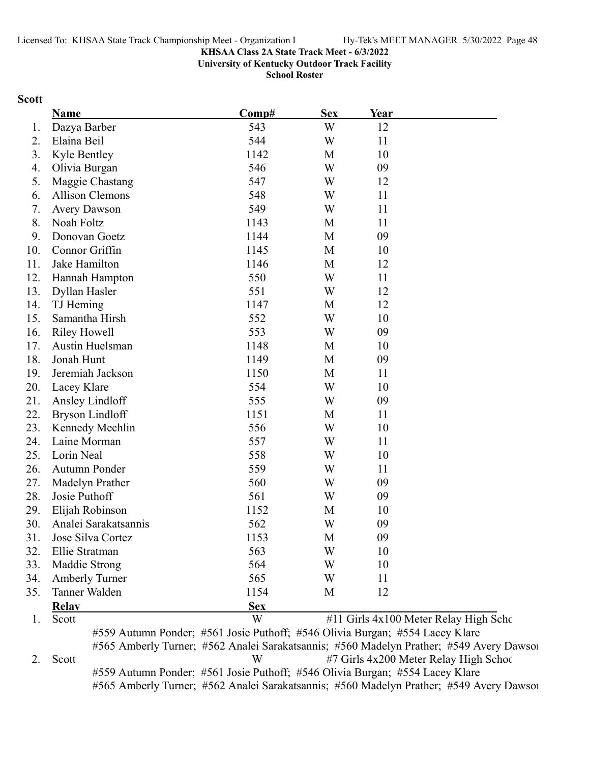**University of Kentucky Outdoor Track Facility**

**School Roster**

#### **Scott**

|     | Name                   | Comp#      | <b>Sex</b> | Year |                                       |
|-----|------------------------|------------|------------|------|---------------------------------------|
| 1.  | Dazya Barber           | 543        | W          | 12   |                                       |
| 2.  | Elaina Beil            | 544        | W          | 11   |                                       |
| 3.  | Kyle Bentley           | 1142       | M          | 10   |                                       |
| 4.  | Olivia Burgan          | 546        | W          | 09   |                                       |
| 5.  | Maggie Chastang        | 547        | W          | 12   |                                       |
| 6.  | <b>Allison Clemons</b> | 548        | W          | 11   |                                       |
| 7.  | <b>Avery Dawson</b>    | 549        | W          | 11   |                                       |
| 8.  | Noah Foltz             | 1143       | M          | 11   |                                       |
| 9.  | Donovan Goetz          | 1144       | M          | 09   |                                       |
| 10. | Connor Griffin         | 1145       | M          | 10   |                                       |
| 11. | Jake Hamilton          | 1146       | M          | 12   |                                       |
| 12. | Hannah Hampton         | 550        | W          | 11   |                                       |
| 13. | Dyllan Hasler          | 551        | W          | 12   |                                       |
| 14. | TJ Heming              | 1147       | M          | 12   |                                       |
| 15. | Samantha Hirsh         | 552        | W          | 10   |                                       |
| 16. | <b>Riley Howell</b>    | 553        | W          | 09   |                                       |
| 17. | Austin Huelsman        | 1148       | M          | 10   |                                       |
| 18. | Jonah Hunt             | 1149       | M          | 09   |                                       |
| 19. | Jeremiah Jackson       | 1150       | M          | 11   |                                       |
| 20. | Lacey Klare            | 554        | W          | 10   |                                       |
| 21. | Ansley Lindloff        | 555        | W          | 09   |                                       |
| 22. | <b>Bryson Lindloff</b> | 1151       | M          | 11   |                                       |
| 23. | Kennedy Mechlin        | 556        | W          | 10   |                                       |
| 24. | Laine Morman           | 557        | W          | 11   |                                       |
| 25. | Lorin Neal             | 558        | W          | 10   |                                       |
| 26. | Autumn Ponder          | 559        | W          | 11   |                                       |
| 27. | Madelyn Prather        | 560        | W          | 09   |                                       |
| 28. | Josie Puthoff          | 561        | W          | 09   |                                       |
| 29. | Elijah Robinson        | 1152       | M          | 10   |                                       |
| 30. | Analei Sarakatsannis   | 562        | W          | 09   |                                       |
| 31. | Jose Silva Cortez      | 1153       | М          | 09   |                                       |
| 32. | Ellie Stratman         | 563        | W          | 10   |                                       |
| 33. | Maddie Strong          | 564        | W          | 10   |                                       |
| 34. | <b>Amberly Turner</b>  | 565        | W          | 11   |                                       |
| 35. | Tanner Walden          | 1154       | M          | 12   |                                       |
|     | <b>Relay</b>           | <b>Sex</b> |            |      |                                       |
| 1.  | Scott                  | W          |            |      | #11 Girls 4x100 Meter Relay High Scho |

#559 Autumn Ponder; #561 Josie Puthoff; #546 Olivia Burgan; #554 Lacey Klare #565 Amberly Turner; #562 Analei Sarakatsannis; #560 Madelyn Prather; #549 Avery Dawson 2. Scott W #7 Girls 4x200 Meter Relay High School #559 Autumn Ponder; #561 Josie Puthoff; #546 Olivia Burgan; #554 Lacey Klare #565 Amberly Turner; #562 Analei Sarakatsannis; #560 Madelyn Prather; #549 Avery Dawson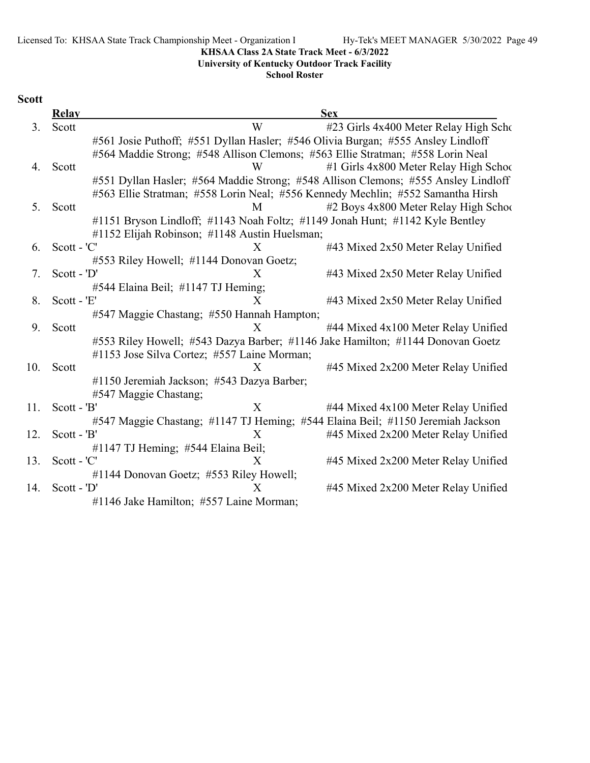Licensed To: KHSAA State Track Championship Meet - Organization l Hy-Tek's MEET MANAGER 5/30/2022 Page 49

### **KHSAA Class 2A State Track Meet - 6/3/2022**

**University of Kentucky Outdoor Track Facility**

**School Roster**

# **Scott**

|     | <b>Relay</b>  | <b>Sex</b>                                                                         |
|-----|---------------|------------------------------------------------------------------------------------|
| 3.  | Scott         | W<br>#23 Girls 4x400 Meter Relay High Scho                                         |
|     |               | #561 Josie Puthoff; #551 Dyllan Hasler; #546 Olivia Burgan; #555 Ansley Lindloff   |
|     |               | #564 Maddie Strong; #548 Allison Clemons; #563 Ellie Stratman; #558 Lorin Neal     |
| 4.  | Scott         | #1 Girls 4x800 Meter Relay High School<br>W                                        |
|     |               | #551 Dyllan Hasler; #564 Maddie Strong; #548 Allison Clemons; #555 Ansley Lindloff |
|     |               | #563 Ellie Stratman; #558 Lorin Neal; #556 Kennedy Mechlin; #552 Samantha Hirsh    |
| 5.  | Scott         | #2 Boys 4x800 Meter Relay High School<br>M                                         |
|     |               | #1151 Bryson Lindloff; #1143 Noah Foltz; #1149 Jonah Hunt; #1142 Kyle Bentley      |
|     |               | #1152 Elijah Robinson; #1148 Austin Huelsman;                                      |
| 6.  | Scott - 'C'   | #43 Mixed 2x50 Meter Relay Unified<br>X                                            |
|     |               | #553 Riley Howell; #1144 Donovan Goetz;                                            |
| 7.  | $Scott - 'D'$ | #43 Mixed 2x50 Meter Relay Unified<br>X                                            |
|     |               | #544 Elaina Beil; #1147 TJ Heming;                                                 |
| 8.  | Scott - 'E'   | X<br>#43 Mixed 2x50 Meter Relay Unified                                            |
|     |               | #547 Maggie Chastang; #550 Hannah Hampton;                                         |
| 9.  | Scott         | X<br>#44 Mixed 4x100 Meter Relay Unified                                           |
|     |               | #553 Riley Howell; #543 Dazya Barber; #1146 Jake Hamilton; #1144 Donovan Goetz     |
|     |               | #1153 Jose Silva Cortez; #557 Laine Morman;                                        |
| 10. | Scott         | X<br>#45 Mixed 2x200 Meter Relay Unified                                           |
|     |               | #1150 Jeremiah Jackson; #543 Dazya Barber;                                         |
|     |               | #547 Maggie Chastang;                                                              |
| 11. | $Scott - 'B'$ | $\mathbf{X}$<br>#44 Mixed 4x100 Meter Relay Unified                                |
|     |               | #547 Maggie Chastang; #1147 TJ Heming; #544 Elaina Beil; #1150 Jeremiah Jackson    |
| 12. | Scott - 'B'   | #45 Mixed 2x200 Meter Relay Unified<br>X                                           |
|     |               | #1147 TJ Heming; #544 Elaina Beil;                                                 |
| 13. | Scott - 'C'   | $\mathbf{X}$<br>#45 Mixed 2x200 Meter Relay Unified                                |
|     |               | #1144 Donovan Goetz; #553 Riley Howell;                                            |
| 14. | $Scott - 'D'$ | #45 Mixed 2x200 Meter Relay Unified<br>X                                           |
|     |               | #1146 Jake Hamilton; #557 Laine Morman;                                            |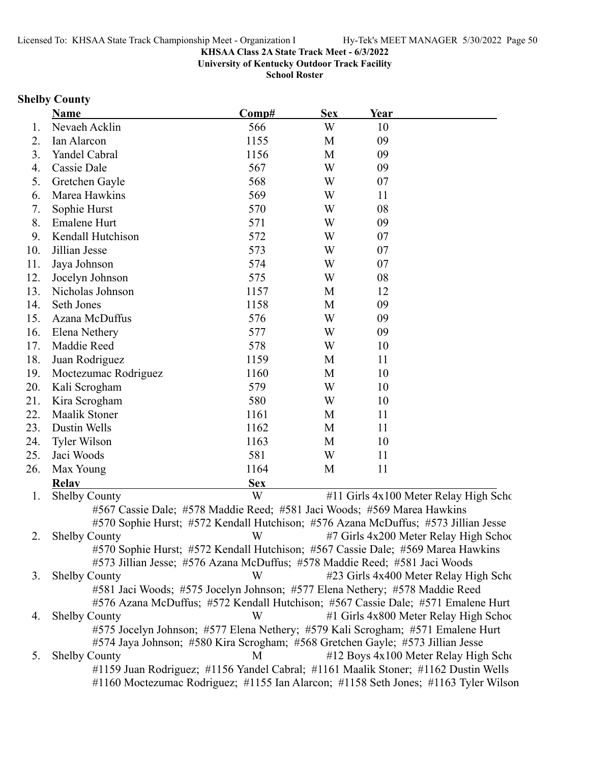**University of Kentucky Outdoor Track Facility**

**School Roster**

### **Shelby County**

|     | <b>Name</b>                                                                        | Comp#      | <b>Sex</b> | <b>Year</b> |                                       |
|-----|------------------------------------------------------------------------------------|------------|------------|-------------|---------------------------------------|
| 1.  | Nevaeh Acklin                                                                      | 566        | W          | 10          |                                       |
| 2.  | Ian Alarcon                                                                        | 1155       | M          | 09          |                                       |
| 3.  | Yandel Cabral                                                                      | 1156       | M          | 09          |                                       |
| 4.  | Cassie Dale                                                                        | 567        | W          | 09          |                                       |
| 5.  | Gretchen Gayle                                                                     | 568        | W          | 07          |                                       |
| 6.  | Marea Hawkins                                                                      | 569        | W          | 11          |                                       |
| 7.  | Sophie Hurst                                                                       | 570        | W          | 08          |                                       |
| 8.  | Emalene Hurt                                                                       | 571        | W          | 09          |                                       |
| 9.  | Kendall Hutchison                                                                  | 572        | W          | 07          |                                       |
| 10. | Jillian Jesse                                                                      | 573        | W          | 07          |                                       |
| 11. | Jaya Johnson                                                                       | 574        | W          | 07          |                                       |
| 12. | Jocelyn Johnson                                                                    | 575        | W          | 08          |                                       |
| 13. | Nicholas Johnson                                                                   | 1157       | M          | 12          |                                       |
| 14. | Seth Jones                                                                         | 1158       | M          | 09          |                                       |
| 15. | Azana McDuffus                                                                     | 576        | W          | 09          |                                       |
| 16. | Elena Nethery                                                                      | 577        | W          | 09          |                                       |
| 17. | Maddie Reed                                                                        | 578        | W          | 10          |                                       |
| 18. | Juan Rodriguez                                                                     | 1159       | M          | 11          |                                       |
| 19. | Moctezumac Rodriguez                                                               | 1160       | M          | 10          |                                       |
| 20. | Kali Scrogham                                                                      | 579        | W          | 10          |                                       |
| 21. | Kira Scrogham                                                                      | 580        | W          | 10          |                                       |
| 22. | <b>Maalik Stoner</b>                                                               | 1161       | M          | 11          |                                       |
| 23. | Dustin Wells                                                                       | 1162       | M          | 11          |                                       |
| 24. | Tyler Wilson                                                                       | 1163       | M          | 10          |                                       |
| 25. | Jaci Woods                                                                         | 581        | W          | 11          |                                       |
| 26. | Max Young                                                                          | 1164       | M          | 11          |                                       |
|     | <b>Relay</b>                                                                       | <b>Sex</b> |            |             |                                       |
| 1.  | <b>Shelby County</b>                                                               | W          |            |             | #11 Girls 4x100 Meter Relay High Scho |
|     | #567 Cassie Dale; #578 Maddie Reed; #581 Jaci Woods; #569 Marea Hawkins            |            |            |             |                                       |
|     | #570 Sophie Hurst; #572 Kendall Hutchison; #576 Azana McDuffus; #573 Jillian Jesse |            |            |             |                                       |
| 2.  | <b>Shelby County</b>                                                               | W          |            |             | #7 Girls 4x200 Meter Relay High Schoo |

#570 Sophie Hurst; #572 Kendall Hutchison; #567 Cassie Dale; #569 Marea Hawkins #573 Jillian Jesse; #576 Azana McDuffus; #578 Maddie Reed; #581 Jaci Woods 3. Shelby County W #23 Girls 4x400 Meter Relay High Scho #581 Jaci Woods; #575 Jocelyn Johnson; #577 Elena Nethery; #578 Maddie Reed #576 Azana McDuffus; #572 Kendall Hutchison; #567 Cassie Dale; #571 Emalene Hurt 4. Shelby County W #1 Girls 4x800 Meter Relay High School #575 Jocelyn Johnson; #577 Elena Nethery; #579 Kali Scrogham; #571 Emalene Hurt #574 Jaya Johnson; #580 Kira Scrogham; #568 Gretchen Gayle; #573 Jillian Jesse 5. Shelby County M #12 Boys 4x100 Meter Relay High Scho

#1159 Juan Rodriguez; #1156 Yandel Cabral; #1161 Maalik Stoner; #1162 Dustin Wells #1160 Moctezumac Rodriguez; #1155 Ian Alarcon; #1158 Seth Jones; #1163 Tyler Wilson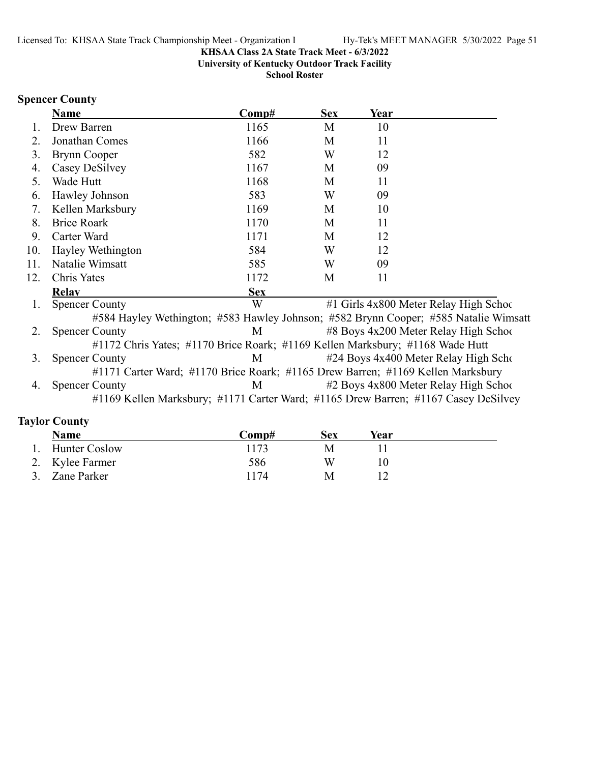**University of Kentucky Outdoor Track Facility**

**School Roster**

# **Spencer County**

|     | <b>Name</b>                                                                          | Comp#      | <b>Sex</b> | Year |                                        |
|-----|--------------------------------------------------------------------------------------|------------|------------|------|----------------------------------------|
| Ι.  | Drew Barren                                                                          | 1165       | M          | 10   |                                        |
| 2.  | Jonathan Comes                                                                       | 1166       | M          | 11   |                                        |
| 3.  | <b>Brynn Cooper</b>                                                                  | 582        | W          | 12   |                                        |
| 4.  | Casey DeSilvey                                                                       | 1167       | M          | 09   |                                        |
| 5.  | Wade Hutt                                                                            | 1168       | M          | 11   |                                        |
| 6.  | Hawley Johnson                                                                       | 583        | W          | 09   |                                        |
| 7.  | Kellen Marksbury                                                                     | 1169       | M          | 10   |                                        |
| 8.  | <b>Brice Roark</b>                                                                   | 1170       | M          | 11   |                                        |
| 9.  | Carter Ward                                                                          | 1171       | M          | 12   |                                        |
| 10. | Hayley Wethington                                                                    | 584        | W          | 12   |                                        |
| 11. | Natalie Wimsatt                                                                      | 585        | W          | 09   |                                        |
| 12. | Chris Yates                                                                          | 1172       | M          | 11   |                                        |
|     | <b>Relay</b>                                                                         | <b>Sex</b> |            |      |                                        |
| 1.  | <b>Spencer County</b>                                                                | W          |            |      | #1 Girls 4x800 Meter Relay High School |
|     | #584 Hayley Wethington; #583 Hawley Johnson; #582 Brynn Cooper; #585 Natalie Wimsatt |            |            |      |                                        |
| 2.  | <b>Spencer County</b>                                                                | M          |            |      | #8 Boys 4x200 Meter Relay High School  |
|     | #1172 Chris Yates; #1170 Brice Roark; #1169 Kellen Marksbury; #1168 Wade Hutt        |            |            |      |                                        |
| 3.  | <b>Spencer County</b>                                                                | M          |            |      | #24 Boys 4x400 Meter Relay High Scho   |
|     | #1171 Carter Ward; #1170 Brice Roark; #1165 Drew Barren; #1169 Kellen Marksbury      |            |            |      |                                        |
| 4.  | <b>Spencer County</b>                                                                | M          |            |      | #2 Boys 4x800 Meter Relay High School  |
|     | #1169 Kellen Marksbury; #1171 Carter Ward; #1165 Drew Barren; #1167 Casey DeSilvey   |            |            |      |                                        |
|     |                                                                                      |            |            |      |                                        |

# **Taylor County**

| Name            | Comp# | Sex | Year |
|-----------------|-------|-----|------|
| Hunter Coslow   | 1173  |     |      |
| 2. Kylee Farmer | 586   | W   |      |
| 3. Zane Parker  | 1174  | M   |      |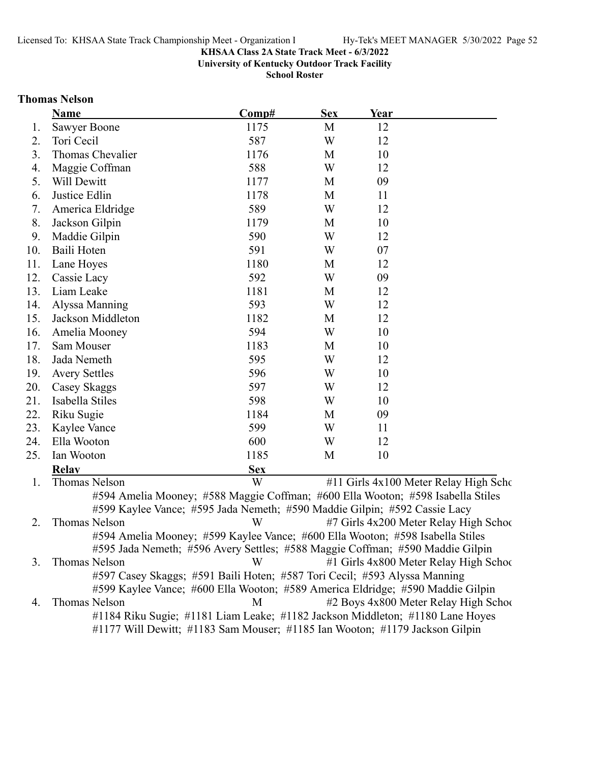**University of Kentucky Outdoor Track Facility**

**School Roster**

#### **Thomas Nelson**

|     | <b>Name</b>          | Comp#                                                                           | <b>Sex</b> | <b>Year</b> |                                       |
|-----|----------------------|---------------------------------------------------------------------------------|------------|-------------|---------------------------------------|
| 1.  | Sawyer Boone         | 1175                                                                            | M          | 12          |                                       |
| 2.  | Tori Cecil           | 587                                                                             | W          | 12          |                                       |
| 3.  | Thomas Chevalier     | 1176                                                                            | M          | 10          |                                       |
| 4.  | Maggie Coffman       | 588                                                                             | W          | 12          |                                       |
| 5.  | Will Dewitt          | 1177                                                                            | M          | 09          |                                       |
| 6.  | Justice Edlin        | 1178                                                                            | M          | 11          |                                       |
| 7.  | America Eldridge     | 589                                                                             | W          | 12          |                                       |
| 8.  | Jackson Gilpin       | 1179                                                                            | M          | 10          |                                       |
| 9.  | Maddie Gilpin        | 590                                                                             | W          | 12          |                                       |
| 10. | Baili Hoten          | 591                                                                             | W          | 07          |                                       |
| 11. | Lane Hoyes           | 1180                                                                            | M          | 12          |                                       |
| 12. | Cassie Lacy          | 592                                                                             | W          | 09          |                                       |
| 13. | Liam Leake           | 1181                                                                            | M          | 12          |                                       |
| 14. | Alyssa Manning       | 593                                                                             | W          | 12          |                                       |
| 15. | Jackson Middleton    | 1182                                                                            | M          | 12          |                                       |
| 16. | Amelia Mooney        | 594                                                                             | W          | 10          |                                       |
| 17. | Sam Mouser           | 1183                                                                            | M          | 10          |                                       |
| 18. | Jada Nemeth          | 595                                                                             | W          | 12          |                                       |
| 19. | <b>Avery Settles</b> | 596                                                                             | W          | 10          |                                       |
| 20. | Casey Skaggs         | 597                                                                             | W          | 12          |                                       |
| 21. | Isabella Stiles      | 598                                                                             | W          | 10          |                                       |
| 22. | Riku Sugie           | 1184                                                                            | M          | 09          |                                       |
| 23. | Kaylee Vance         | 599                                                                             | W          | 11          |                                       |
| 24. | Ella Wooton          | 600                                                                             | W          | 12          |                                       |
| 25. | Ian Wooton           | 1185                                                                            | M          | 10          |                                       |
|     | <b>Relay</b>         | <b>Sex</b>                                                                      |            |             |                                       |
| 1.  | <b>Thomas Nelson</b> | W                                                                               |            |             | #11 Girls 4x100 Meter Relay High Scho |
|     |                      | #504 Amelia Mooney: #588 Maggie Coffman: #600 Ella Wooton: #508 Jsabella Stiles |            |             |                                       |

#594 Amelia Mooney; #588 Maggie Coffman; #600 Ella Wooton; #598 Isabella Stiles #599 Kaylee Vance; #595 Jada Nemeth; #590 Maddie Gilpin; #592 Cassie Lacy 2. Thomas Nelson **12. W** #7 Girls 4x200 Meter Relay High School #594 Amelia Mooney; #599 Kaylee Vance; #600 Ella Wooton; #598 Isabella Stiles #595 Jada Nemeth; #596 Avery Settles; #588 Maggie Coffman; #590 Maddie Gilpin 3. Thomas Nelson W #1 Girls 4x800 Meter Relay High School #597 Casey Skaggs; #591 Baili Hoten; #587 Tori Cecil; #593 Alyssa Manning #599 Kaylee Vance; #600 Ella Wooton; #589 America Eldridge; #590 Maddie Gilpin 4. Thomas Nelson M  $\mu$  Boys 4x800 Meter Relay High School #1184 Riku Sugie; #1181 Liam Leake; #1182 Jackson Middleton; #1180 Lane Hoyes #1177 Will Dewitt; #1183 Sam Mouser; #1185 Ian Wooton; #1179 Jackson Gilpin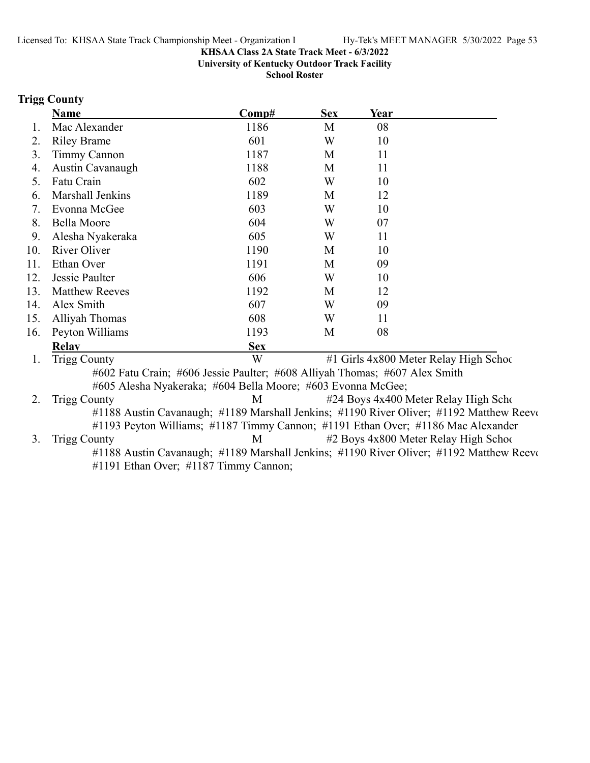**University of Kentucky Outdoor Track Facility**

**School Roster**

# **Trigg County**

|     | <b>Name</b>                                                                | Comp#      | <b>Sex</b> | Year                                                                                     |
|-----|----------------------------------------------------------------------------|------------|------------|------------------------------------------------------------------------------------------|
| 1.  | Mac Alexander                                                              | 1186       | M          | 08                                                                                       |
| 2.  | <b>Riley Brame</b>                                                         | 601        | W          | 10                                                                                       |
| 3.  | <b>Timmy Cannon</b>                                                        | 1187       | M          | 11                                                                                       |
| 4.  | Austin Cavanaugh                                                           | 1188       | M          | 11                                                                                       |
| 5.  | Fatu Crain                                                                 | 602        | W          | 10                                                                                       |
| 6.  | Marshall Jenkins                                                           | 1189       | M          | 12                                                                                       |
| 7.  | Evonna McGee                                                               | 603        | W          | 10                                                                                       |
| 8.  | <b>Bella Moore</b>                                                         | 604        | W          | 07                                                                                       |
| 9.  | Alesha Nyakeraka                                                           | 605        | W          | 11                                                                                       |
| 10. | River Oliver                                                               | 1190       | M          | 10                                                                                       |
| 11. | Ethan Over                                                                 | 1191       | M          | 09                                                                                       |
| 12. | Jessie Paulter                                                             | 606        | W          | 10                                                                                       |
| 13. | <b>Matthew Reeves</b>                                                      | 1192       | M          | 12                                                                                       |
| 14. | Alex Smith                                                                 | 607        | W          | 09                                                                                       |
| 15. | Alliyah Thomas                                                             | 608        | W          | 11                                                                                       |
| 16. | Peyton Williams                                                            | 1193       | M          | 08                                                                                       |
|     | <b>Relav</b>                                                               | <b>Sex</b> |            |                                                                                          |
| 1.  | <b>Trigg County</b>                                                        | W          |            | #1 Girls 4x800 Meter Relay High School                                                   |
|     | #602 Fatu Crain; #606 Jessie Paulter; #608 Alliyah Thomas; #607 Alex Smith |            |            |                                                                                          |
|     | #605 Alesha Nyakeraka; #604 Bella Moore; #603 Evonna McGee;                |            |            |                                                                                          |
| 2.  | <b>Trigg County</b>                                                        | M          |            | #24 Boys 4x400 Meter Relay High Scho                                                     |
|     |                                                                            |            |            | #1188 Austin Cavanaugh; #1189 Marshall Jenkins; #1190 River Oliver; #1192 Matthew Reever |
|     |                                                                            |            |            | #1193 Peyton Williams; #1187 Timmy Cannon; #1191 Ethan Over; #1186 Mac Alexander         |
| 3.  | <b>Trigg County</b>                                                        | M          |            | #2 Boys 4x800 Meter Relay High Schoo                                                     |
|     |                                                                            |            |            | #1188 Austin Cavanaugh; #1189 Marshall Jenkins; #1190 River Oliver; #1192 Matthew Reever |
|     | #1191 Ethan Over; #1187 Timmy Cannon;                                      |            |            |                                                                                          |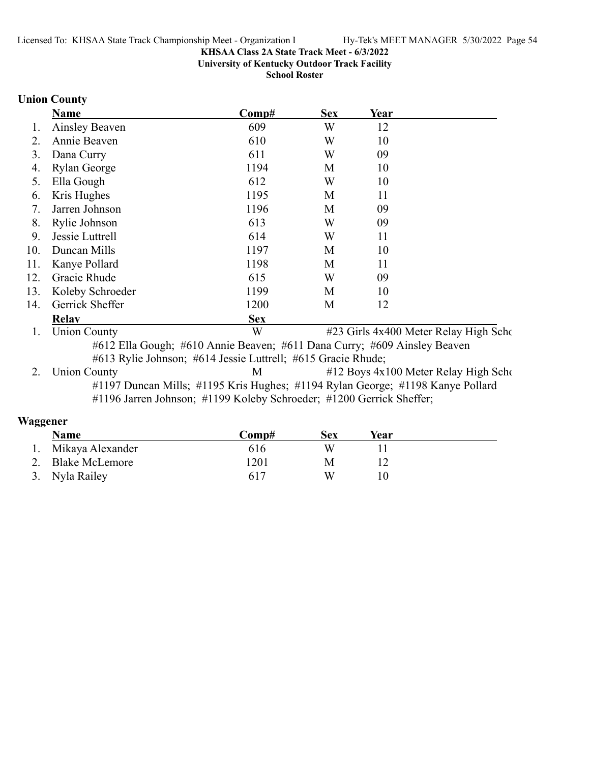**University of Kentucky Outdoor Track Facility**

**School Roster**

# **Union County**

|     | <b>Name</b>                                                  | Comp#                                                                    | <b>Sex</b> | Year |                                       |  |
|-----|--------------------------------------------------------------|--------------------------------------------------------------------------|------------|------|---------------------------------------|--|
| l.  | Ainsley Beaven                                               | 609                                                                      | W          | 12   |                                       |  |
| 2.  | Annie Beaven                                                 | 610                                                                      | W          | 10   |                                       |  |
| 3.  | Dana Curry                                                   | 611                                                                      | W          | 09   |                                       |  |
| 4.  | <b>Rylan George</b>                                          | 1194                                                                     | M          | 10   |                                       |  |
| 5.  | Ella Gough                                                   | 612                                                                      | W          | 10   |                                       |  |
| 6.  | Kris Hughes                                                  | 1195                                                                     | М          | 11   |                                       |  |
| 7.  | Jarren Johnson                                               | 1196                                                                     | M          | 09   |                                       |  |
| 8.  | Rylie Johnson                                                | 613                                                                      | W          | 09   |                                       |  |
| 9.  | Jessie Luttrell                                              | 614                                                                      | W          | 11   |                                       |  |
| 10. | Duncan Mills                                                 | 1197                                                                     | М          | 10   |                                       |  |
| 11. | Kanye Pollard                                                | 1198                                                                     | M          | 11   |                                       |  |
| 12. | Gracie Rhude                                                 | 615                                                                      | W          | 09   |                                       |  |
| 13. | Koleby Schroeder                                             | 1199                                                                     | М          | 10   |                                       |  |
| 14. | Gerrick Sheffer                                              | 1200                                                                     | M          | 12   |                                       |  |
|     | <b>Relav</b>                                                 | <b>Sex</b>                                                               |            |      |                                       |  |
| 1.  | <b>Union County</b>                                          | W                                                                        |            |      | #23 Girls 4x400 Meter Relay High Scho |  |
|     |                                                              | #612 Ella Gough; #610 Annie Beaven; #611 Dana Curry; #609 Ainsley Beaven |            |      |                                       |  |
|     | #613 Rylie Johnson; #614 Jessie Luttrell; #615 Gracie Rhude; |                                                                          |            |      |                                       |  |

2. Union County M #12 Boys 4x100 Meter Relay High School #1197 Duncan Mills; #1195 Kris Hughes; #1194 Rylan George; #1198 Kanye Pollard #1196 Jarren Johnson; #1199 Koleby Schroeder; #1200 Gerrick Sheffer;

### **Waggener**

| Name                | Comp# | Sex | Year |  |
|---------------------|-------|-----|------|--|
| 1. Mikaya Alexander | 616   | W   |      |  |
| 2. Blake McLemore   | 1201  |     |      |  |
| 3. Nyla Railey      | 617   | W   |      |  |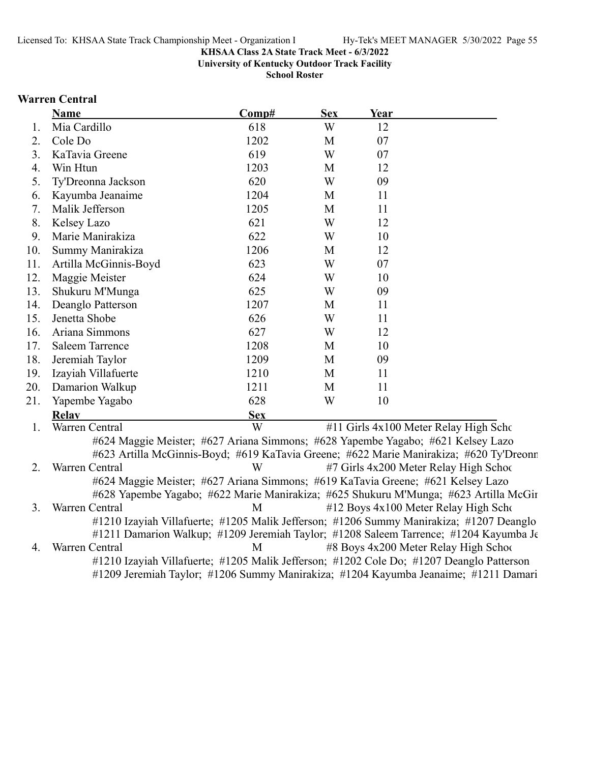**University of Kentucky Outdoor Track Facility**

**School Roster**

### **Warren Central**

|     | <b>Name</b>                                                                     | Comp#      | <b>Sex</b> | Year |                                                                                         |
|-----|---------------------------------------------------------------------------------|------------|------------|------|-----------------------------------------------------------------------------------------|
| 1.  | Mia Cardillo                                                                    | 618        | W          | 12   |                                                                                         |
| 2.  | Cole Do                                                                         | 1202       | M          | 07   |                                                                                         |
| 3.  | KaTavia Greene                                                                  | 619        | W          | 07   |                                                                                         |
| 4.  | Win Htun                                                                        | 1203       | M          | 12   |                                                                                         |
| 5.  | Ty'Dreonna Jackson                                                              | 620        | W          | 09   |                                                                                         |
| 6.  | Kayumba Jeanaime                                                                | 1204       | M          | 11   |                                                                                         |
| 7.  | Malik Jefferson                                                                 | 1205       | M          | 11   |                                                                                         |
| 8.  | Kelsey Lazo                                                                     | 621        | W          | 12   |                                                                                         |
| 9.  | Marie Manirakiza                                                                | 622        | W          | 10   |                                                                                         |
| 10. | Summy Manirakiza                                                                | 1206       | M          | 12   |                                                                                         |
| 11. | Artilla McGinnis-Boyd                                                           | 623        | W          | 07   |                                                                                         |
| 12. | Maggie Meister                                                                  | 624        | W          | 10   |                                                                                         |
| 13. | Shukuru M'Munga                                                                 | 625        | W          | 09   |                                                                                         |
| 14. | Deanglo Patterson                                                               | 1207       | M          | 11   |                                                                                         |
| 15. | Jenetta Shobe                                                                   | 626        | W          | 11   |                                                                                         |
| 16. | Ariana Simmons                                                                  | 627        | W          | 12   |                                                                                         |
| 17. | <b>Saleem Tarrence</b>                                                          | 1208       | M          | 10   |                                                                                         |
| 18. | Jeremiah Taylor                                                                 | 1209       | M          | 09   |                                                                                         |
| 19. | Izayiah Villafuerte                                                             | 1210       | M          | 11   |                                                                                         |
| 20. | Damarion Walkup                                                                 | 1211       | M          | 11   |                                                                                         |
| 21. | Yapembe Yagabo                                                                  | 628        | W          | 10   |                                                                                         |
|     | <b>Relav</b>                                                                    | <b>Sex</b> |            |      |                                                                                         |
| 1.  | Warren Central                                                                  | W          |            |      | #11 Girls 4x100 Meter Relay High Scho                                                   |
|     | #624 Maggie Meister; #627 Ariana Simmons; #628 Yapembe Yagabo; #621 Kelsey Lazo |            |            |      |                                                                                         |
|     |                                                                                 |            |            |      | #623 Artilla McGinnis-Boyd; #619 KaTavia Greene; #622 Marie Manirakiza; #620 Ty'Dreonn  |
| 2.  | Warren Central                                                                  | W          |            |      | #7 Girls 4x200 Meter Relay High School                                                  |
|     | #624 Maggie Meister; #627 Ariana Simmons; #619 KaTavia Greene; #621 Kelsey Lazo |            |            |      |                                                                                         |
|     |                                                                                 |            |            |      | #628 Yapembe Yagabo; #622 Marie Manirakiza; #625 Shukuru M'Munga; #623 Artilla McGir    |
| 3.  | Warren Central                                                                  | M          |            |      | #12 Boys 4x100 Meter Relay High Scho                                                    |
|     |                                                                                 |            |            |      | #1210 Izayiah Villafuerte; #1205 Malik Jefferson; #1206 Summy Manirakiza; #1207 Deanglo |
|     |                                                                                 |            |            |      | #1211 Damarion Walkup; #1209 Jeremiah Taylor; #1208 Saleem Tarrence; #1204 Kayumba Je   |
| 4.  | Warren Central                                                                  | M          |            |      | #8 Boys 4x200 Meter Relay High School                                                   |

#1210 Izayiah Villafuerte; #1205 Malik Jefferson; #1202 Cole Do; #1207 Deanglo Patterson #1209 Jeremiah Taylor; #1206 Summy Manirakiza; #1204 Kayumba Jeanaime; #1211 Damari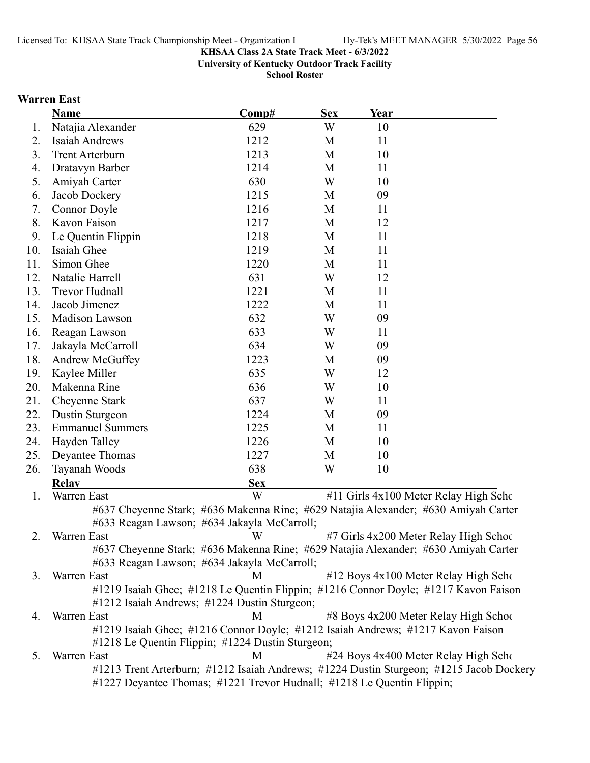**University of Kentucky Outdoor Track Facility**

**School Roster**

# **Warren East**

|     | <b>Name</b>             | Comp#                                                                                                                               | <b>Sex</b> | Year |                                                                                         |
|-----|-------------------------|-------------------------------------------------------------------------------------------------------------------------------------|------------|------|-----------------------------------------------------------------------------------------|
| 1.  | Natajia Alexander       | 629                                                                                                                                 | W          | 10   |                                                                                         |
| 2.  | Isaiah Andrews          | 1212                                                                                                                                | M          | 11   |                                                                                         |
| 3.  | <b>Trent Arterburn</b>  | 1213                                                                                                                                | M          | 10   |                                                                                         |
| 4.  | Dratavyn Barber         | 1214                                                                                                                                | M          | 11   |                                                                                         |
| 5.  | Amiyah Carter           | 630                                                                                                                                 | W          | 10   |                                                                                         |
| 6.  | Jacob Dockery           | 1215                                                                                                                                | M          | 09   |                                                                                         |
| 7.  | Connor Doyle            | 1216                                                                                                                                | M          | 11   |                                                                                         |
| 8.  | Kavon Faison            | 1217                                                                                                                                | M          | 12   |                                                                                         |
| 9.  | Le Quentin Flippin      | 1218                                                                                                                                | M          | 11   |                                                                                         |
| 10. | Isaiah Ghee             | 1219                                                                                                                                | M          | 11   |                                                                                         |
| 11. | Simon Ghee              | 1220                                                                                                                                | M          | 11   |                                                                                         |
| 12. | Natalie Harrell         | 631                                                                                                                                 | W          | 12   |                                                                                         |
| 13. | Trevor Hudnall          | 1221                                                                                                                                | M          | 11   |                                                                                         |
| 14. | Jacob Jimenez           | 1222                                                                                                                                | M          | 11   |                                                                                         |
| 15. | Madison Lawson          | 632                                                                                                                                 | W          | 09   |                                                                                         |
| 16. | Reagan Lawson           | 633                                                                                                                                 | W          | 11   |                                                                                         |
| 17. | Jakayla McCarroll       | 634                                                                                                                                 | W          | 09   |                                                                                         |
| 18. | Andrew McGuffey         | 1223                                                                                                                                | M          | 09   |                                                                                         |
| 19. | Kaylee Miller           | 635                                                                                                                                 | W          | 12   |                                                                                         |
| 20. | Makenna Rine            | 636                                                                                                                                 | W          | 10   |                                                                                         |
| 21. | Cheyenne Stark          | 637                                                                                                                                 | W          | 11   |                                                                                         |
| 22. | Dustin Sturgeon         | 1224                                                                                                                                | M          | 09   |                                                                                         |
| 23. | <b>Emmanuel Summers</b> | 1225                                                                                                                                | M          | 11   |                                                                                         |
| 24. | Hayden Talley           | 1226                                                                                                                                | M          | 10   |                                                                                         |
| 25. | Deyantee Thomas         | 1227                                                                                                                                | M          | 10   |                                                                                         |
| 26. | Tayanah Woods           | 638                                                                                                                                 | W          | 10   |                                                                                         |
|     | <b>Relay</b>            | <b>Sex</b>                                                                                                                          |            |      |                                                                                         |
| 1.  | Warren East             | W                                                                                                                                   |            |      | #11 Girls 4x100 Meter Relay High Scho                                                   |
|     |                         | #637 Cheyenne Stark; #636 Makenna Rine; #629 Natajia Alexander; #630 Amiyah Carter<br>#633 Reagan Lawson; #634 Jakayla McCarroll;   |            |      |                                                                                         |
| 2.  | Warren East             | W                                                                                                                                   |            |      | #7 Girls 4x200 Meter Relay High Schoo                                                   |
|     |                         | #637 Cheyenne Stark; #636 Makenna Rine; #629 Natajia Alexander; #630 Amiyah Carter<br>#633 Reagan Lawson; #634 Jakayla McCarroll;   |            |      |                                                                                         |
| 3.  | Warren East             | M                                                                                                                                   |            |      | #12 Boys 4x100 Meter Relay High Scho                                                    |
|     |                         | #1219 Isaiah Ghee; #1218 Le Quentin Flippin; #1216 Connor Doyle; #1217 Kavon Faison<br>#1212 Isaiah Andrews; #1224 Dustin Sturgeon; |            |      |                                                                                         |
| 4.  | Warren East             | M                                                                                                                                   |            |      | #8 Boys 4x200 Meter Relay High School                                                   |
|     |                         | #1219 Isaiah Ghee; #1216 Connor Doyle; #1212 Isaiah Andrews; #1217 Kavon Faison<br>#1218 Le Quentin Flippin; #1224 Dustin Sturgeon; |            |      |                                                                                         |
| 5.  | Warren East             | M                                                                                                                                   |            |      | #24 Boys 4x400 Meter Relay High Scho                                                    |
|     |                         | #1227 Deyantee Thomas; #1221 Trevor Hudnall; #1218 Le Quentin Flippin;                                                              |            |      | #1213 Trent Arterburn; #1212 Isaiah Andrews; #1224 Dustin Sturgeon; #1215 Jacob Dockery |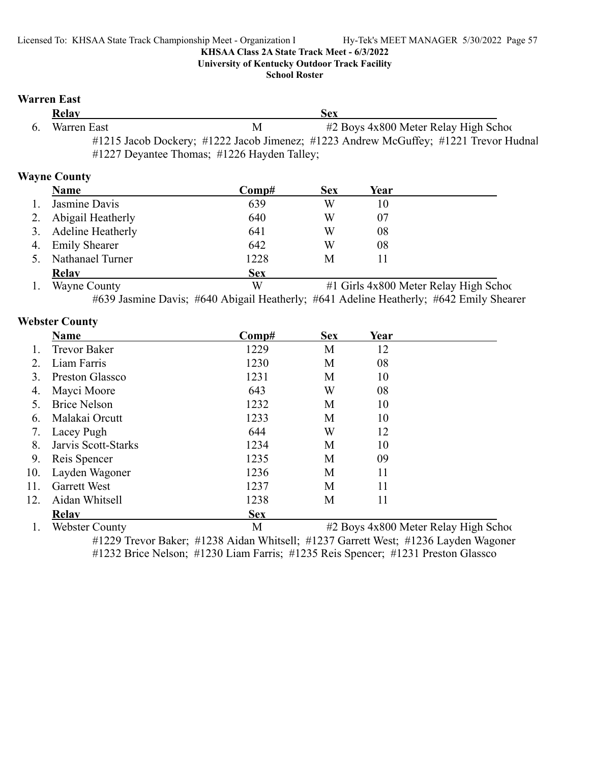**University of Kentucky Outdoor Track Facility**

#### **School Roster**

### **Warren East**

| Relay       |                                             | Sex                                                                                  |  |
|-------------|---------------------------------------------|--------------------------------------------------------------------------------------|--|
| Warren East | M                                           | $#2$ Boys $4x800$ Meter Relay High School                                            |  |
|             |                                             | #1215 Jacob Dockery; #1222 Jacob Jimenez; #1223 Andrew McGuffey; #1221 Trevor Hudnal |  |
|             | #1227 Deyantee Thomas; #1226 Hayden Talley; |                                                                                      |  |

# **Wayne County**

|    | <b>Name</b>          | $\bf Comp#$ | <b>Sex</b> | Year |               |
|----|----------------------|-------------|------------|------|---------------|
|    | Jasmine Davis        | 639         | W          | 10   |               |
| 2. | Abigail Heatherly    | 640         | W          | 07   |               |
|    | 3. Adeline Heatherly | 641         | W          | 08   |               |
| 4. | <b>Emily Shearer</b> | 642         | W          | 08   |               |
|    | Nathanael Turner     | 1228        | М          |      |               |
|    | <b>Relay</b>         | <b>Sex</b>  |            |      |               |
|    | ___<br>$\sim$        | $- - -$     |            |      | ------<br>- - |

1. Wayne County W #1 Girls 4x800 Meter Relay High School #639 Jasmine Davis; #640 Abigail Heatherly; #641 Adeline Heatherly; #642 Emily Shearer

### **Webster County**

|                        | Name                  | Comp#      | <b>Sex</b> | Year |                                           |
|------------------------|-----------------------|------------|------------|------|-------------------------------------------|
|                        | <b>Trevor Baker</b>   | 1229       | М          | 12   |                                           |
| $\mathcal{D}_{\alpha}$ | Liam Farris           | 1230       | М          | 08   |                                           |
| 3.                     | Preston Glassco       | 1231       | M          | 10   |                                           |
| 4.                     | Mayci Moore           | 643        | W          | 08   |                                           |
| 5.                     | <b>Brice Nelson</b>   | 1232       | М          | 10   |                                           |
| 6.                     | Malakai Orcutt        | 1233       | М          | 10   |                                           |
| 7.                     | Lacey Pugh            | 644        | W          | 12   |                                           |
| 8.                     | Jarvis Scott-Starks   | 1234       | M          | 10   |                                           |
| 9.                     | Reis Spencer          | 1235       | М          | 09   |                                           |
| 10.                    | Layden Wagoner        | 1236       | M          | 11   |                                           |
| 11.                    | <b>Garrett West</b>   | 1237       | М          | 11   |                                           |
| 12.                    | Aidan Whitsell        | 1238       | М          | 11   |                                           |
|                        | <b>Relav</b>          | <b>Sex</b> |            |      |                                           |
|                        | <b>Webster County</b> | M          |            |      | $#2$ Boys $4x800$ Meter Relay High School |

#1229 Trevor Baker; #1238 Aidan Whitsell; #1237 Garrett West; #1236 Layden Wagoner #1232 Brice Nelson; #1230 Liam Farris; #1235 Reis Spencer; #1231 Preston Glassco